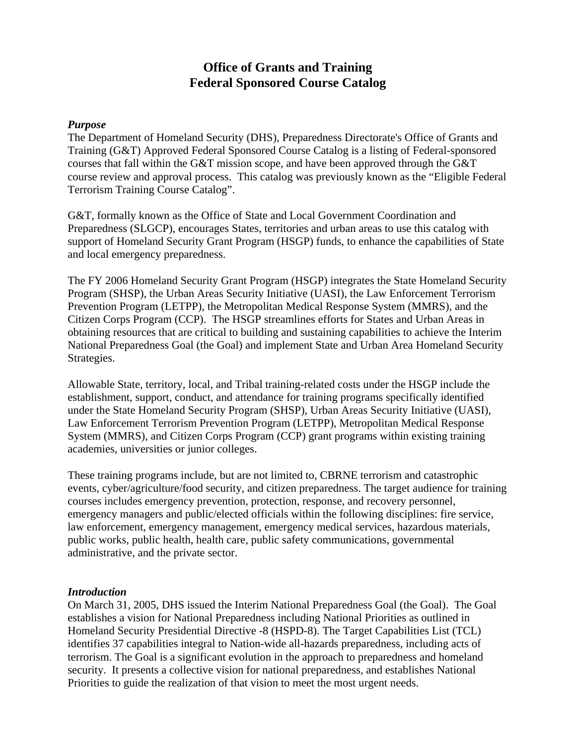# **Office of Grants and Training Federal Sponsored Course Catalog**

#### *Purpose*

The Department of Homeland Security (DHS), Preparedness Directorate's Office of Grants and Training (G&T) Approved Federal Sponsored Course Catalog is a listing of Federal-sponsored courses that fall within the G&T mission scope, and have been approved through the G&T course review and approval process. This catalog was previously known as the "Eligible Federal Terrorism Training Course Catalog".

G&T, formally known as the Office of State and Local Government Coordination and Preparedness (SLGCP), encourages States, territories and urban areas to use this catalog with support of Homeland Security Grant Program (HSGP) funds, to enhance the capabilities of State and local emergency preparedness.

The FY 2006 Homeland Security Grant Program (HSGP) integrates the State Homeland Security Program (SHSP), the Urban Areas Security Initiative (UASI), the Law Enforcement Terrorism Prevention Program (LETPP), the Metropolitan Medical Response System (MMRS), and the Citizen Corps Program (CCP). The HSGP streamlines efforts for States and Urban Areas in obtaining resources that are critical to building and sustaining capabilities to achieve the Interim National Preparedness Goal (the Goal) and implement State and Urban Area Homeland Security Strategies.

Allowable State, territory, local, and Tribal training-related costs under the HSGP include the establishment, support, conduct, and attendance for training programs specifically identified under the State Homeland Security Program (SHSP), Urban Areas Security Initiative (UASI), Law Enforcement Terrorism Prevention Program (LETPP), Metropolitan Medical Response System (MMRS), and Citizen Corps Program (CCP) grant programs within existing training academies, universities or junior colleges.

These training programs include, but are not limited to, CBRNE terrorism and catastrophic events, cyber/agriculture/food security, and citizen preparedness. The target audience for training courses includes emergency prevention, protection, response, and recovery personnel, emergency managers and public/elected officials within the following disciplines: fire service, law enforcement, emergency management, emergency medical services, hazardous materials, public works, public health, health care, public safety communications, governmental administrative, and the private sector.

#### *Introduction*

On March 31, 2005, DHS issued the Interim National Preparedness Goal (the Goal). The Goal establishes a vision for National Preparedness including National Priorities as outlined in Homeland Security Presidential Directive -8 (HSPD-8). The Target Capabilities List (TCL) identifies 37 capabilities integral to Nation-wide all-hazards preparedness, including acts of terrorism. The Goal is a significant evolution in the approach to preparedness and homeland security. It presents a collective vision for national preparedness, and establishes National Priorities to guide the realization of that vision to meet the most urgent needs.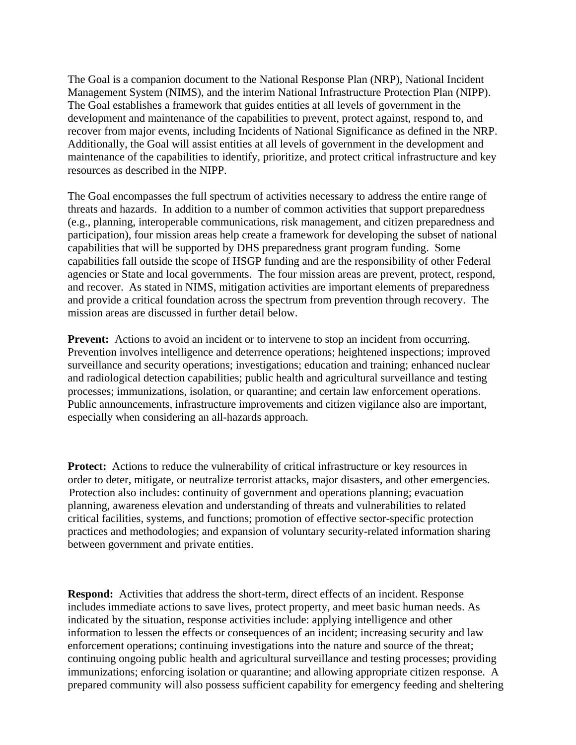The Goal is a companion document to the National Response Plan (NRP), National Incident Management System (NIMS), and the interim National Infrastructure Protection Plan (NIPP). The Goal establishes a framework that guides entities at all levels of government in the development and maintenance of the capabilities to prevent, protect against, respond to, and recover from major events, including Incidents of National Significance as defined in the NRP. Additionally, the Goal will assist entities at all levels of government in the development and maintenance of the capabilities to identify, prioritize, and protect critical infrastructure and key resources as described in the NIPP.

The Goal encompasses the full spectrum of activities necessary to address the entire range of threats and hazards. In addition to a number of common activities that support preparedness (e.g., planning, interoperable communications, risk management, and citizen preparedness and participation), four mission areas help create a framework for developing the subset of national capabilities that will be supported by DHS preparedness grant program funding. Some capabilities fall outside the scope of HSGP funding and are the responsibility of other Federal agencies or State and local governments. The four mission areas are prevent, protect, respond, and recover. As stated in NIMS, mitigation activities are important elements of preparedness and provide a critical foundation across the spectrum from prevention through recovery. The mission areas are discussed in further detail below.

Prevent: Actions to avoid an incident or to intervene to stop an incident from occurring. Prevention involves intelligence and deterrence operations; heightened inspections; improved surveillance and security operations; investigations; education and training; enhanced nuclear and radiological detection capabilities; public health and agricultural surveillance and testing processes; immunizations, isolation, or quarantine; and certain law enforcement operations. Public announcements, infrastructure improvements and citizen vigilance also are important, especially when considering an all-hazards approach.

**Protect:** Actions to reduce the vulnerability of critical infrastructure or key resources in order to deter, mitigate, or neutralize terrorist attacks, major disasters, and other emergencies. Protection also includes: continuity of government and operations planning; evacuation planning, awareness elevation and understanding of threats and vulnerabilities to related critical facilities, systems, and functions; promotion of effective sector-specific protection practices and methodologies; and expansion of voluntary security-related information sharing between government and private entities.

**Respond:** Activities that address the short-term, direct effects of an incident. Response includes immediate actions to save lives, protect property, and meet basic human needs. As indicated by the situation, response activities include: applying intelligence and other information to lessen the effects or consequences of an incident; increasing security and law enforcement operations; continuing investigations into the nature and source of the threat; continuing ongoing public health and agricultural surveillance and testing processes; providing immunizations; enforcing isolation or quarantine; and allowing appropriate citizen response. A prepared community will also possess sufficient capability for emergency feeding and sheltering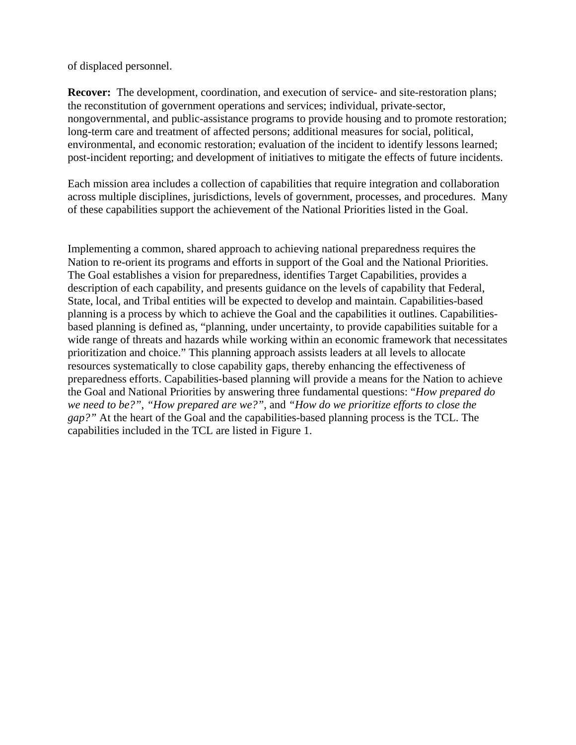of displaced personnel.

**Recover:** The development, coordination, and execution of service- and site-restoration plans; the reconstitution of government operations and services; individual, private-sector, nongovernmental, and public-assistance programs to provide housing and to promote restoration; long-term care and treatment of affected persons; additional measures for social, political, environmental, and economic restoration; evaluation of the incident to identify lessons learned; post-incident reporting; and development of initiatives to mitigate the effects of future incidents.

Each mission area includes a collection of capabilities that require integration and collaboration across multiple disciplines, jurisdictions, levels of government, processes, and procedures. Many of these capabilities support the achievement of the National Priorities listed in the Goal.

Implementing a common, shared approach to achieving national preparedness requires the Nation to re-orient its programs and efforts in support of the Goal and the National Priorities. The Goal establishes a vision for preparedness, identifies Target Capabilities, provides a description of each capability, and presents guidance on the levels of capability that Federal, State, local, and Tribal entities will be expected to develop and maintain. Capabilities-based planning is a process by which to achieve the Goal and the capabilities it outlines. Capabilitiesbased planning is defined as, "planning, under uncertainty, to provide capabilities suitable for a wide range of threats and hazards while working within an economic framework that necessitates prioritization and choice." This planning approach assists leaders at all levels to allocate resources systematically to close capability gaps, thereby enhancing the effectiveness of preparedness efforts. Capabilities-based planning will provide a means for the Nation to achieve the Goal and National Priorities by answering three fundamental questions: "*How prepared do we need to be?"*, *"How prepared are we?"*, and *"How do we prioritize efforts to close the gap?"* At the heart of the Goal and the capabilities-based planning process is the TCL. The capabilities included in the TCL are listed in Figure 1.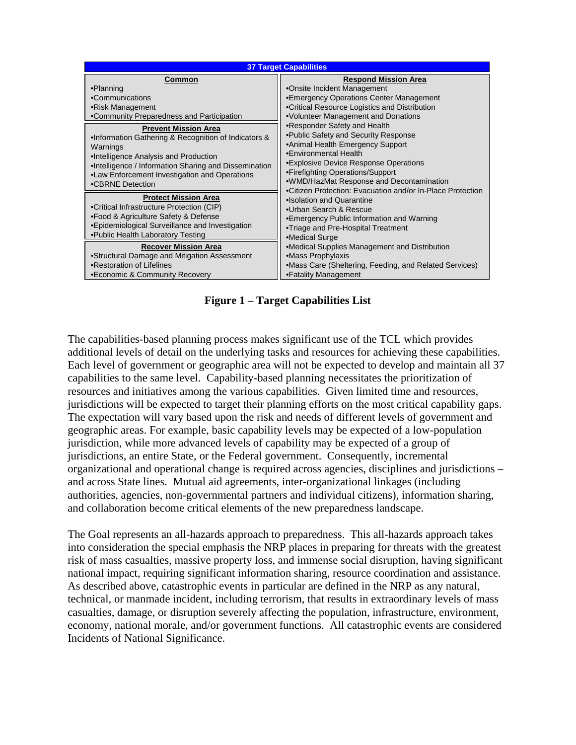| <b>37 Target Capabilities</b>                          |                                                            |  |  |
|--------------------------------------------------------|------------------------------------------------------------|--|--|
| Common                                                 | <b>Respond Mission Area</b>                                |  |  |
| •Planning                                              | •Onsite Incident Management                                |  |  |
| •Communications                                        | •Emergency Operations Center Management                    |  |  |
| •Risk Management                                       | •Critical Resource Logistics and Distribution              |  |  |
| •Community Preparedness and Participation              | •Volunteer Management and Donations                        |  |  |
| <b>Prevent Mission Area</b>                            | •Responder Safety and Health                               |  |  |
| .Information Gathering & Recognition of Indicators &   | . Public Safety and Security Response                      |  |  |
| Warnings                                               | •Animal Health Emergency Support                           |  |  |
| •Intelligence Analysis and Production                  | •Environmental Health                                      |  |  |
| . Intelligence / Information Sharing and Dissemination | •Explosive Device Response Operations                      |  |  |
| •Law Enforcement Investigation and Operations          | •Firefighting Operations/Support                           |  |  |
| •CBRNE Detection                                       | •WMD/HazMat Response and Decontamination                   |  |  |
| <b>Protect Mission Area</b>                            | .Citizen Protection: Evacuation and/or In-Place Protection |  |  |
| •Critical Infrastructure Protection (CIP)              | •Isolation and Quarantine                                  |  |  |
| •Food & Agriculture Safety & Defense                   | •Urban Search & Rescue                                     |  |  |
| •Epidemiological Surveillance and Investigation        | •Emergency Public Information and Warning                  |  |  |
| .Public Health Laboratory Testing                      | •Triage and Pre-Hospital Treatment<br>•Medical Surge       |  |  |
| <b>Recover Mission Area</b>                            | •Medical Supplies Management and Distribution              |  |  |
| •Structural Damage and Mitigation Assessment           | •Mass Prophylaxis                                          |  |  |
| •Restoration of Lifelines                              | •Mass Care (Sheltering, Feeding, and Related Services)     |  |  |
| •Economic & Community Recovery                         | •Fatality Management                                       |  |  |

**Figure 1 – Target Capabilities List** 

The capabilities-based planning process makes significant use of the TCL which provides additional levels of detail on the underlying tasks and resources for achieving these capabilities. Each level of government or geographic area will not be expected to develop and maintain all 37 capabilities to the same level. Capability-based planning necessitates the prioritization of resources and initiatives among the various capabilities. Given limited time and resources, jurisdictions will be expected to target their planning efforts on the most critical capability gaps. The expectation will vary based upon the risk and needs of different levels of government and geographic areas. For example, basic capability levels may be expected of a low-population jurisdiction, while more advanced levels of capability may be expected of a group of jurisdictions, an entire State, or the Federal government. Consequently, incremental organizational and operational change is required across agencies, disciplines and jurisdictions – and across State lines. Mutual aid agreements, inter-organizational linkages (including authorities, agencies, non-governmental partners and individual citizens), information sharing, and collaboration become critical elements of the new preparedness landscape.

The Goal represents an all-hazards approach to preparedness. This all-hazards approach takes into consideration the special emphasis the NRP places in preparing for threats with the greatest risk of mass casualties, massive property loss, and immense social disruption, having significant national impact, requiring significant information sharing, resource coordination and assistance. As described above, catastrophic events in particular are defined in the NRP as any natural, technical, or manmade incident, including terrorism, that results in extraordinary levels of mass casualties, damage, or disruption severely affecting the population, infrastructure, environment, economy, national morale, and/or government functions. All catastrophic events are considered Incidents of National Significance.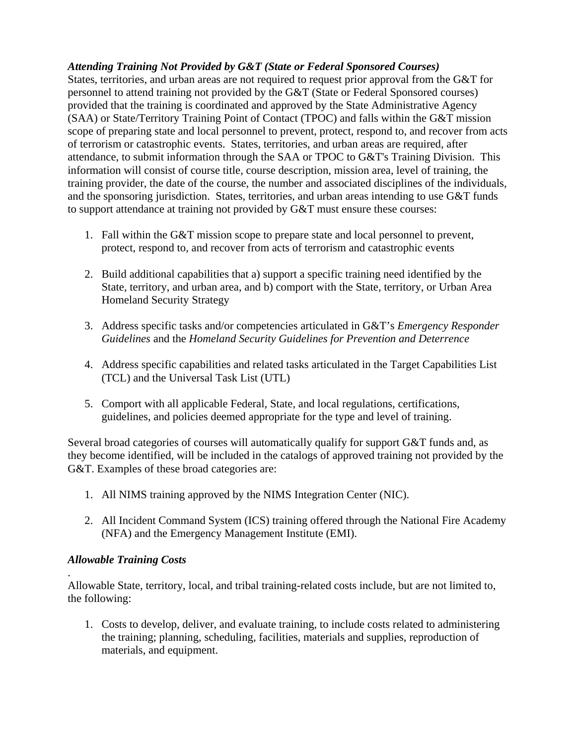# *Attending Training Not Provided by G&T (State or Federal Sponsored Courses)*

States, territories, and urban areas are not required to request prior approval from the G&T for personnel to attend training not provided by the G&T (State or Federal Sponsored courses) provided that the training is coordinated and approved by the State Administrative Agency (SAA) or State/Territory Training Point of Contact (TPOC) and falls within the G&T mission scope of preparing state and local personnel to prevent, protect, respond to, and recover from acts of terrorism or catastrophic events. States, territories, and urban areas are required, after attendance, to submit information through the SAA or TPOC to G&T's Training Division. This information will consist of course title, course description, mission area, level of training, the training provider, the date of the course, the number and associated disciplines of the individuals, and the sponsoring jurisdiction. States, territories, and urban areas intending to use G&T funds to support attendance at training not provided by G&T must ensure these courses:

- 1. Fall within the G&T mission scope to prepare state and local personnel to prevent, protect, respond to, and recover from acts of terrorism and catastrophic events
- 2. Build additional capabilities that a) support a specific training need identified by the State, territory, and urban area, and b) comport with the State, territory, or Urban Area Homeland Security Strategy
- 3. Address specific tasks and/or competencies articulated in G&T's *Emergency Responder Guidelines* and the *Homeland Security Guidelines for Prevention and Deterrence*
- 4. Address specific capabilities and related tasks articulated in the Target Capabilities List (TCL) and the Universal Task List (UTL)
- 5. Comport with all applicable Federal, State, and local regulations, certifications, guidelines, and policies deemed appropriate for the type and level of training.

Several broad categories of courses will automatically qualify for support G&T funds and, as they become identified, will be included in the catalogs of approved training not provided by the G&T. Examples of these broad categories are:

- 1. All NIMS training approved by the NIMS Integration Center (NIC).
- 2. All Incident Command System (ICS) training offered through the National Fire Academy (NFA) and the Emergency Management Institute (EMI).

# *Allowable Training Costs*

.

Allowable State, territory, local, and tribal training-related costs include, but are not limited to, the following:

1. Costs to develop, deliver, and evaluate training, to include costs related to administering the training; planning, scheduling, facilities, materials and supplies, reproduction of materials, and equipment.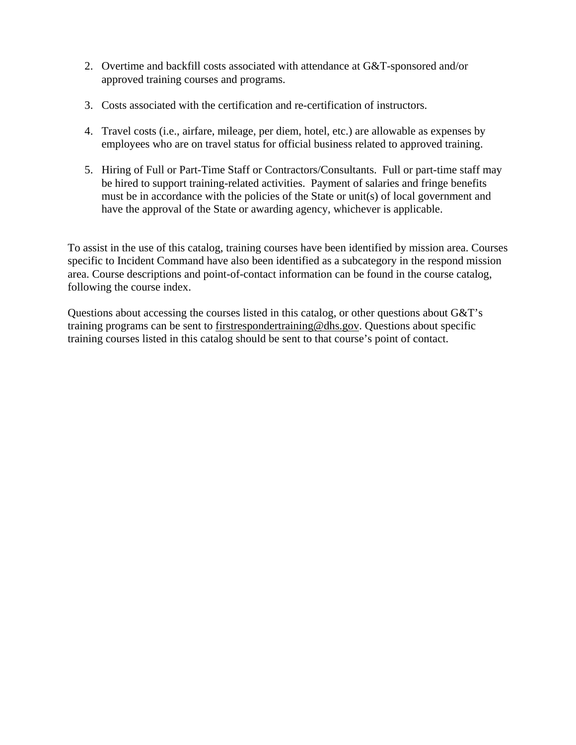- 2. Overtime and backfill costs associated with attendance at G&T-sponsored and/or approved training courses and programs.
- 3. Costs associated with the certification and re-certification of instructors.
- 4. Travel costs (i.e., airfare, mileage, per diem, hotel, etc.) are allowable as expenses by employees who are on travel status for official business related to approved training.
- 5. Hiring of Full or Part-Time Staff or Contractors/Consultants. Full or part-time staff may be hired to support training-related activities. Payment of salaries and fringe benefits must be in accordance with the policies of the State or unit(s) of local government and have the approval of the State or awarding agency, whichever is applicable.

To assist in the use of this catalog, training courses have been identified by mission area. Courses specific to Incident Command have also been identified as a subcategory in the respond mission area. Course descriptions and point-of-contact information can be found in the course catalog, following the course index.

Questions about accessing the courses listed in this catalog, or other questions about G&T's training programs can be sent to [firstrespondertraining@dhs.gov.](mailto:firstresponsertraining@dhs.gov) Questions about specific training courses listed in this catalog should be sent to that course's point of contact.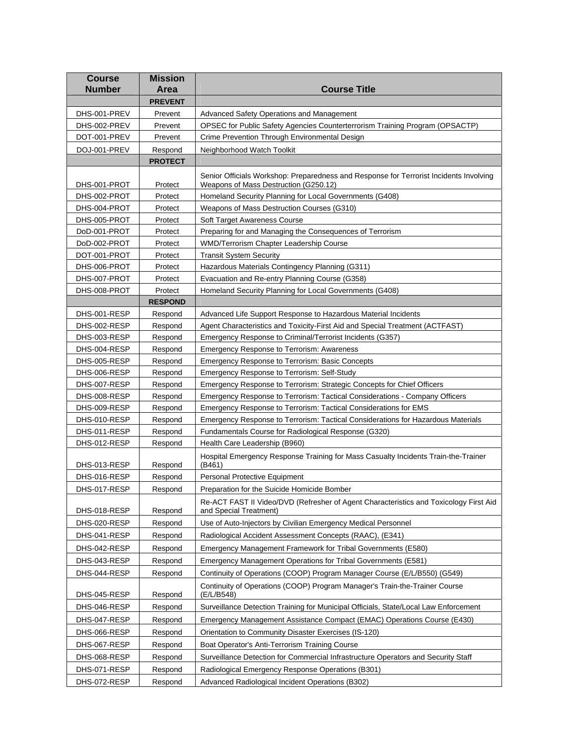| <b>Course</b><br><b>Number</b> | <b>Mission</b><br>Area | <b>Course Title</b>                                                                                                             |
|--------------------------------|------------------------|---------------------------------------------------------------------------------------------------------------------------------|
|                                | <b>PREVENT</b>         |                                                                                                                                 |
|                                |                        |                                                                                                                                 |
| DHS-001-PREV                   | Prevent                | Advanced Safety Operations and Management                                                                                       |
| DHS-002-PREV                   | Prevent                | OPSEC for Public Safety Agencies Counterterrorism Training Program (OPSACTP)                                                    |
| DOT-001-PREV                   | Prevent                | Crime Prevention Through Environmental Design                                                                                   |
| DOJ-001-PREV                   | Respond                | Neighborhood Watch Toolkit                                                                                                      |
|                                | <b>PROTECT</b>         |                                                                                                                                 |
| DHS-001-PROT                   | Protect                | Senior Officials Workshop: Preparedness and Response for Terrorist Incidents Involving<br>Weapons of Mass Destruction (G250.12) |
| DHS-002-PROT                   | Protect                | Homeland Security Planning for Local Governments (G408)                                                                         |
| DHS-004-PROT                   | Protect                | Weapons of Mass Destruction Courses (G310)                                                                                      |
| DHS-005-PROT                   | Protect                | Soft Target Awareness Course                                                                                                    |
| DoD-001-PROT                   | Protect                | Preparing for and Managing the Consequences of Terrorism                                                                        |
| DoD-002-PROT                   | Protect                | WMD/Terrorism Chapter Leadership Course                                                                                         |
| DOT-001-PROT                   | Protect                | <b>Transit System Security</b>                                                                                                  |
| DHS-006-PROT                   | Protect                | Hazardous Materials Contingency Planning (G311)                                                                                 |
| DHS-007-PROT                   | Protect                | Evacuation and Re-entry Planning Course (G358)                                                                                  |
| DHS-008-PROT                   | Protect                | Homeland Security Planning for Local Governments (G408)                                                                         |
|                                | <b>RESPOND</b>         |                                                                                                                                 |
| DHS-001-RESP                   | Respond                | Advanced Life Support Response to Hazardous Material Incidents                                                                  |
| DHS-002-RESP                   | Respond                | Agent Characteristics and Toxicity-First Aid and Special Treatment (ACTFAST)                                                    |
| DHS-003-RESP                   | Respond                | Emergency Response to Criminal/Terrorist Incidents (G357)                                                                       |
| DHS-004-RESP                   | Respond                | <b>Emergency Response to Terrorism: Awareness</b>                                                                               |
| DHS-005-RESP                   | Respond                | Emergency Response to Terrorism: Basic Concepts                                                                                 |
| DHS-006-RESP                   | Respond                | Emergency Response to Terrorism: Self-Study                                                                                     |
| DHS-007-RESP                   | Respond                | Emergency Response to Terrorism: Strategic Concepts for Chief Officers                                                          |
| DHS-008-RESP                   | Respond                | Emergency Response to Terrorism: Tactical Considerations - Company Officers                                                     |
| DHS-009-RESP                   | Respond                | Emergency Response to Terrorism: Tactical Considerations for EMS                                                                |
| DHS-010-RESP                   | Respond                | Emergency Response to Terrorism: Tactical Considerations for Hazardous Materials                                                |
| DHS-011-RESP                   | Respond                | Fundamentals Course for Radiological Response (G320)                                                                            |
| DHS-012-RESP                   | Respond                | Health Care Leadership (B960)                                                                                                   |
| DHS-013-RESP                   | Respond                | Hospital Emergency Response Training for Mass Casualty Incidents Train-the-Trainer<br>(B461)                                    |
| DHS-016-RESP                   | Respond                | Personal Protective Equipment                                                                                                   |
| DHS-017-RESP                   | Respond                | Preparation for the Suicide Homicide Bomber                                                                                     |
| DHS-018-RESP                   | Respond                | Re-ACT FAST II Video/DVD (Refresher of Agent Characteristics and Toxicology First Aid<br>and Special Treatment)                 |
| DHS-020-RESP                   | Respond                | Use of Auto-Injectors by Civilian Emergency Medical Personnel                                                                   |
| DHS-041-RESP                   | Respond                | Radiological Accident Assessment Concepts (RAAC), (E341)                                                                        |
| DHS-042-RESP                   | Respond                | Emergency Management Framework for Tribal Governments (E580)                                                                    |
| DHS-043-RESP                   | Respond                | Emergency Management Operations for Tribal Governments (E581)                                                                   |
| DHS-044-RESP                   | Respond                | Continuity of Operations (COOP) Program Manager Course (E/L/B550) (G549)                                                        |
|                                |                        |                                                                                                                                 |
| DHS-045-RESP                   | Respond                | Continuity of Operations (COOP) Program Manager's Train-the-Trainer Course<br>(E/L/B548)                                        |
| DHS-046-RESP                   | Respond                | Surveillance Detection Training for Municipal Officials, State/Local Law Enforcement                                            |
| DHS-047-RESP                   | Respond                | Emergency Management Assistance Compact (EMAC) Operations Course (E430)                                                         |
| DHS-066-RESP                   | Respond                | Orientation to Community Disaster Exercises (IS-120)                                                                            |
| DHS-067-RESP                   | Respond                | Boat Operator's Anti-Terrorism Training Course                                                                                  |
| DHS-068-RESP                   | Respond                | Surveillance Detection for Commercial Infrastructure Operators and Security Staff                                               |
| DHS-071-RESP                   | Respond                | Radiological Emergency Response Operations (B301)                                                                               |
| DHS-072-RESP                   | Respond                | Advanced Radiological Incident Operations (B302)                                                                                |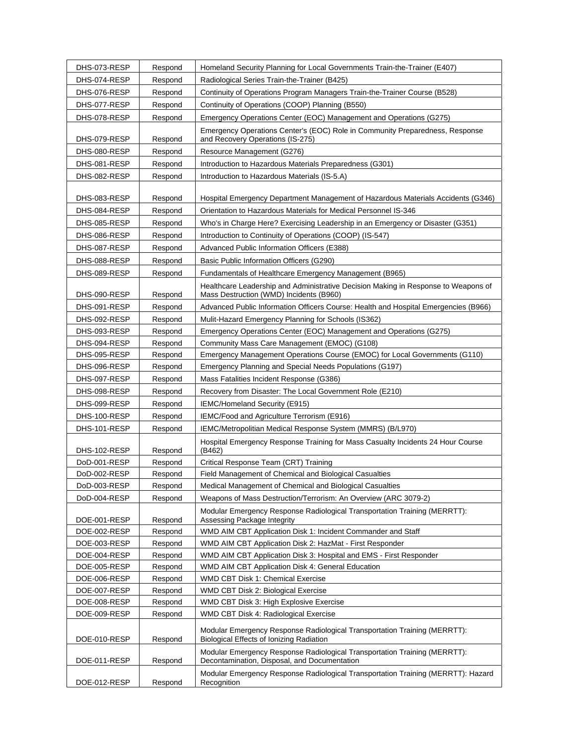| DHS-073-RESP                 | Respond            | Homeland Security Planning for Local Governments Train-the-Trainer (E407)                                                     |
|------------------------------|--------------------|-------------------------------------------------------------------------------------------------------------------------------|
| DHS-074-RESP                 | Respond            | Radiological Series Train-the-Trainer (B425)                                                                                  |
| DHS-076-RESP                 | Respond            | Continuity of Operations Program Managers Train-the-Trainer Course (B528)                                                     |
| DHS-077-RESP                 | Respond            | Continuity of Operations (COOP) Planning (B550)                                                                               |
| DHS-078-RESP                 | Respond            | Emergency Operations Center (EOC) Management and Operations (G275)                                                            |
| DHS-079-RESP                 | Respond            | Emergency Operations Center's (EOC) Role in Community Preparedness, Response<br>and Recovery Operations (IS-275)              |
| DHS-080-RESP                 | Respond            | Resource Management (G276)                                                                                                    |
| DHS-081-RESP                 | Respond            | Introduction to Hazardous Materials Preparedness (G301)                                                                       |
| DHS-082-RESP                 | Respond            | Introduction to Hazardous Materials (IS-5.A)                                                                                  |
|                              |                    |                                                                                                                               |
| DHS-083-RESP                 | Respond            | Hospital Emergency Department Management of Hazardous Materials Accidents (G346)                                              |
| DHS-084-RESP                 | Respond            | Orientation to Hazardous Materials for Medical Personnel IS-346                                                               |
| DHS-085-RESP                 | Respond            | Who's in Charge Here? Exercising Leadership in an Emergency or Disaster (G351)                                                |
| DHS-086-RESP                 | Respond            | Introduction to Continuity of Operations (COOP) (IS-547)                                                                      |
| DHS-087-RESP                 | Respond            | Advanced Public Information Officers (E388)                                                                                   |
| DHS-088-RESP                 | Respond            | Basic Public Information Officers (G290)                                                                                      |
| DHS-089-RESP                 | Respond            | Fundamentals of Healthcare Emergency Management (B965)                                                                        |
| DHS-090-RESP                 | Respond            | Healthcare Leadership and Administrative Decision Making in Response to Weapons of<br>Mass Destruction (WMD) Incidents (B960) |
| DHS-091-RESP                 | Respond            | Advanced Public Information Officers Course: Health and Hospital Emergencies (B966)                                           |
| DHS-092-RESP                 | Respond            | Mulit-Hazard Emergency Planning for Schools (IS362)                                                                           |
| DHS-093-RESP                 | Respond            | Emergency Operations Center (EOC) Management and Operations (G275)                                                            |
| DHS-094-RESP                 | Respond            | Community Mass Care Management (EMOC) (G108)                                                                                  |
| DHS-095-RESP                 | Respond            | Emergency Management Operations Course (EMOC) for Local Governments (G110)                                                    |
| DHS-096-RESP                 | Respond            | Emergency Planning and Special Needs Populations (G197)                                                                       |
| DHS-097-RESP                 | Respond            | Mass Fatalities Incident Response (G386)                                                                                      |
| DHS-098-RESP                 | Respond            | Recovery from Disaster: The Local Government Role (E210)                                                                      |
| DHS-099-RESP                 | Respond            | IEMC/Homeland Security (E915)                                                                                                 |
| DHS-100-RESP                 | Respond            | IEMC/Food and Agriculture Terrorism (E916)                                                                                    |
| DHS-101-RESP                 | Respond            | IEMC/Metropolitian Medical Response System (MMRS) (B/L970)                                                                    |
|                              |                    | Hospital Emergency Response Training for Mass Casualty Incidents 24 Hour Course<br>(B462)                                     |
| DHS-102-RESP<br>DoD-001-RESP | Respond<br>Respond | Critical Response Team (CRT) Training                                                                                         |
| DoD-002-RESP                 | Respond            | Field Management of Chemical and Biological Casualties                                                                        |
| DoD-003-RESP                 | Respond            | Medical Management of Chemical and Biological Casualties                                                                      |
| DoD-004-RESP                 |                    | Weapons of Mass Destruction/Terrorism: An Overview (ARC 3079-2)                                                               |
|                              | Respond            |                                                                                                                               |
| DOE-001-RESP                 | Respond            | Modular Emergency Response Radiological Transportation Training (MERRTT):<br>Assessing Package Integrity                      |
| DOE-002-RESP                 | Respond            | WMD AIM CBT Application Disk 1: Incident Commander and Staff                                                                  |
| DOE-003-RESP                 | Respond            | WMD AIM CBT Application Disk 2: HazMat - First Responder                                                                      |
| DOE-004-RESP                 | Respond            | WMD AIM CBT Application Disk 3: Hospital and EMS - First Responder                                                            |
| DOE-005-RESP                 | Respond            | WMD AIM CBT Application Disk 4: General Education                                                                             |
| DOE-006-RESP                 | Respond            | WMD CBT Disk 1: Chemical Exercise                                                                                             |
| DOE-007-RESP                 | Respond            | WMD CBT Disk 2: Biological Exercise                                                                                           |
| DOE-008-RESP                 | Respond            | WMD CBT Disk 3: High Explosive Exercise                                                                                       |
| DOE-009-RESP                 | Respond            | WMD CBT Disk 4: Radiological Exercise                                                                                         |
| DOE-010-RESP                 | Respond            | Modular Emergency Response Radiological Transportation Training (MERRTT):<br>Biological Effects of Ionizing Radiation         |
| DOE-011-RESP                 | Respond            | Modular Emergency Response Radiological Transportation Training (MERRTT):<br>Decontamination, Disposal, and Documentation     |
| DOE-012-RESP                 | Respond            | Modular Emergency Response Radiological Transportation Training (MERRTT): Hazard<br>Recognition                               |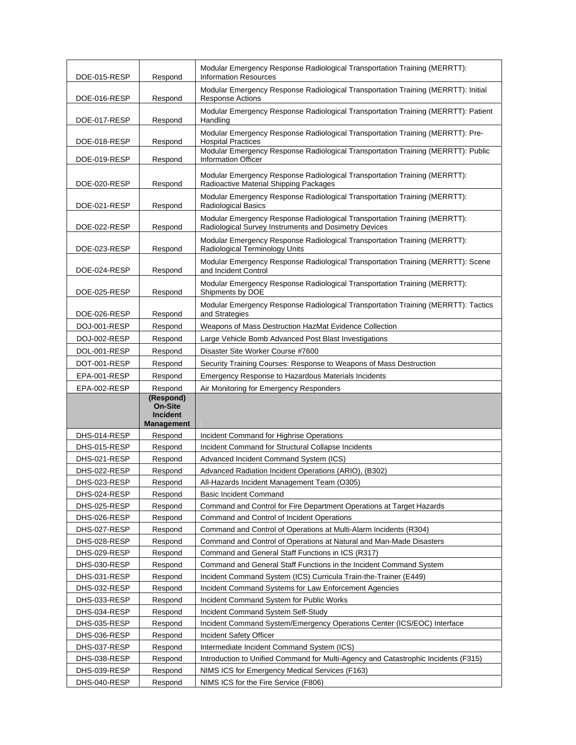| DOE-015-RESP                 | Respond                                        | Modular Emergency Response Radiological Transportation Training (MERRTT):<br><b>Information Resources</b>                          |
|------------------------------|------------------------------------------------|------------------------------------------------------------------------------------------------------------------------------------|
| DOE-016-RESP                 | Respond                                        | Modular Emergency Response Radiological Transportation Training (MERRTT): Initial<br>Response Actions                              |
| DOE-017-RESP                 | Respond                                        | Modular Emergency Response Radiological Transportation Training (MERRTT): Patient<br>Handling                                      |
| DOE-018-RESP                 | Respond                                        | Modular Emergency Response Radiological Transportation Training (MERRTT): Pre-<br><b>Hospital Practices</b>                        |
| DOE-019-RESP                 | Respond                                        | Modular Emergency Response Radiological Transportation Training (MERRTT): Public<br><b>Information Officer</b>                     |
| DOE-020-RESP                 | Respond                                        | Modular Emergency Response Radiological Transportation Training (MERRTT):<br>Radioactive Material Shipping Packages                |
| DOE-021-RESP                 | Respond                                        | Modular Emergency Response Radiological Transportation Training (MERRTT):<br>Radiological Basics                                   |
| DOE-022-RESP                 | Respond                                        | Modular Emergency Response Radiological Transportation Training (MERRTT):<br>Radiological Survey Instruments and Dosimetry Devices |
| DOE-023-RESP                 | Respond                                        | Modular Emergency Response Radiological Transportation Training (MERRTT):<br>Radiological Terminology Units                        |
| DOE-024-RESP                 | Respond                                        | Modular Emergency Response Radiological Transportation Training (MERRTT): Scene<br>and Incident Control                            |
| DOE-025-RESP                 | Respond                                        | Modular Emergency Response Radiological Transportation Training (MERRTT):<br>Shipments by DOE                                      |
| DOE-026-RESP                 | Respond                                        | Modular Emergency Response Radiological Transportation Training (MERRTT): Tactics<br>and Strategies                                |
| DOJ-001-RESP                 | Respond                                        | Weapons of Mass Destruction HazMat Evidence Collection                                                                             |
| DOJ-002-RESP                 | Respond                                        | Large Vehicle Bomb Advanced Post Blast Investigations                                                                              |
| DOL-001-RESP                 | Respond                                        | Disaster Site Worker Course #7600                                                                                                  |
| DOT-001-RESP                 | Respond                                        | Security Training Courses: Response to Weapons of Mass Destruction                                                                 |
| EPA-001-RESP                 | Respond                                        | Emergency Response to Hazardous Materials Incidents                                                                                |
|                              |                                                |                                                                                                                                    |
|                              |                                                |                                                                                                                                    |
| EPA-002-RESP                 | Respond                                        | Air Monitoring for Emergency Responders                                                                                            |
|                              | (Respond)<br><b>On-Site</b><br><b>Incident</b> |                                                                                                                                    |
|                              | <b>Management</b>                              |                                                                                                                                    |
| DHS-014-RESP                 | Respond                                        | Incident Command for Highrise Operations                                                                                           |
| DHS-015-RESP                 | Respond                                        | Incident Command for Structural Collapse Incidents                                                                                 |
| DHS-021-RESP                 | Respond                                        | Advanced Incident Command System (ICS)                                                                                             |
| DHS-022-RESP                 | Respond                                        | Advanced Radiation Incident Operations (ARIO), (B302)                                                                              |
| DHS-023-RESP                 | Respond                                        | All-Hazards Incident Management Team (O305)                                                                                        |
| DHS-024-RESP                 | Respond                                        | <b>Basic Incident Command</b>                                                                                                      |
| DHS-025-RESP                 | Respond                                        | Command and Control for Fire Department Operations at Target Hazards                                                               |
| DHS-026-RESP                 | Respond                                        | Command and Control of Incident Operations                                                                                         |
| DHS-027-RESP                 | Respond                                        | Command and Control of Operations at Multi-Alarm Incidents (R304)                                                                  |
| DHS-028-RESP                 | Respond                                        | Command and Control of Operations at Natural and Man-Made Disasters                                                                |
| DHS-029-RESP                 | Respond                                        | Command and General Staff Functions in ICS (R317)                                                                                  |
| DHS-030-RESP                 | Respond                                        | Command and General Staff Functions in the Incident Command System                                                                 |
| DHS-031-RESP                 | Respond                                        | Incident Command System (ICS) Curricula Train-the-Trainer (E449)                                                                   |
| DHS-032-RESP                 | Respond                                        | Incident Command Systems for Law Enforcement Agencies                                                                              |
| DHS-033-RESP                 | Respond                                        | Incident Command System for Public Works                                                                                           |
| DHS-034-RESP                 | Respond                                        | Incident Command System Self-Study                                                                                                 |
| DHS-035-RESP<br>DHS-036-RESP | Respond<br>Respond                             | Incident Command System/Emergency Operations Center (ICS/EOC) Interface                                                            |
| DHS-037-RESP                 | Respond                                        | Incident Safety Officer<br>Intermediate Incident Command System (ICS)                                                              |
| DHS-038-RESP                 | Respond                                        | Introduction to Unified Command for Multi-Agency and Catastrophic Incidents (F315)                                                 |
| DHS-039-RESP                 | Respond                                        | NIMS ICS for Emergency Medical Services (F163)                                                                                     |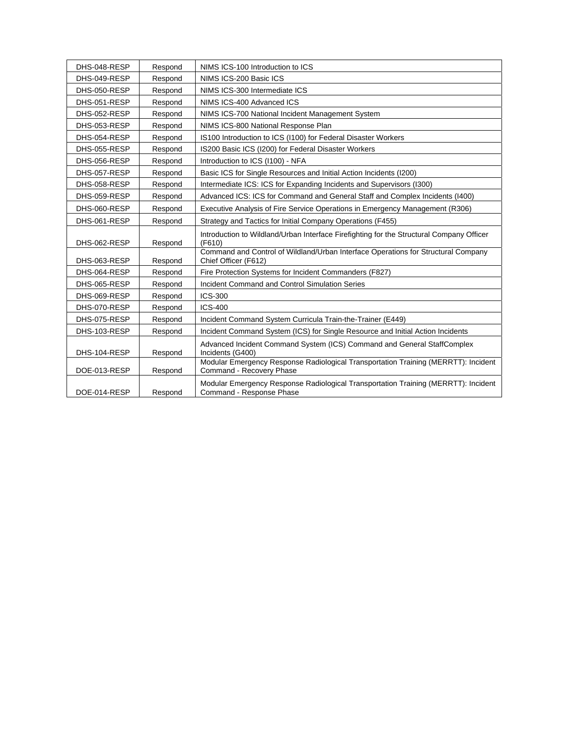| DHS-048-RESP | Respond | NIMS ICS-100 Introduction to ICS                                                                               |
|--------------|---------|----------------------------------------------------------------------------------------------------------------|
| DHS-049-RESP | Respond | NIMS ICS-200 Basic ICS                                                                                         |
| DHS-050-RESP | Respond | NIMS ICS-300 Intermediate ICS                                                                                  |
| DHS-051-RESP | Respond | NIMS ICS-400 Advanced ICS                                                                                      |
| DHS-052-RESP | Respond | NIMS ICS-700 National Incident Management System                                                               |
| DHS-053-RESP | Respond | NIMS ICS-800 National Response Plan                                                                            |
| DHS-054-RESP | Respond | IS100 Introduction to ICS (I100) for Federal Disaster Workers                                                  |
| DHS-055-RESP | Respond | IS200 Basic ICS (I200) for Federal Disaster Workers                                                            |
| DHS-056-RESP | Respond | Introduction to ICS (I100) - NFA                                                                               |
| DHS-057-RESP | Respond | Basic ICS for Single Resources and Initial Action Incidents (I200)                                             |
| DHS-058-RESP | Respond | Intermediate ICS: ICS for Expanding Incidents and Supervisors (I300)                                           |
| DHS-059-RESP | Respond | Advanced ICS: ICS for Command and General Staff and Complex Incidents (I400)                                   |
| DHS-060-RESP | Respond | Executive Analysis of Fire Service Operations in Emergency Management (R306)                                   |
| DHS-061-RESP | Respond | Strategy and Tactics for Initial Company Operations (F455)                                                     |
| DHS-062-RESP | Respond | Introduction to Wildland/Urban Interface Firefighting for the Structural Company Officer<br>(F610)             |
| DHS-063-RESP | Respond | Command and Control of Wildland/Urban Interface Operations for Structural Company<br>Chief Officer (F612)      |
| DHS-064-RESP | Respond | Fire Protection Systems for Incident Commanders (F827)                                                         |
| DHS-065-RESP | Respond | Incident Command and Control Simulation Series                                                                 |
| DHS-069-RESP | Respond | <b>ICS-300</b>                                                                                                 |
| DHS-070-RESP | Respond | <b>ICS-400</b>                                                                                                 |
| DHS-075-RESP | Respond | Incident Command System Curricula Train-the-Trainer (E449)                                                     |
| DHS-103-RESP | Respond | Incident Command System (ICS) for Single Resource and Initial Action Incidents                                 |
| DHS-104-RESP | Respond | Advanced Incident Command System (ICS) Command and General StaffComplex<br>Incidents (G400)                    |
| DOE-013-RESP | Respond | Modular Emergency Response Radiological Transportation Training (MERRTT): Incident<br>Command - Recovery Phase |
| DOE-014-RESP | Respond | Modular Emergency Response Radiological Transportation Training (MERRTT): Incident<br>Command - Response Phase |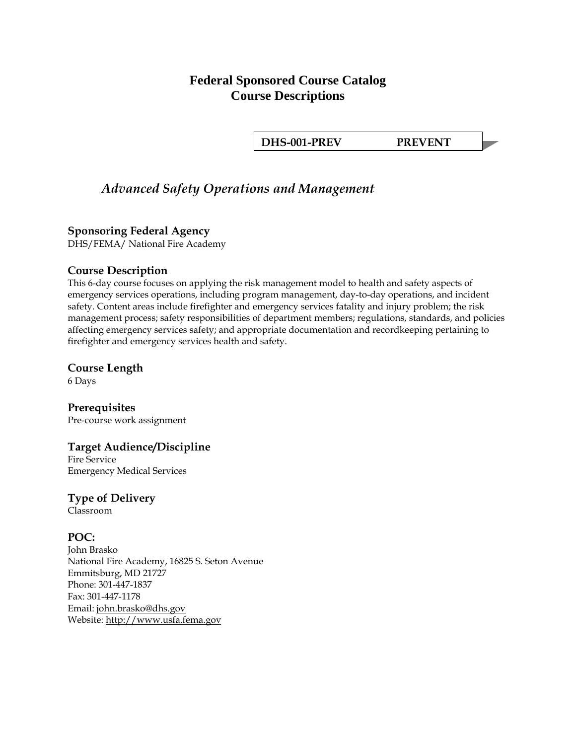# **Federal Sponsored Course Catalog Course Descriptions**

**DHS-001-PREV PREVENT** 

# *Advanced Safety Operations and Management*

# **Sponsoring Federal Agency**

DHS/FEMA/ National Fire Academy

#### **Course Description**

This 6-day course focuses on applying the risk management model to health and safety aspects of emergency services operations, including program management, day-to-day operations, and incident safety. Content areas include firefighter and emergency services fatality and injury problem; the risk management process; safety responsibilities of department members; regulations, standards, and policies affecting emergency services safety; and appropriate documentation and recordkeeping pertaining to firefighter and emergency services health and safety.

# **Course Length**

6 Days

**Prerequisites**  Pre-course work assignment

# **Target Audience/Discipline**

Fire Service Emergency Medical Services

# **Type of Delivery**

Classroom

# **POC:**

John Brasko National Fire Academy, 16825 S. Seton Avenue Emmitsburg, MD 21727 Phone: 301-447-1837 Fax: 301-447-1178 Email: [john.brasko@dhs.gov](mailto:john.brasko@dhs.gov) Website: [http://www.usfa.fema.gov](http://www.usfa.fema.gov/)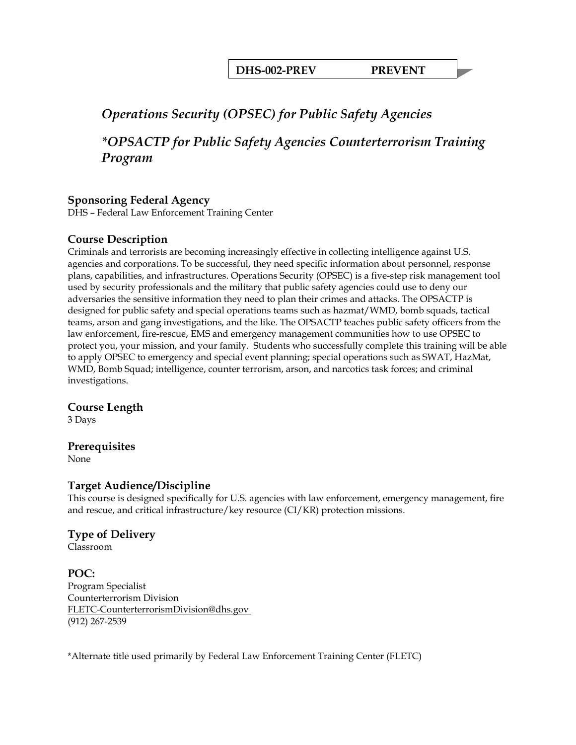**DHS-002-PREV PREVENT** 

# *Operations Security (OPSEC) for Public Safety Agencies*

*\*OPSACTP for Public Safety Agencies Counterterrorism Training Program* 

# **Sponsoring Federal Agency**

DHS – Federal Law Enforcement Training Center

# **Course Description**

Criminals and terrorists are becoming increasingly effective in collecting intelligence against U.S. agencies and corporations. To be successful, they need specific information about personnel, response plans, capabilities, and infrastructures. Operations Security (OPSEC) is a five-step risk management tool used by security professionals and the military that public safety agencies could use to deny our adversaries the sensitive information they need to plan their crimes and attacks. The OPSACTP is designed for public safety and special operations teams such as hazmat/WMD, bomb squads, tactical teams, arson and gang investigations, and the like. The OPSACTP teaches public safety officers from the law enforcement, fire-rescue, EMS and emergency management communities how to use OPSEC to protect you, your mission, and your family. Students who successfully complete this training will be able to apply OPSEC to emergency and special event planning; special operations such as SWAT, HazMat, WMD, Bomb Squad; intelligence, counter terrorism, arson, and narcotics task forces; and criminal investigations.

#### **Course Length**

3 Days

#### **Prerequisites**

None

#### **Target Audience/Discipline**

This course is designed specifically for U.S. agencies with law enforcement, emergency management, fire and rescue, and critical infrastructure/key resource (CI/KR) protection missions.

# **Type of Delivery**

Classroom

#### **POC:**  Program Specialist Counterterrorism Division FLETC-CounterterrorismDivision@dhs.gov (912) 267-2539

\*Alternate title used primarily by Federal Law Enforcement Training Center (FLETC)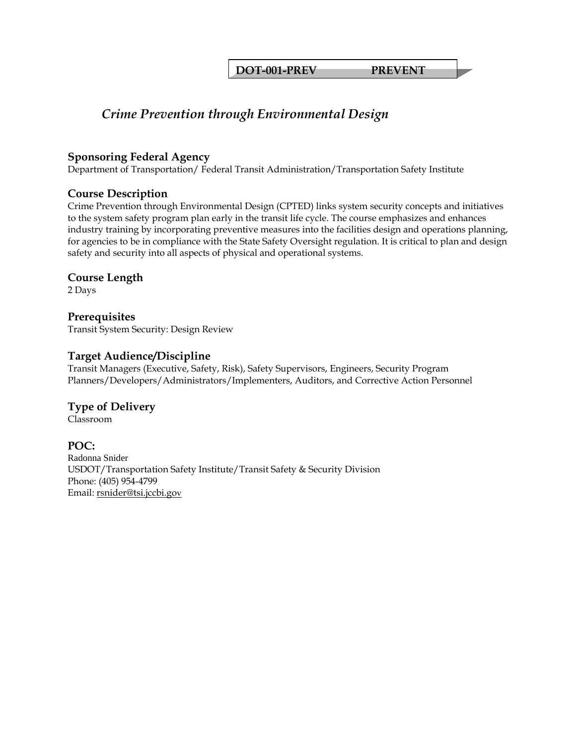**DOT-001-PREV PREVENT** 

# *Crime Prevention through Environmental Design*

#### **Sponsoring Federal Agency**

Department of Transportation/ Federal Transit Administration/Transportation Safety Institute

# **Course Description**

Crime Prevention through Environmental Design (CPTED) links system security concepts and initiatives to the system safety program plan early in the transit life cycle. The course emphasizes and enhances industry training by incorporating preventive measures into the facilities design and operations planning, for agencies to be in compliance with the State Safety Oversight regulation. It is critical to plan and design safety and security into all aspects of physical and operational systems.

# **Course Length**

2 Days

# **Prerequisites**

Transit System Security: Design Review

# **Target Audience/Discipline**

Transit Managers (Executive, Safety, Risk), Safety Supervisors, Engineers, Security Program Planners/Developers/Administrators/Implementers, Auditors, and Corrective Action Personnel

# **Type of Delivery**

Classroom

# **POC:**

Radonna Snider USDOT/Transportation Safety Institute/Transit Safety & Security Division Phone: (405) 954-4799 Email: [rsnider@tsi.jccbi.gov](mailto:rsnider@tsi.jccbi.gov)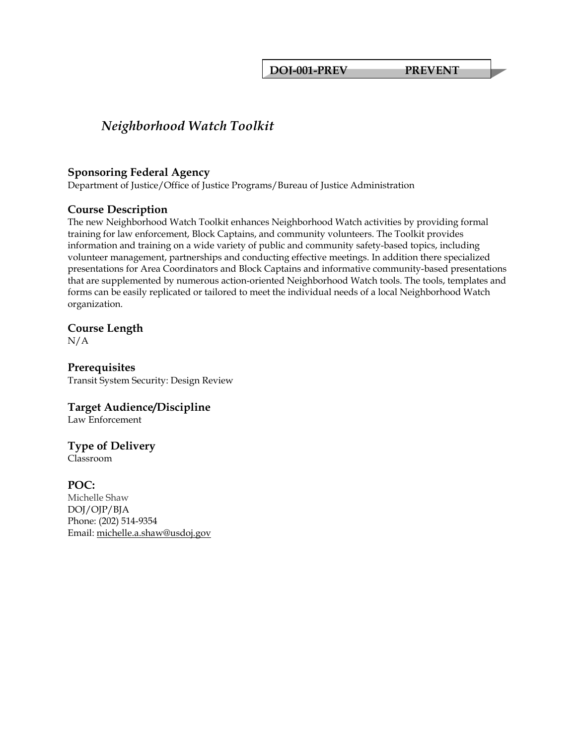**DOJ-001-PREV PREVENT** 

# *Neighborhood Watch Toolkit*

#### **Sponsoring Federal Agency**

Department of Justice/Office of Justice Programs/Bureau of Justice Administration

# **Course Description**

The new Neighborhood Watch Toolkit enhances Neighborhood Watch activities by providing formal training for law enforcement, Block Captains, and community volunteers. The Toolkit provides information and training on a wide variety of public and community safety-based topics, including volunteer management, partnerships and conducting effective meetings. In addition there specialized presentations for Area Coordinators and Block Captains and informative community-based presentations that are supplemented by numerous action-oriented Neighborhood Watch tools. The tools, templates and forms can be easily replicated or tailored to meet the individual needs of a local Neighborhood Watch organization.

# **Course Length**

N/A

# **Prerequisites**

Transit System Security: Design Review

# **Target Audience/Discipline**

Law Enforcement

# **Type of Delivery**

Classroom

# **POC:**

Michelle Shaw DOJ/OJP/BJA Phone: (202) 514-9354 Email: [michelle.a.shaw@usdoj.gov](mailto:michelle.a.shaw@usdoj.gov)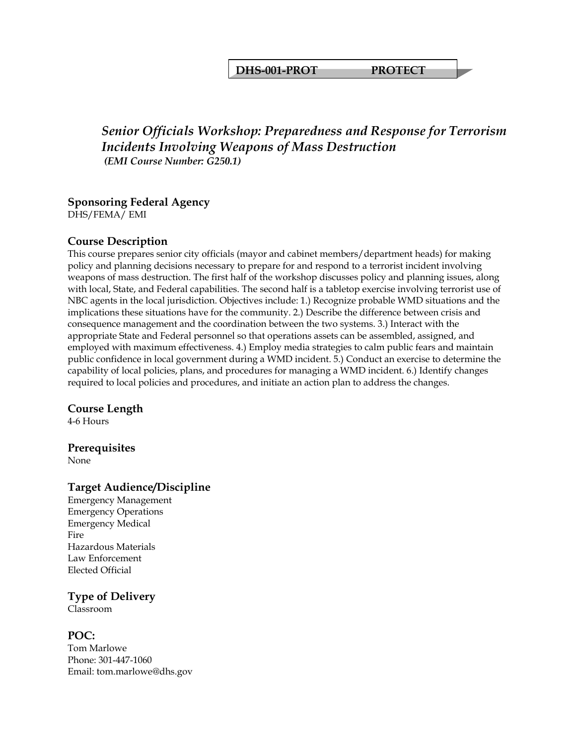**DHS-001-PROT PROTECT** 

# *Senior Officials Workshop: Preparedness and Response for Terrorism Incidents Involving Weapons of Mass Destruction (EMI Course Number: G250.1)*

#### **Sponsoring Federal Agency**  DHS/FEMA/ EMI

# **Course Description**

This course prepares senior city officials (mayor and cabinet members/department heads) for making policy and planning decisions necessary to prepare for and respond to a terrorist incident involving weapons of mass destruction. The first half of the workshop discusses policy and planning issues, along with local, State, and Federal capabilities. The second half is a tabletop exercise involving terrorist use of NBC agents in the local jurisdiction. Objectives include: 1.) Recognize probable WMD situations and the implications these situations have for the community. 2.) Describe the difference between crisis and consequence management and the coordination between the two systems. 3.) Interact with the appropriate State and Federal personnel so that operations assets can be assembled, assigned, and employed with maximum effectiveness. 4.) Employ media strategies to calm public fears and maintain public confidence in local government during a WMD incident. 5.) Conduct an exercise to determine the capability of local policies, plans, and procedures for managing a WMD incident. 6.) Identify changes required to local policies and procedures, and initiate an action plan to address the changes.

# **Course Length**

4-6 Hours

# **Prerequisites**

None

# **Target Audience/Discipline**

Emergency Management Emergency Operations Emergency Medical Fire Hazardous Materials Law Enforcement Elected Official

# **Type of Delivery**

Classroom

# **POC:**

Tom Marlowe Phone: 301-447-1060 Email: tom.marlowe@dhs.gov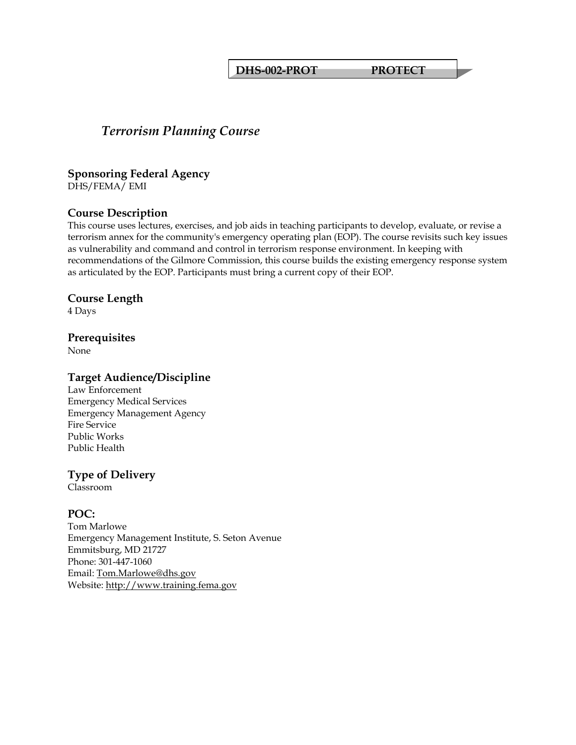**DHS-002-PROT PROTECT** 

# *Terrorism Planning Course*

**Sponsoring Federal Agency**  DHS/FEMA/ EMI

#### **Course Description**

This course uses lectures, exercises, and job aids in teaching participants to develop, evaluate, or revise a terrorism annex for the community's emergency operating plan (EOP). The course revisits such key issues as vulnerability and command and control in terrorism response environment. In keeping with recommendations of the Gilmore Commission, this course builds the existing emergency response system as articulated by the EOP. Participants must bring a current copy of their EOP.

#### **Course Length**

4 Days

#### **Prerequisites**

None

### **Target Audience/Discipline**

Law Enforcement Emergency Medical Services Emergency Management Agency Fire Service Public Works Public Health

# **Type of Delivery**

Classroom

#### **POC:**

Tom Marlowe Emergency Management Institute, S. Seton Avenue Emmitsburg, MD 21727 Phone: 301-447-1060 Email: [Tom.Marlowe@dhs.gov](mailto:Tom.Marlowe@dhs.gov) Website: [http://www.training.fema.gov](http://www.training.fema.gov/)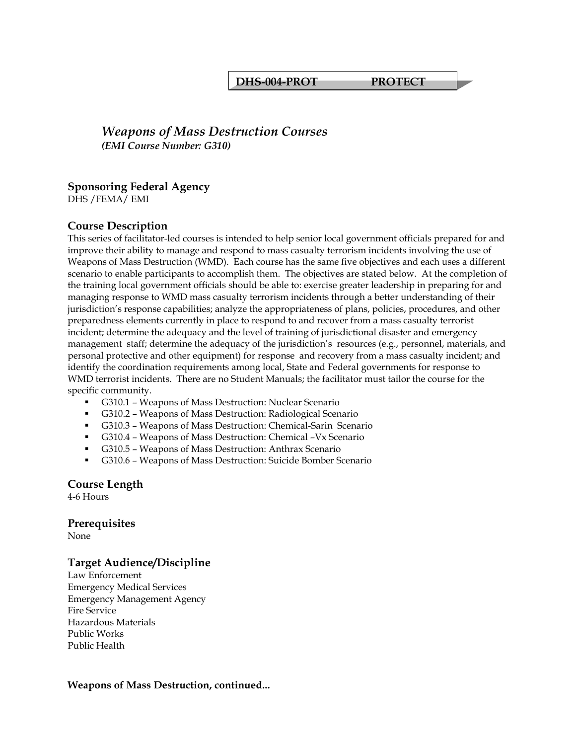#### **DHS-004-PROT PROTECT**

# *Weapons of Mass Destruction Courses (EMI Course Number: G310)*

#### **Sponsoring Federal Agency**

DHS /FEMA/ EMI

#### **Course Description**

This series of facilitator-led courses is intended to help senior local government officials prepared for and improve their ability to manage and respond to mass casualty terrorism incidents involving the use of Weapons of Mass Destruction (WMD). Each course has the same five objectives and each uses a different scenario to enable participants to accomplish them. The objectives are stated below. At the completion of the training local government officials should be able to: exercise greater leadership in preparing for and managing response to WMD mass casualty terrorism incidents through a better understanding of their jurisdiction's response capabilities; analyze the appropriateness of plans, policies, procedures, and other preparedness elements currently in place to respond to and recover from a mass casualty terrorist incident; determine the adequacy and the level of training of jurisdictional disaster and emergency management staff; determine the adequacy of the jurisdiction's resources (e.g., personnel, materials, and personal protective and other equipment) for response and recovery from a mass casualty incident; and identify the coordination requirements among local, State and Federal governments for response to WMD terrorist incidents. There are no Student Manuals; the facilitator must tailor the course for the specific community.

- G310.1 Weapons of Mass Destruction: Nuclear Scenario
- G310.2 Weapons of Mass Destruction: Radiological Scenario
- G310.3 Weapons of Mass Destruction: Chemical-Sarin Scenario
- G310.4 Weapons of Mass Destruction: Chemical –Vx Scenario
- G310.5 Weapons of Mass Destruction: Anthrax Scenario
- G310.6 Weapons of Mass Destruction: Suicide Bomber Scenario

**Course Length** 

4-6 Hours

#### **Prerequisites**

None

# **Target Audience/Discipline**

Law Enforcement Emergency Medical Services Emergency Management Agency Fire Service Hazardous Materials Public Works Public Health

#### **Weapons of Mass Destruction, continued...**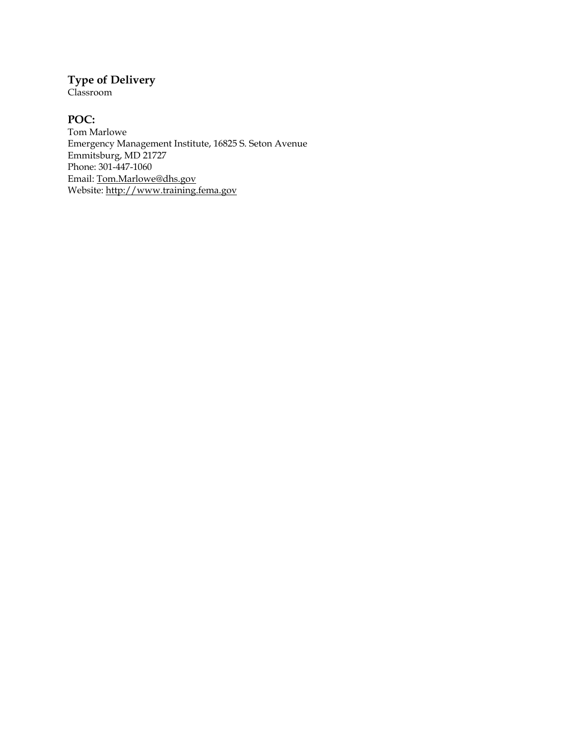# **Type of Delivery**

Classroom

# **POC:**

Tom Marlowe Emergency Management Institute, 16825 S. Seton Avenue Emmitsburg, MD 21727 Phone: 301-447-1060 Email: [Tom.Marlowe@dhs.gov](mailto:Tom.Marlowe@dhs.gov) Website: <u>http://www.training.fema.gov</u>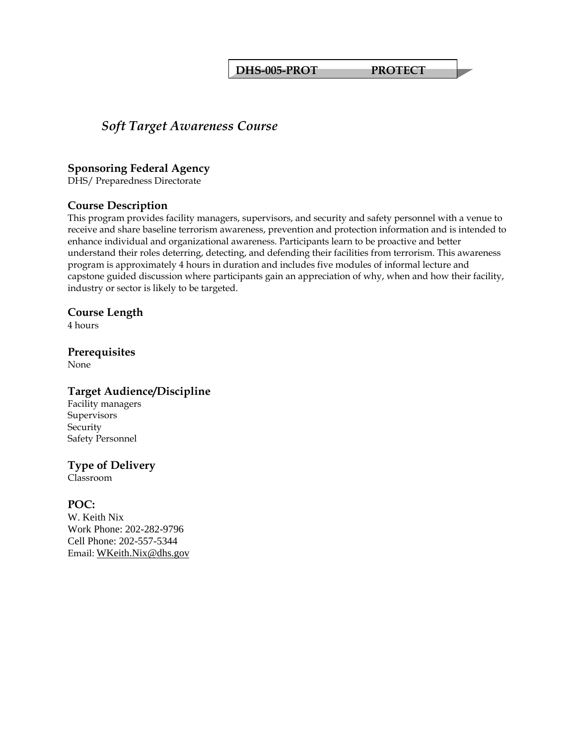**DHS-005-PROT PROTECT** 

# *Soft Target Awareness Course*

#### **Sponsoring Federal Agency**

DHS/ Preparedness Directorate

#### **Course Description**

This program provides facility managers, supervisors, and security and safety personnel with a venue to receive and share baseline terrorism awareness, prevention and protection information and is intended to enhance individual and organizational awareness. Participants learn to be proactive and better understand their roles deterring, detecting, and defending their facilities from terrorism. This awareness program is approximately 4 hours in duration and includes five modules of informal lecture and capstone guided discussion where participants gain an appreciation of why, when and how their facility, industry or sector is likely to be targeted.

#### **Course Length**

4 hours

# **Prerequisites**

None

# **Target Audience/Discipline**

Facility managers **Supervisors** Security Safety Personnel

# **Type of Delivery**

Classroom

# **POC:**

W. Keith Nix Work Phone: 202-282-9796 Cell Phone: 202-557-5344 Email: [WKeith.Nix@dhs.gov](mailto:WKeith.Nix@dhs.gov)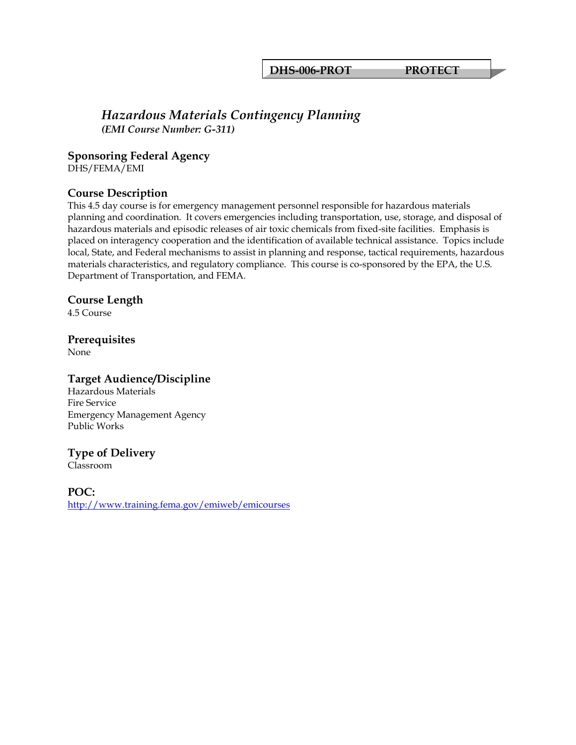# *Hazardous Materials Contingency Planning*

*(EMI Course Number: G-311)*

#### **Sponsoring Federal Agency**

DHS/FEMA/EMI

# **Course Description**

This 4.5 day course is for emergency management personnel responsible for hazardous materials planning and coordination. It covers emergencies including transportation, use, storage, and disposal of hazardous materials and episodic releases of air toxic chemicals from fixed-site facilities. Emphasis is placed on interagency cooperation and the identification of available technical assistance. Topics include local, State, and Federal mechanisms to assist in planning and response, tactical requirements, hazardous materials characteristics, and regulatory compliance. This course is co-sponsored by the EPA, the U.S. Department of Transportation, and FEMA.

#### **Course Length**

4.5 Course

#### **Prerequisites**

None

#### **Target Audience/Discipline**

Hazardous Materials Fire Service Emergency Management Agency Public Works

#### **Type of Delivery**

Classroom

**POC:**  <http://www.training.fema.gov/emiweb/emicourses>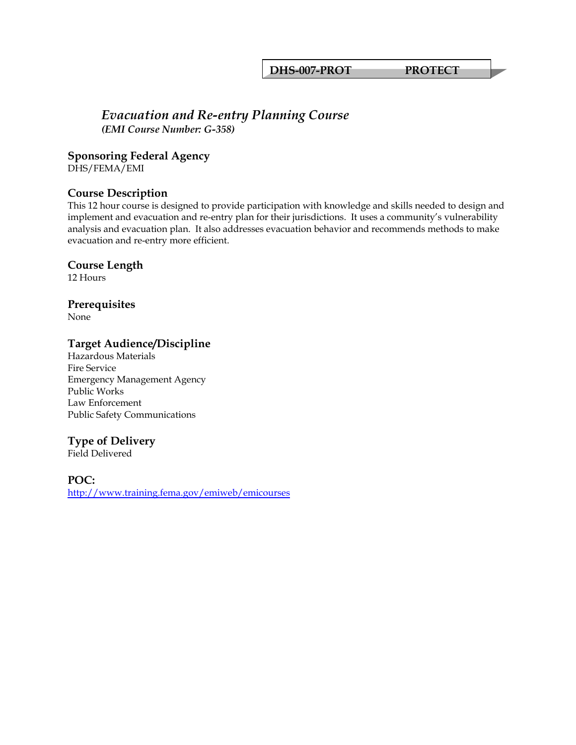**DHS-007-PROT PROTECT** 

# *Evacuation and Re-entry Planning Course*

*(EMI Course Number: G-358)*

#### **Sponsoring Federal Agency**

DHS/FEMA/EMI

# **Course Description**

This 12 hour course is designed to provide participation with knowledge and skills needed to design and implement and evacuation and re-entry plan for their jurisdictions. It uses a community's vulnerability analysis and evacuation plan. It also addresses evacuation behavior and recommends methods to make evacuation and re-entry more efficient.

#### **Course Length**

12 Hours

# **Prerequisites**

None

# **Target Audience/Discipline**

Hazardous Materials Fire Service Emergency Management Agency Public Works Law Enforcement Public Safety Communications

# **Type of Delivery**

Field Delivered

**POC:**  <http://www.training.fema.gov/emiweb/emicourses>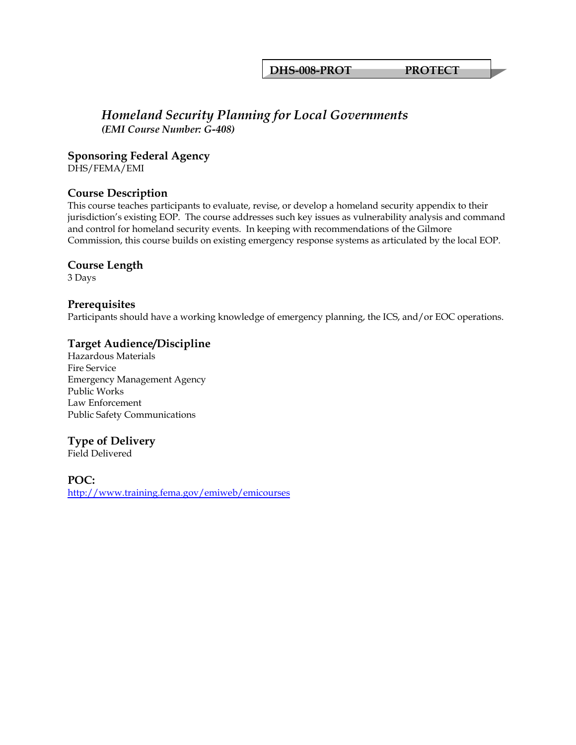**DHS-008-PROT PROTECT** 

# *Homeland Security Planning for Local Governments (EMI Course Number: G-408)*

#### **Sponsoring Federal Agency**

DHS/FEMA/EMI

#### **Course Description**

This course teaches participants to evaluate, revise, or develop a homeland security appendix to their jurisdiction's existing EOP. The course addresses such key issues as vulnerability analysis and command and control for homeland security events. In keeping with recommendations of the Gilmore Commission, this course builds on existing emergency response systems as articulated by the local EOP.

#### **Course Length**

3 Days

#### **Prerequisites**

Participants should have a working knowledge of emergency planning, the ICS, and/or EOC operations.

#### **Target Audience/Discipline**

Hazardous Materials Fire Service Emergency Management Agency Public Works Law Enforcement Public Safety Communications

# **Type of Delivery**

Field Delivered

**POC:**  <http://www.training.fema.gov/emiweb/emicourses>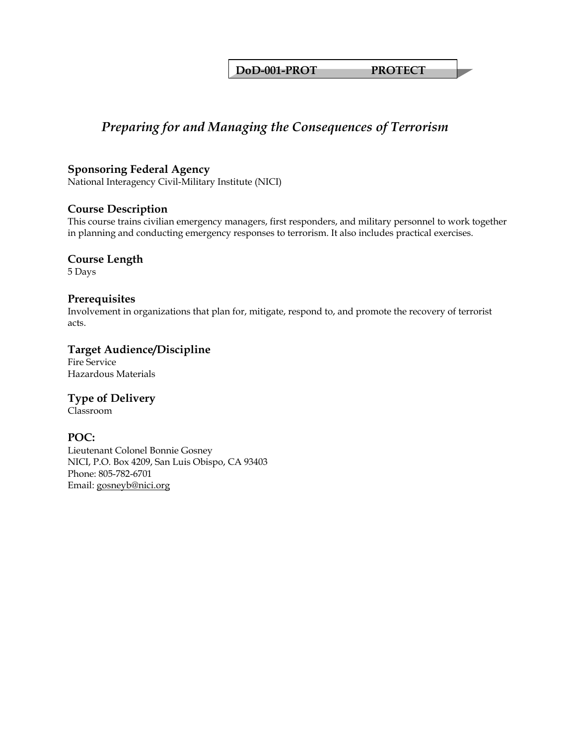**DoD-001-PROT PROTECT** 

# *Preparing for and Managing the Consequences of Terrorism*

### **Sponsoring Federal Agency**

National Interagency Civil-Military Institute (NICI)

#### **Course Description**

This course trains civilian emergency managers, first responders, and military personnel to work together in planning and conducting emergency responses to terrorism. It also includes practical exercises.

#### **Course Length**

5 Days

#### **Prerequisites**

Involvement in organizations that plan for, mitigate, respond to, and promote the recovery of terrorist acts.

# **Target Audience/Discipline**

Fire Service Hazardous Materials

# **Type of Delivery**

Classroom

# **POC:**

Lieutenant Colonel Bonnie Gosney NICI, P.O. Box 4209, San Luis Obispo, CA 93403 Phone: 805-782-6701 Email: [gosneyb@nici.org](mailto:gosneyb@nici.org)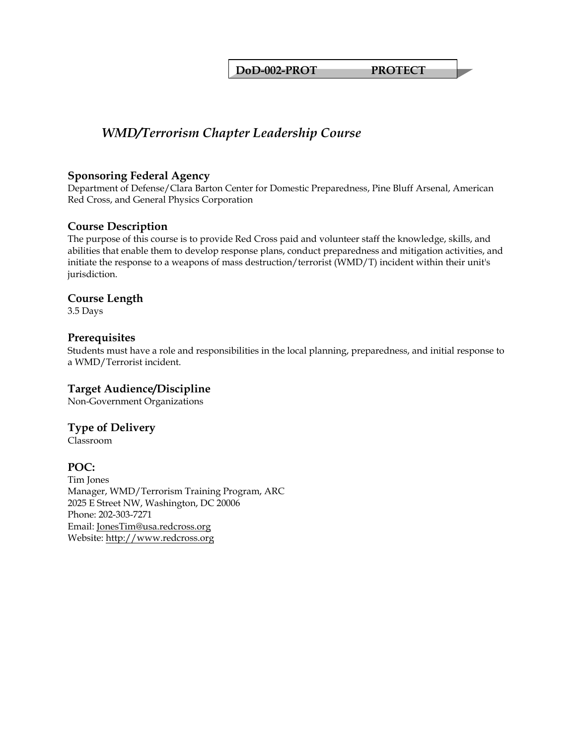**DoD-002-PROT PROTECT** 

# *WMD/Terrorism Chapter Leadership Course*

#### **Sponsoring Federal Agency**

Department of Defense/Clara Barton Center for Domestic Preparedness, Pine Bluff Arsenal, American Red Cross, and General Physics Corporation

# **Course Description**

The purpose of this course is to provide Red Cross paid and volunteer staff the knowledge, skills, and abilities that enable them to develop response plans, conduct preparedness and mitigation activities, and initiate the response to a weapons of mass destruction/terrorist (WMD/T) incident within their unit's jurisdiction.

#### **Course Length**

3.5 Days

#### **Prerequisites**

Students must have a role and responsibilities in the local planning, preparedness, and initial response to a WMD/Terrorist incident.

# **Target Audience/Discipline**

Non-Government Organizations

# **Type of Delivery**

Classroom

# **POC:**

Tim Jones Manager, WMD/Terrorism Training Program, ARC 2025 E Street NW, Washington, DC 20006 Phone: 202-303-7271 Email: [JonesTim@usa.redcross.org](mailto:JonesTim@usa.redcross.org) Website: [http://www.redcross.org](http://www.redcross.org/)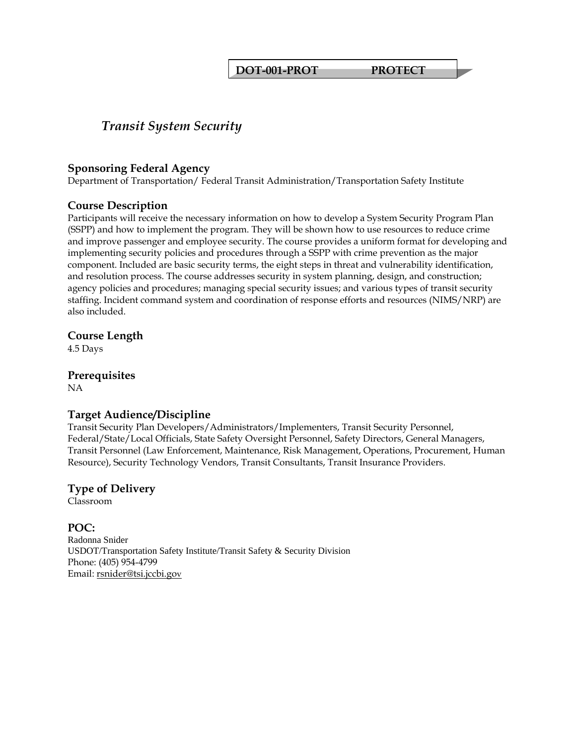**DOT-001-PROT PROTECT** 

# *Transit System Security*

#### **Sponsoring Federal Agency**

Department of Transportation/ Federal Transit Administration/Transportation Safety Institute

#### **Course Description**

Participants will receive the necessary information on how to develop a System Security Program Plan (SSPP) and how to implement the program. They will be shown how to use resources to reduce crime and improve passenger and employee security. The course provides a uniform format for developing and implementing security policies and procedures through a SSPP with crime prevention as the major component. Included are basic security terms, the eight steps in threat and vulnerability identification, and resolution process. The course addresses security in system planning, design, and construction; agency policies and procedures; managing special security issues; and various types of transit security staffing. Incident command system and coordination of response efforts and resources (NIMS/NRP) are also included.

# **Course Length**

4.5 Days

# **Prerequisites**

NA

# **Target Audience/Discipline**

Transit Security Plan Developers/Administrators/Implementers, Transit Security Personnel, Federal/State/Local Officials, State Safety Oversight Personnel, Safety Directors, General Managers, Transit Personnel (Law Enforcement, Maintenance, Risk Management, Operations, Procurement, Human Resource), Security Technology Vendors, Transit Consultants, Transit Insurance Providers.

#### **Type of Delivery** Classroom

**POC:**  Radonna Snider USDOT/Transportation Safety Institute/Transit Safety & Security Division Phone: (405) 954-4799 Email: [rsnider@tsi.jccbi.gov](mailto:rsnider@tsi.jccbi.gov)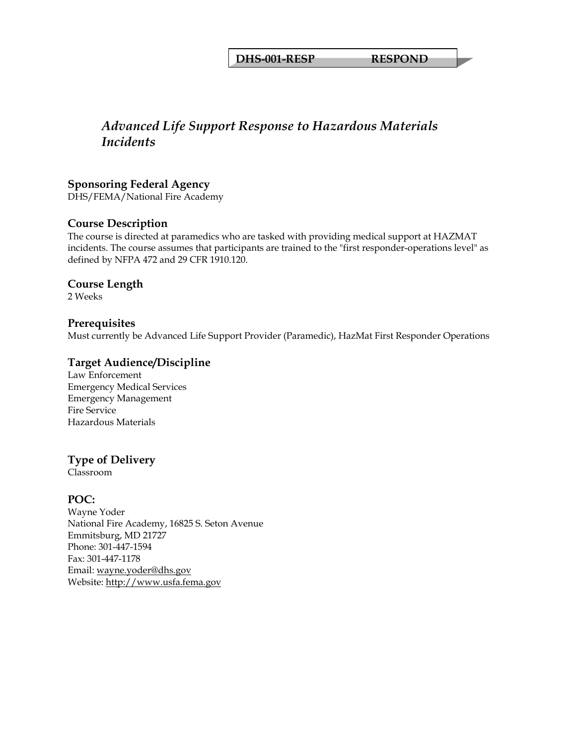#### **DHS-001-RESP RESPOND**

# *Advanced Life Support Response to Hazardous Materials Incidents*

#### **Sponsoring Federal Agency**

DHS/FEMA/National Fire Academy

#### **Course Description**

The course is directed at paramedics who are tasked with providing medical support at HAZMAT incidents. The course assumes that participants are trained to the "first responder-operations level" as defined by NFPA 472 and 29 CFR 1910.120.

#### **Course Length**

2 Weeks

#### **Prerequisites**

Must currently be Advanced Life Support Provider (Paramedic), HazMat First Responder Operations

#### **Target Audience/Discipline**

Law Enforcement Emergency Medical Services Emergency Management Fire Service Hazardous Materials

#### **Type of Delivery**

Classroom

#### **POC:**

Wayne Yoder National Fire Academy, 16825 S. Seton Avenue Emmitsburg, MD 21727 Phone: 301-447-1594 Fax: 301-447-1178 Email: [wayne.yoder@dhs.gov](mailto:wayne.yoder@dhs.gov) Website: [http://www.usfa.fema.gov](http://www.usfa.fema.gov/)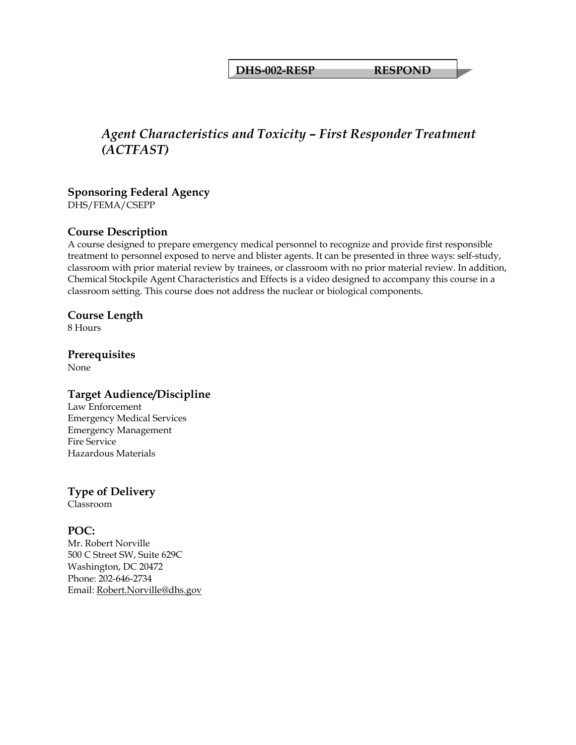**DHS-002-RESP RESPOND** 

# *Agent Characteristics and Toxicity – First Responder Treatment (ACTFAST)*

# **Sponsoring Federal Agency**

DHS/FEMA/CSEPP

# **Course Description**

A course designed to prepare emergency medical personnel to recognize and provide first responsible treatment to personnel exposed to nerve and blister agents. It can be presented in three ways: self-study, classroom with prior material review by trainees, or classroom with no prior material review. In addition, Chemical Stockpile Agent Characteristics and Effects is a video designed to accompany this course in a classroom setting. This course does not address the nuclear or biological components.

#### **Course Length**

8 Hours

# **Prerequisites**

None

# **Target Audience/Discipline**

Law Enforcement Emergency Medical Services Emergency Management Fire Service Hazardous Materials

# **Type of Delivery**

Classroom

# **POC:**

Mr. Robert Norville 500 C Street SW, Suite 629C Washington, DC 20472 Phone: 202-646-2734 Email: [Robert.Norville@dhs.gov](mailto:Robert.Norville@dhs.gov)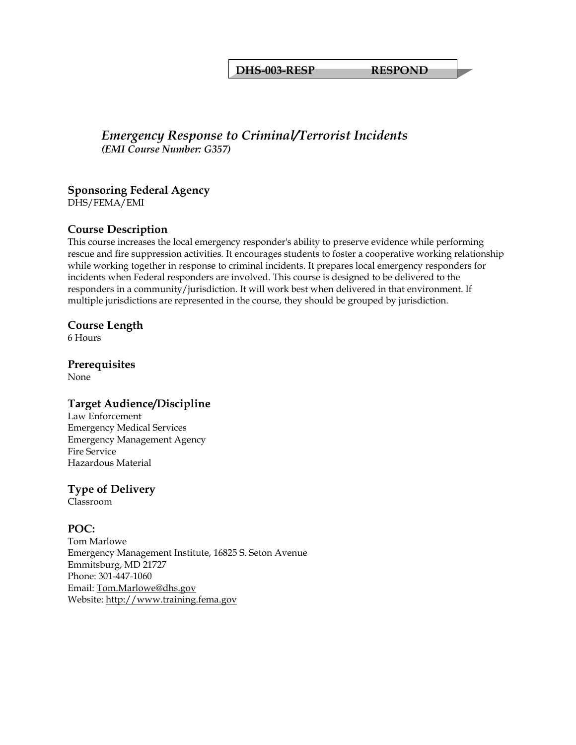**DHS-003-RESP RESPOND** 

# *Emergency Response to Criminal/Terrorist Incidents (EMI Course Number: G357)*

# **Sponsoring Federal Agency**

DHS/FEMA/EMI

# **Course Description**

This course increases the local emergency responder's ability to preserve evidence while performing rescue and fire suppression activities. It encourages students to foster a cooperative working relationship while working together in response to criminal incidents. It prepares local emergency responders for incidents when Federal responders are involved. This course is designed to be delivered to the responders in a community/jurisdiction. It will work best when delivered in that environment. If multiple jurisdictions are represented in the course, they should be grouped by jurisdiction.

#### **Course Length**

6 Hours

# **Prerequisites**

None

# **Target Audience/Discipline**

Law Enforcement Emergency Medical Services Emergency Management Agency Fire Service Hazardous Material

# **Type of Delivery**

Classroom

# **POC:**

Tom Marlowe Emergency Management Institute, 16825 S. Seton Avenue Emmitsburg, MD 21727 Phone: 301-447-1060 Email: [Tom.Marlowe@dhs.gov](mailto:Tom.Marlowe@dhs.gov) Website: [http://www.training.fema.gov](http://www.training.fema.gov/)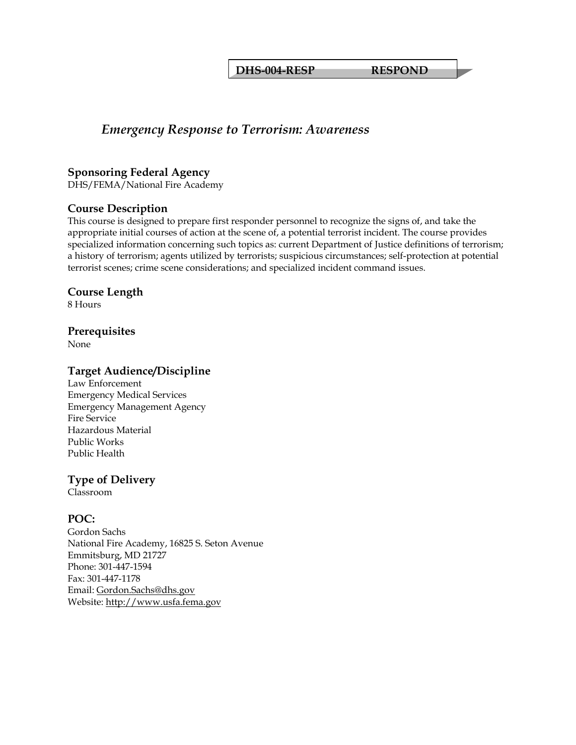#### **DHS-004-RESP RESPOND**

# *Emergency Response to Terrorism: Awareness*

#### **Sponsoring Federal Agency**

DHS/FEMA/National Fire Academy

#### **Course Description**

This course is designed to prepare first responder personnel to recognize the signs of, and take the appropriate initial courses of action at the scene of, a potential terrorist incident. The course provides specialized information concerning such topics as: current Department of Justice definitions of terrorism; a history of terrorism; agents utilized by terrorists; suspicious circumstances; self-protection at potential terrorist scenes; crime scene considerations; and specialized incident command issues.

#### **Course Length**

8 Hours

#### **Prerequisites**

None

#### **Target Audience/Discipline**

Law Enforcement Emergency Medical Services Emergency Management Agency Fire Service Hazardous Material Public Works Public Health

# **Type of Delivery**

Classroom

# **POC:**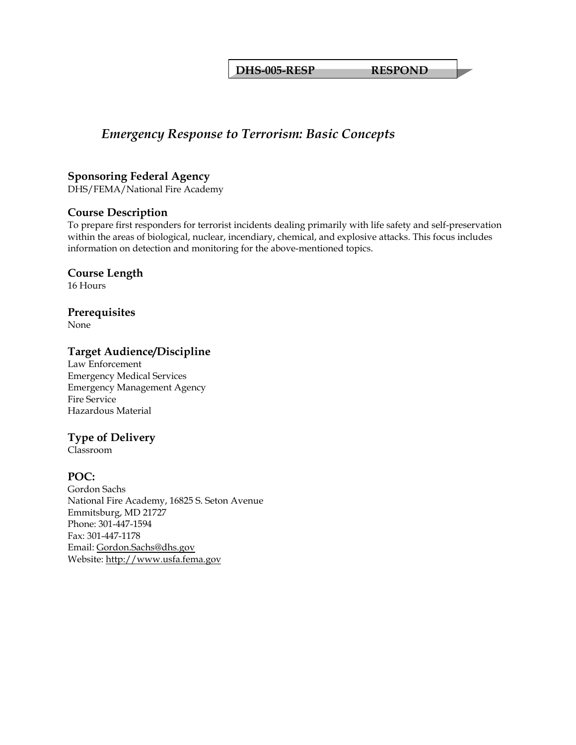**DHS-005-RESP RESPOND** 

# *Emergency Response to Terrorism: Basic Concepts*

#### **Sponsoring Federal Agency**

DHS/FEMA/National Fire Academy

#### **Course Description**

To prepare first responders for terrorist incidents dealing primarily with life safety and self-preservation within the areas of biological, nuclear, incendiary, chemical, and explosive attacks. This focus includes information on detection and monitoring for the above-mentioned topics.

# **Course Length**

16 Hours

#### **Prerequisites**

None

#### **Target Audience/Discipline**

Law Enforcement Emergency Medical Services Emergency Management Agency Fire Service Hazardous Material

# **Type of Delivery**

Classroom

# **POC:**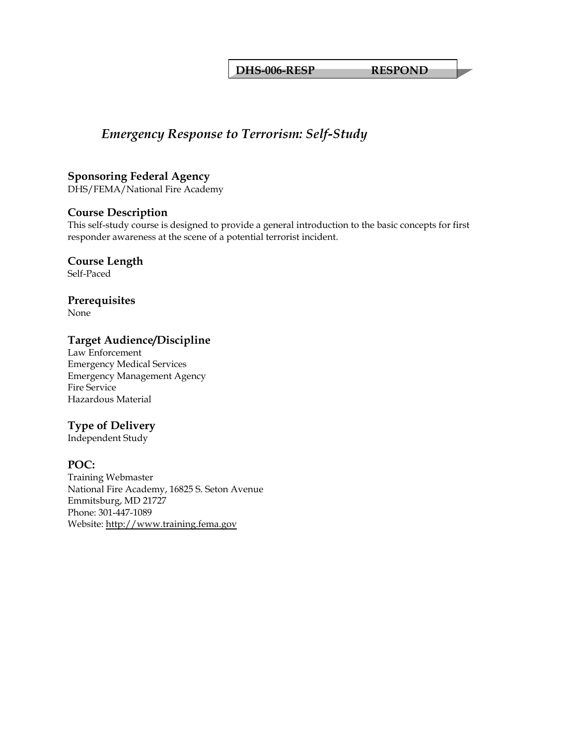**DHS-006-RESP RESPOND** 

# *Emergency Response to Terrorism: Self-Study*

# **Sponsoring Federal Agency**

DHS/FEMA/National Fire Academy

# **Course Description**

This self-study course is designed to provide a general introduction to the basic concepts for first responder awareness at the scene of a potential terrorist incident.

# **Course Length**

Self-Paced

# **Prerequisites**

None

# **Target Audience/Discipline**

Law Enforcement Emergency Medical Services Emergency Management Agency Fire Service Hazardous Material

# **Type of Delivery**

Independent Study

# **POC:**

Training Webmaster National Fire Academy, 16825 S. Seton Avenue Emmitsburg, MD 21727 Phone: 301-447-1089 Website: [http://www.training.fema.gov](http://www.training.fema.gov/)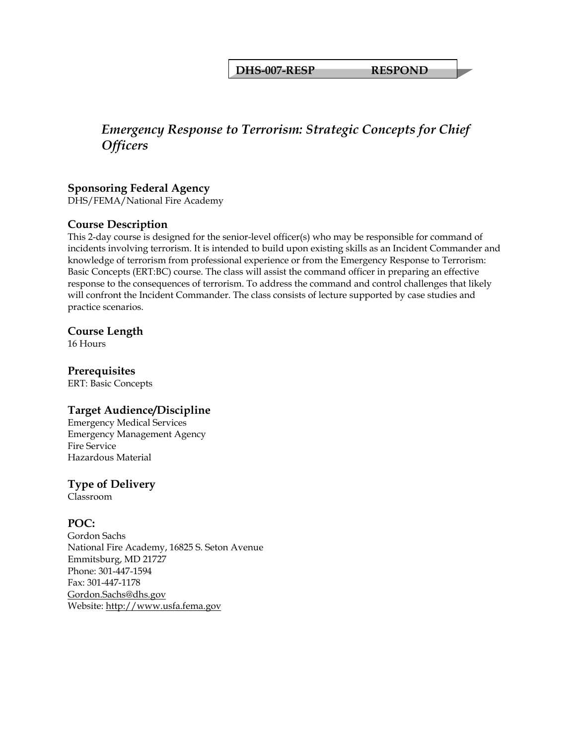**DHS-007-RESP RESPOND** 

# *Emergency Response to Terrorism: Strategic Concepts for Chief Officers*

# **Sponsoring Federal Agency**

DHS/FEMA/National Fire Academy

# **Course Description**

This 2-day course is designed for the senior-level officer(s) who may be responsible for command of incidents involving terrorism. It is intended to build upon existing skills as an Incident Commander and knowledge of terrorism from professional experience or from the Emergency Response to Terrorism: Basic Concepts (ERT:BC) course. The class will assist the command officer in preparing an effective response to the consequences of terrorism. To address the command and control challenges that likely will confront the Incident Commander. The class consists of lecture supported by case studies and practice scenarios.

#### **Course Length**

16 Hours

# **Prerequisites**

ERT: Basic Concepts

# **Target Audience/Discipline**

Emergency Medical Services Emergency Management Agency Fire Service Hazardous Material

# **Type of Delivery**

Classroom

# **POC:**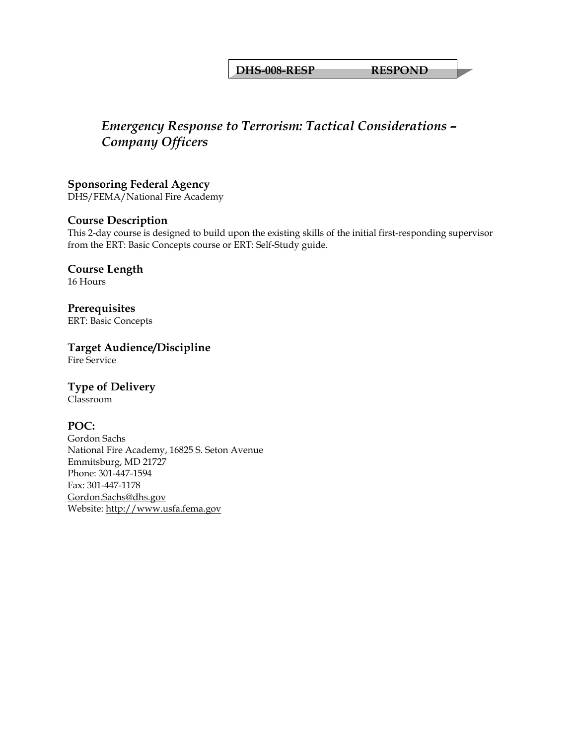#### **DHS-008-RESP RESPOND**

# *Emergency Response to Terrorism: Tactical Considerations – Company Officers*

**Sponsoring Federal Agency**  DHS/FEMA/National Fire Academy

#### **Course Description**

This 2-day course is designed to build upon the existing skills of the initial first-responding supervisor from the ERT: Basic Concepts course or ERT: Self-Study guide.

**Course Length**  16 Hours

**Prerequisites**  ERT: Basic Concepts

**Target Audience/Discipline**  Fire Service

# **Type of Delivery**

Classroom

# **POC:**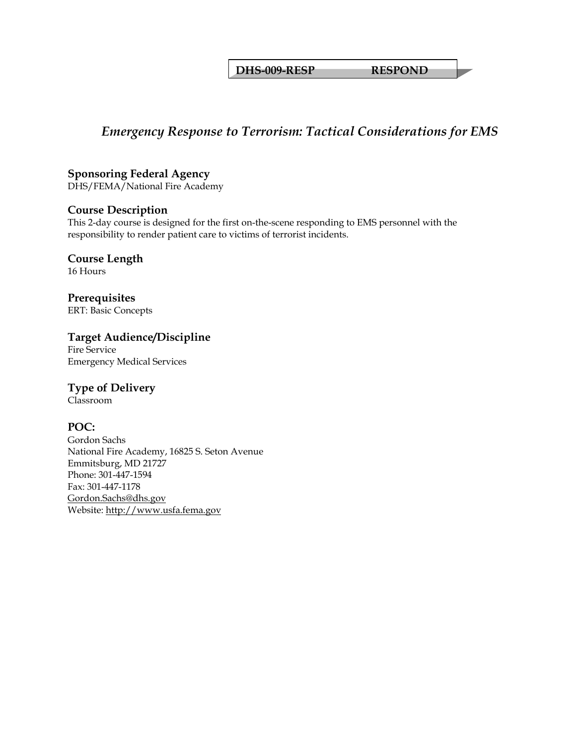**DHS-009-RESP RESPOND** 

# *Emergency Response to Terrorism: Tactical Considerations for EMS*

# **Sponsoring Federal Agency**

DHS/FEMA/National Fire Academy

# **Course Description**

This 2-day course is designed for the first on-the-scene responding to EMS personnel with the responsibility to render patient care to victims of terrorist incidents.

# **Course Length**

16 Hours

**Prerequisites**  ERT: Basic Concepts

# **Target Audience/Discipline**

Fire Service Emergency Medical Services

# **Type of Delivery**

Classroom

# **POC:**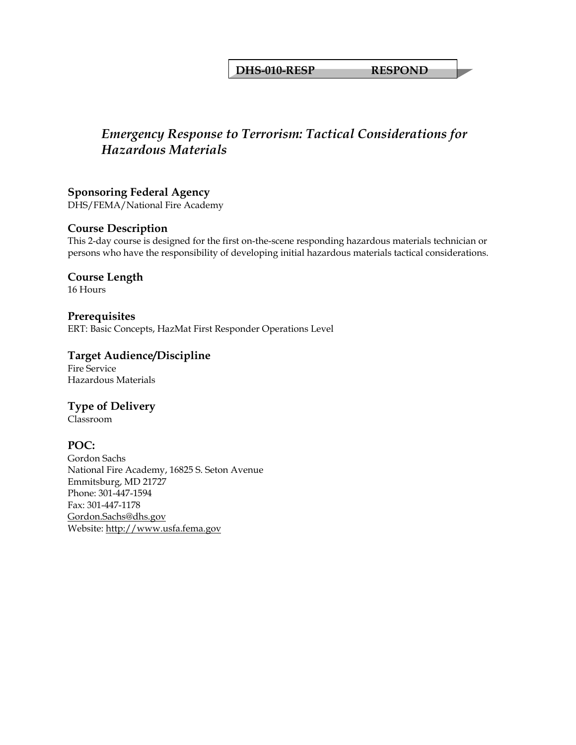#### **DHS-010-RESP RESPOND**

# *Emergency Response to Terrorism: Tactical Considerations for Hazardous Materials*

**Sponsoring Federal Agency**  DHS/FEMA/National Fire Academy

#### **Course Description**

This 2-day course is designed for the first on-the-scene responding hazardous materials technician or persons who have the responsibility of developing initial hazardous materials tactical considerations.

**Course Length**  16 Hours

**Prerequisites**  ERT: Basic Concepts, HazMat First Responder Operations Level

**Target Audience/Discipline**  Fire Service

Hazardous Materials

**Type of Delivery**

Classroom

# **POC:**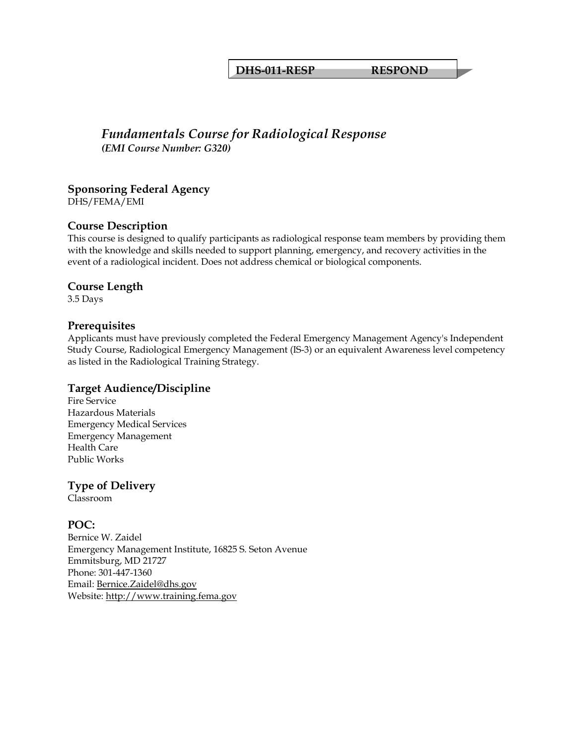#### **DHS-011-RESP RESPOND**

# *Fundamentals Course for Radiological Response (EMI Course Number: G320)*

# **Sponsoring Federal Agency**

DHS/FEMA/EMI

# **Course Description**

This course is designed to qualify participants as radiological response team members by providing them with the knowledge and skills needed to support planning, emergency, and recovery activities in the event of a radiological incident. Does not address chemical or biological components.

#### **Course Length**

3.5 Days

#### **Prerequisites**

Applicants must have previously completed the Federal Emergency Management Agency's Independent Study Course, Radiological Emergency Management (IS-3) or an equivalent Awareness level competency as listed in the Radiological Training Strategy.

#### **Target Audience/Discipline**

Fire Service Hazardous Materials Emergency Medical Services Emergency Management Health Care Public Works

# **Type of Delivery**

Classroom

# **POC:**

Bernice W. Zaidel Emergency Management Institute, 16825 S. Seton Avenue Emmitsburg, MD 21727 Phone: 301-447-1360 Email: [Bernice.Zaidel@dhs.gov](mailto:Bernice.Zaidel@dhs.gov) Website: [http://www.training.fema.gov](http://www.training.fema.gov/)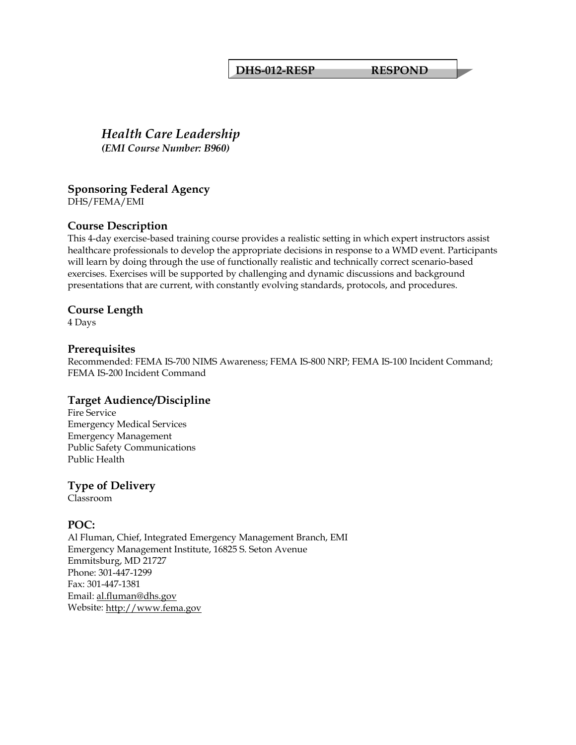#### **DHS-012-RESP RESPOND**

## *Health Care Leadership (EMI Course Number: B960)*

## **Sponsoring Federal Agency**

DHS/FEMA/EMI

## **Course Description**

This 4-day exercise-based training course provides a realistic setting in which expert instructors assist healthcare professionals to develop the appropriate decisions in response to a WMD event. Participants will learn by doing through the use of functionally realistic and technically correct scenario-based exercises. Exercises will be supported by challenging and dynamic discussions and background presentations that are current, with constantly evolving standards, protocols, and procedures.

#### **Course Length**

4 Days

#### **Prerequisites**

Recommended: FEMA IS-700 NIMS Awareness; FEMA IS-800 NRP; FEMA IS-100 Incident Command; FEMA IS-200 Incident Command

## **Target Audience/Discipline**

Fire Service Emergency Medical Services Emergency Management Public Safety Communications Public Health

## **Type of Delivery**

Classroom

## **POC:**

Al Fluman, Chief, Integrated Emergency Management Branch, EMI Emergency Management Institute, 16825 S. Seton Avenue Emmitsburg, MD 21727 Phone: 301-447-1299 Fax: 301-447-1381 Email: [al.fluman@dhs.gov](mailto:al.fluman@dhs.gov)  Website: [http://www.fema.gov](http://www.fema.gov/)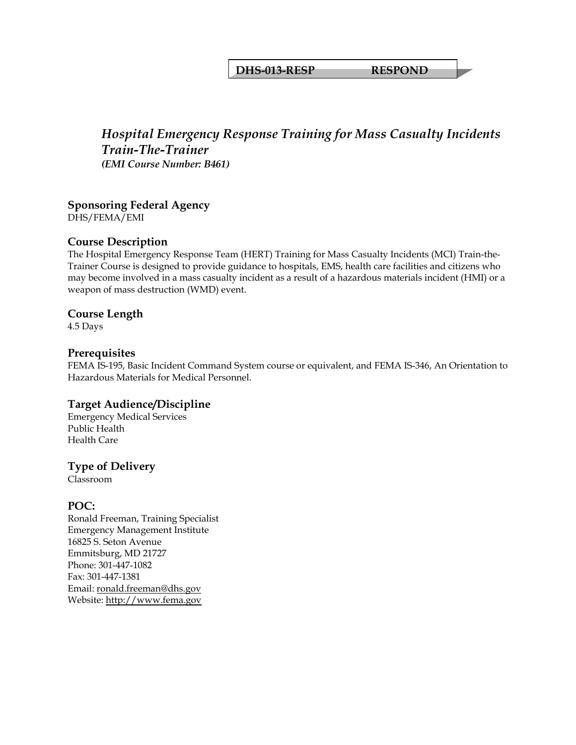#### **DHS-013-RESP RESPOND**

## *Hospital Emergency Response Training for Mass Casualty Incidents Train-The-Trainer (EMI Course Number: B461)*

## **Sponsoring Federal Agency**

DHS/FEMA/EMI

## **Course Description**

The Hospital Emergency Response Team (HERT) Training for Mass Casualty Incidents (MCI) Train-the-Trainer Course is designed to provide guidance to hospitals, EMS, health care facilities and citizens who may become involved in a mass casualty incident as a result of a hazardous materials incident (HMI) or a weapon of mass destruction (WMD) event.

#### **Course Length**

4.5 Days

#### **Prerequisites**

FEMA IS-195, Basic Incident Command System course or equivalent, and FEMA IS-346, An Orientation to Hazardous Materials for Medical Personnel.

## **Target Audience/Discipline**

Emergency Medical Services Public Health Health Care

#### **Type of Delivery**

Classroom

#### **POC:**

Ronald Freeman, Training Specialist Emergency Management Institute 16825 S. Seton Avenue Emmitsburg, MD 21727 Phone: 301-447-1082 Fax: 301-447-1381 Email: [ronald.freeman@dhs.gov](mailto:ronald.freeman@dhs.gov) Website: [http://www.fema.gov](http://www.fema.gov/)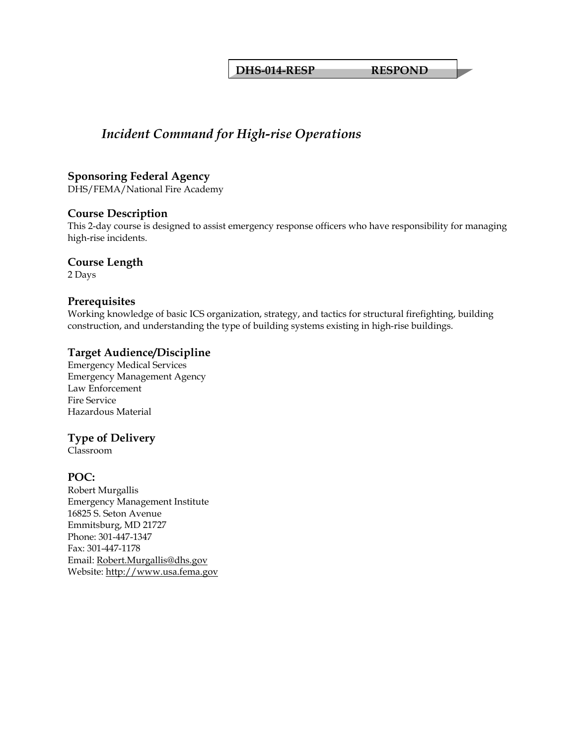**DHS-014-RESP RESPOND** 

## *Incident Command for High-rise Operations*

## **Sponsoring Federal Agency**

DHS/FEMA/National Fire Academy

#### **Course Description**

This 2-day course is designed to assist emergency response officers who have responsibility for managing high-rise incidents.

#### **Course Length**

2 Days

## **Prerequisites**

Working knowledge of basic ICS organization, strategy, and tactics for structural firefighting, building construction, and understanding the type of building systems existing in high-rise buildings.

## **Target Audience/Discipline**

Emergency Medical Services Emergency Management Agency Law Enforcement Fire Service Hazardous Material

## **Type of Delivery**

Classroom

## **POC:**

Robert Murgallis Emergency Management Institute 16825 S. Seton Avenue Emmitsburg, MD 21727 Phone: 301-447-1347 Fax: 301-447-1178 Email: [Robert.Murgallis@dhs.gov](mailto:Robert.Murgallis@dhs.gov) Website: [http://www.usa.fema.gov](http://www.usa.fema.gov/)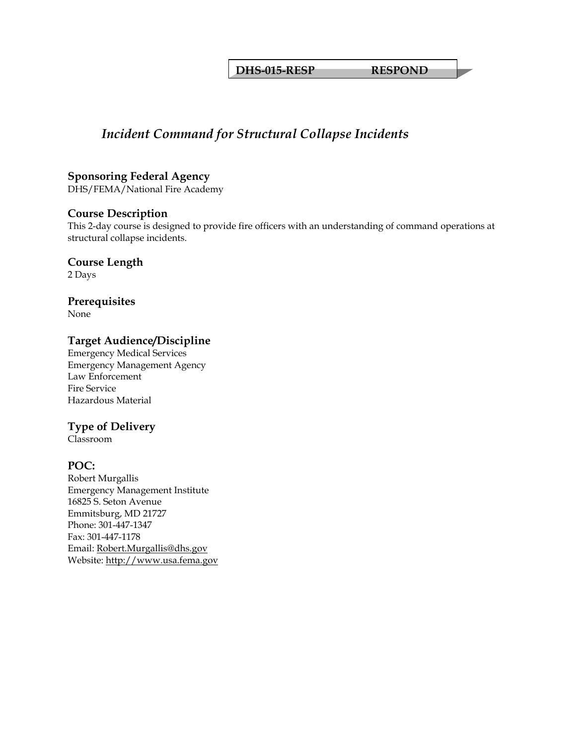**DHS-015-RESP RESPOND** 

## *Incident Command for Structural Collapse Incidents*

**Sponsoring Federal Agency** 

DHS/FEMA/National Fire Academy

#### **Course Description**

This 2-day course is designed to provide fire officers with an understanding of command operations at structural collapse incidents.

**Course Length**  2 Days

**Prerequisites** 

None

## **Target Audience/Discipline**

Emergency Medical Services Emergency Management Agency Law Enforcement Fire Service Hazardous Material

## **Type of Delivery**

Classroom

## **POC:**

Robert Murgallis Emergency Management Institute 16825 S. Seton Avenue Emmitsburg, MD 21727 Phone: 301-447-1347 Fax: 301-447-1178 Email: [Robert.Murgallis@dhs.gov](mailto:Robert.Murgallis@dhs.gov) Website: [http://www.usa.fema.gov](http://www.usa.fema.gov/)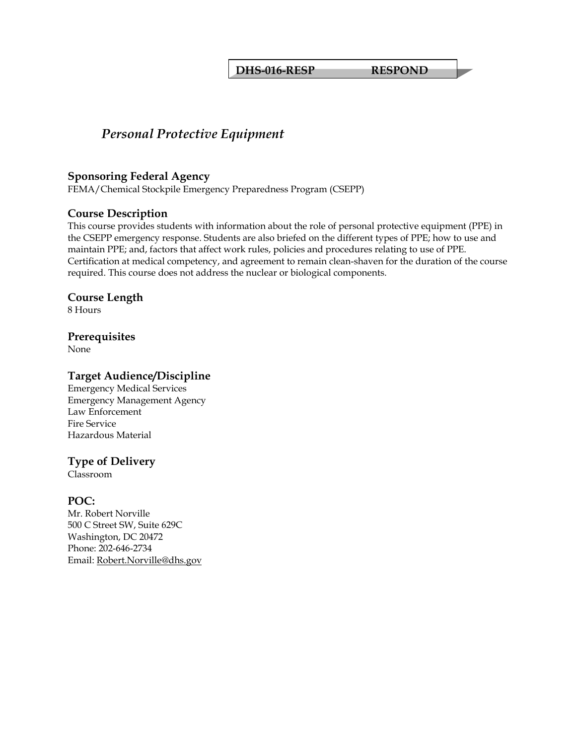**DHS-016-RESP RESPOND** 

## *Personal Protective Equipment*

#### **Sponsoring Federal Agency**

FEMA/Chemical Stockpile Emergency Preparedness Program (CSEPP)

#### **Course Description**

This course provides students with information about the role of personal protective equipment (PPE) in the CSEPP emergency response. Students are also briefed on the different types of PPE; how to use and maintain PPE; and, factors that affect work rules, policies and procedures relating to use of PPE. Certification at medical competency, and agreement to remain clean-shaven for the duration of the course required. This course does not address the nuclear or biological components.

#### **Course Length**

8 Hours

#### **Prerequisites**

None

#### **Target Audience/Discipline**

Emergency Medical Services Emergency Management Agency Law Enforcement Fire Service Hazardous Material

## **Type of Delivery**

Classroom

## **POC:**

Mr. Robert Norville 500 C Street SW, Suite 629C Washington, DC 20472 Phone: 202-646-2734 Email: [Robert.Norville@dhs.gov](mailto:Robert.Norville@dhs.gov)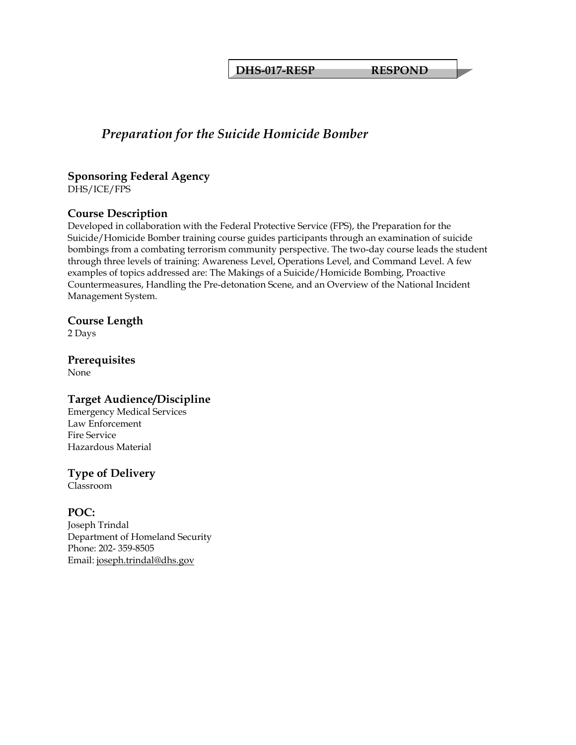**DHS-017-RESP RESPOND** 

## *Preparation for the Suicide Homicide Bomber*

#### **Sponsoring Federal Agency**  DHS/ICE/FPS

## **Course Description**

Developed in collaboration with the Federal Protective Service (FPS), the Preparation for the Suicide/Homicide Bomber training course guides participants through an examination of suicide bombings from a combating terrorism community perspective. The two-day course leads the student through three levels of training: Awareness Level, Operations Level, and Command Level. A few examples of topics addressed are: The Makings of a Suicide/Homicide Bombing, Proactive Countermeasures, Handling the Pre-detonation Scene, and an Overview of the National Incident Management System.

## **Course Length**

2 Days

#### **Prerequisites**  None

## **Target Audience/Discipline**

Emergency Medical Services Law Enforcement Fire Service Hazardous Material

## **Type of Delivery**

Classroom

## **POC:**

Joseph Trindal Department of Homeland Security Phone: 202- 359-8505 Email: [joseph.trindal@dhs.gov](mailto:joseph.trindal@dhs.gov)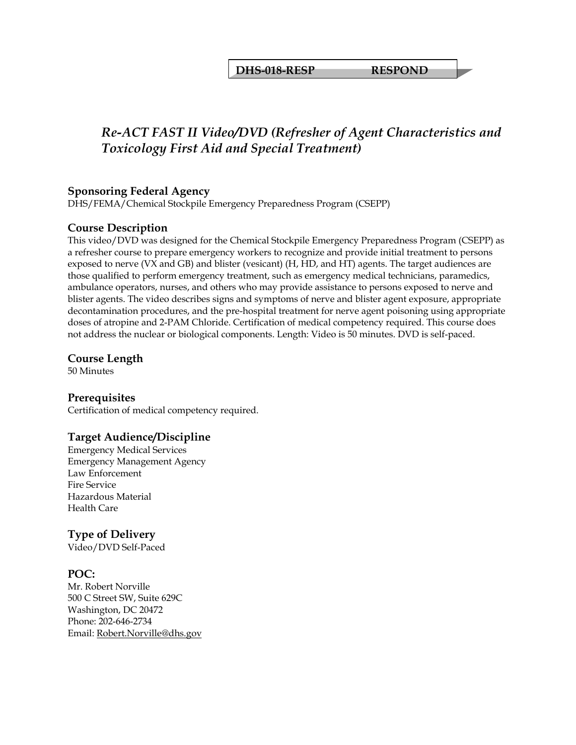**DHS-018-RESP RESPOND** 

## *Re-ACT FAST II Video/DVD (Refresher of Agent Characteristics and Toxicology First Aid and Special Treatment)*

## **Sponsoring Federal Agency**

DHS/FEMA/Chemical Stockpile Emergency Preparedness Program (CSEPP)

## **Course Description**

This video/DVD was designed for the Chemical Stockpile Emergency Preparedness Program (CSEPP) as a refresher course to prepare emergency workers to recognize and provide initial treatment to persons exposed to nerve (VX and GB) and blister (vesicant) (H, HD, and HT) agents. The target audiences are those qualified to perform emergency treatment, such as emergency medical technicians, paramedics, ambulance operators, nurses, and others who may provide assistance to persons exposed to nerve and blister agents. The video describes signs and symptoms of nerve and blister agent exposure, appropriate decontamination procedures, and the pre-hospital treatment for nerve agent poisoning using appropriate doses of atropine and 2-PAM Chloride. Certification of medical competency required. This course does not address the nuclear or biological components. Length: Video is 50 minutes. DVD is self-paced.

#### **Course Length**

50 Minutes

#### **Prerequisites**

Certification of medical competency required.

## **Target Audience/Discipline**

Emergency Medical Services Emergency Management Agency Law Enforcement Fire Service Hazardous Material Health Care

## **Type of Delivery**

Video/DVD Self-Paced

## **POC:**

Mr. Robert Norville 500 C Street SW, Suite 629C Washington, DC 20472 Phone: 202-646-2734 Email: [Robert.Norville@dhs.gov](mailto:Robert.Norville@dhs.gov)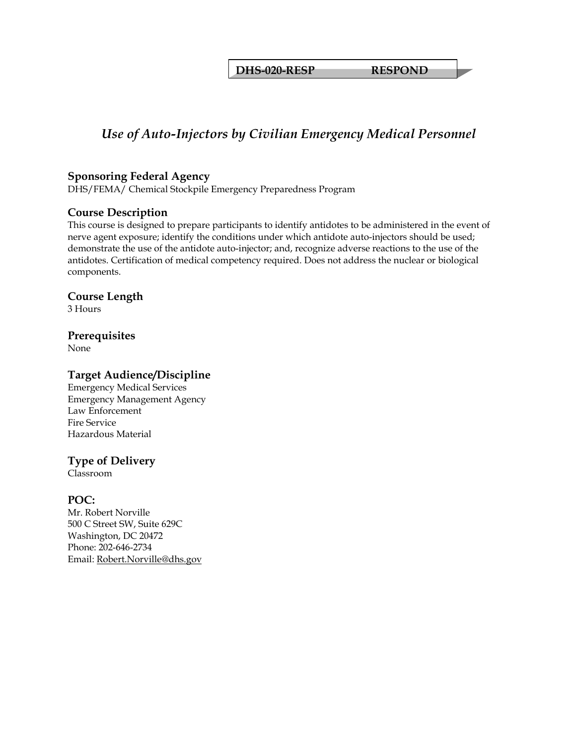**DHS-020-RESP RESPOND** 

## *Use of Auto-Injectors by Civilian Emergency Medical Personnel*

#### **Sponsoring Federal Agency**

DHS/FEMA/ Chemical Stockpile Emergency Preparedness Program

#### **Course Description**

This course is designed to prepare participants to identify antidotes to be administered in the event of nerve agent exposure; identify the conditions under which antidote auto-injectors should be used; demonstrate the use of the antidote auto-injector; and, recognize adverse reactions to the use of the antidotes. Certification of medical competency required. Does not address the nuclear or biological components.

#### **Course Length**

3 Hours

#### **Prerequisites**

None

#### **Target Audience/Discipline**

Emergency Medical Services Emergency Management Agency Law Enforcement Fire Service Hazardous Material

## **Type of Delivery**

Classroom

## **POC:**

Mr. Robert Norville 500 C Street SW, Suite 629C Washington, DC 20472 Phone: 202-646-2734 Email: [Robert.Norville@dhs.gov](mailto:Robert.Norville@dhs.gov)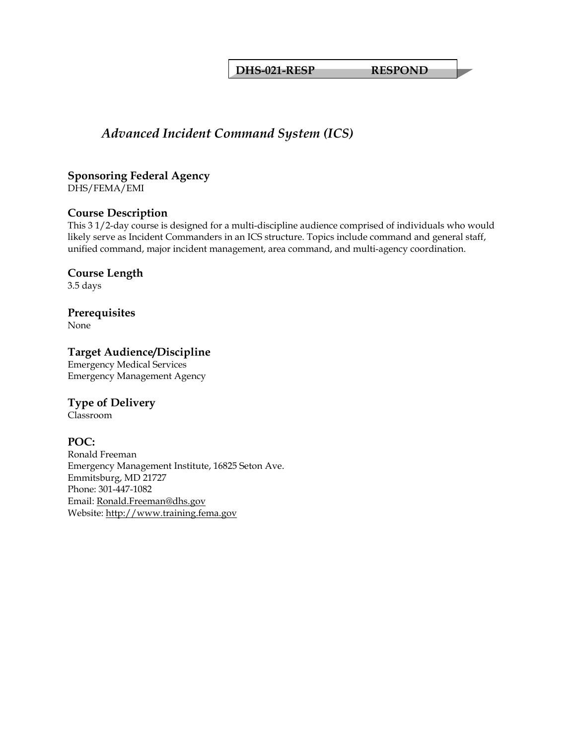**DHS-021-RESP RESPOND** 

## *Advanced Incident Command System (ICS)*

#### **Sponsoring Federal Agency**  DHS/FEMA/EMI

## **Course Description**

This 3 1/2-day course is designed for a multi-discipline audience comprised of individuals who would likely serve as Incident Commanders in an ICS structure. Topics include command and general staff, unified command, major incident management, area command, and multi-agency coordination.

## **Course Length**

3.5 days

## **Prerequisites**

None

## **Target Audience/Discipline**

Emergency Medical Services Emergency Management Agency

## **Type of Delivery**

Classroom

## **POC:**

Ronald Freeman Emergency Management Institute, 16825 Seton Ave. Emmitsburg, MD 21727 Phone: 301-447-1082 Email: [Ronald.Freeman@dhs.gov](mailto:Ronald.Freeman@dhs.gov) Website: [http://www.training.fema.gov](http://www.training.fema.gov/)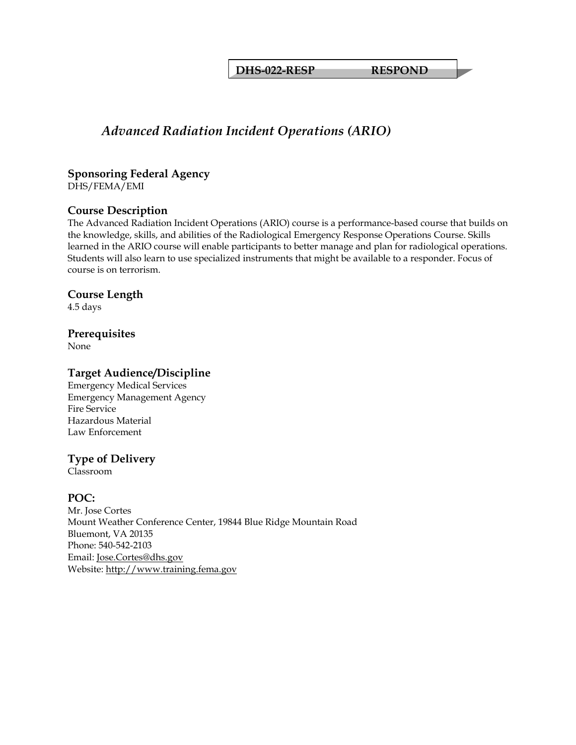**DHS-022-RESP RESPOND** 

## *Advanced Radiation Incident Operations (ARIO)*

#### **Sponsoring Federal Agency**  DHS/FEMA/EMI

## **Course Description**

The Advanced Radiation Incident Operations (ARIO) course is a performance-based course that builds on the knowledge, skills, and abilities of the Radiological Emergency Response Operations Course. Skills learned in the ARIO course will enable participants to better manage and plan for radiological operations. Students will also learn to use specialized instruments that might be available to a responder. Focus of course is on terrorism.

#### **Course Length**

4.5 days

## **Prerequisites**

None

## **Target Audience/Discipline**

Emergency Medical Services Emergency Management Agency Fire Service Hazardous Material Law Enforcement

## **Type of Delivery**

Classroom

## **POC:**

Mr. Jose Cortes Mount Weather Conference Center, 19844 Blue Ridge Mountain Road Bluemont, VA 20135 Phone: 540-542-2103 Email: [Jose.Cortes@dhs.gov](mailto:Jose.Cortes@dhs.gov) Website: [http://www.training.fema.gov](http://www.training.fema.gov/)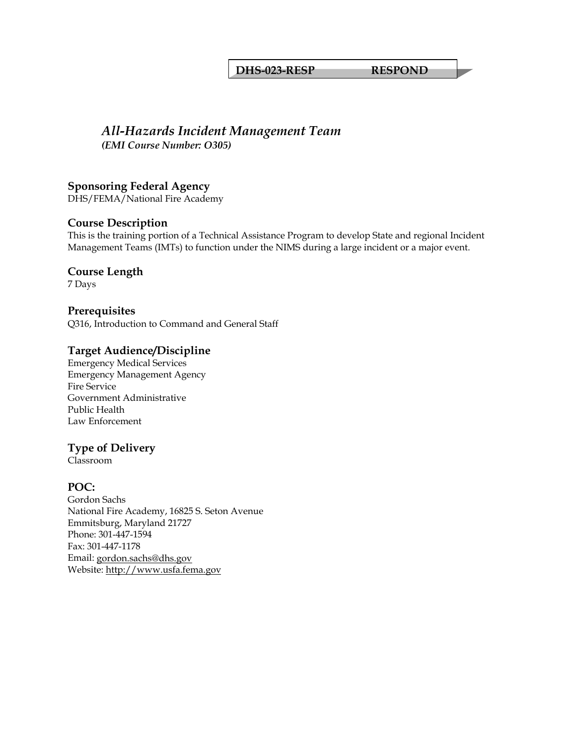#### **DHS-023-RESP RESPOND**

## *All-Hazards Incident Management Team*

*(EMI Course Number: O305)* 

**Sponsoring Federal Agency**  DHS/FEMA/National Fire Academy

## **Course Description**

This is the training portion of a Technical Assistance Program to develop State and regional Incident Management Teams (IMTs) to function under the NIMS during a large incident or a major event.

**Course Length** 

7 Days

## **Prerequisites**

Q316, Introduction to Command and General Staff

## **Target Audience/Discipline**

Emergency Medical Services Emergency Management Agency Fire Service Government Administrative Public Health Law Enforcement

## **Type of Delivery**

Classroom

## **POC:**

Gordon Sachs National Fire Academy, 16825 S. Seton Avenue Emmitsburg, Maryland 21727 Phone: 301-447-1594 Fax: 301-447-1178 Email: [gordon.sachs@dhs.gov](mailto:gordon.sachs@dhs.gov) Website: [http://www.usfa.fema.gov](http://www.usfa.fema.gov/)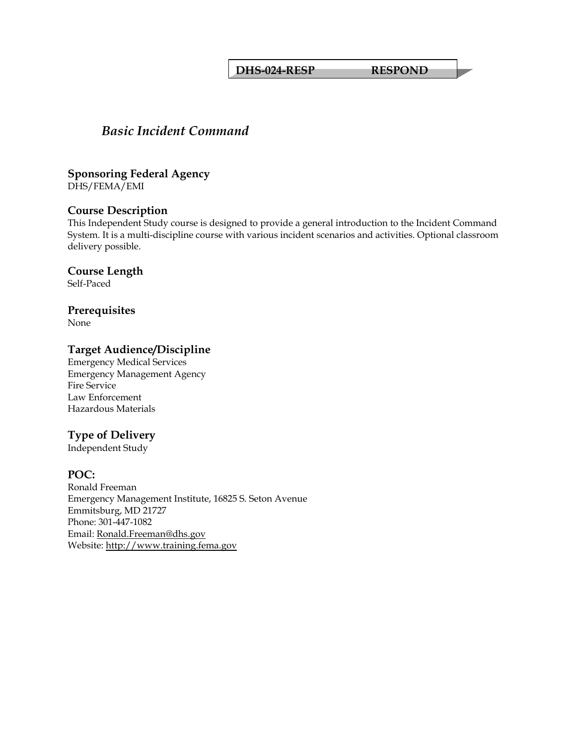#### **DHS-024-RESP RESPOND**

## *Basic Incident Command*

**Sponsoring Federal Agency**  DHS/FEMA/EMI

#### **Course Description**

This Independent Study course is designed to provide a general introduction to the Incident Command System. It is a multi-discipline course with various incident scenarios and activities. Optional classroom delivery possible.

**Course Length** 

Self-Paced

**Prerequisites** 

None

#### **Target Audience/Discipline**

Emergency Medical Services Emergency Management Agency Fire Service Law Enforcement Hazardous Materials

#### **Type of Delivery**

Independent Study

#### **POC:**

Ronald Freeman Emergency Management Institute, 16825 S. Seton Avenue Emmitsburg, MD 21727 Phone: 301-447-1082 Email: [Ronald.Freeman@dhs.gov](mailto:Ronald.Freeman@dhs.gov) Website: [http://www.training.fema.gov](http://www.training.fema.gov/)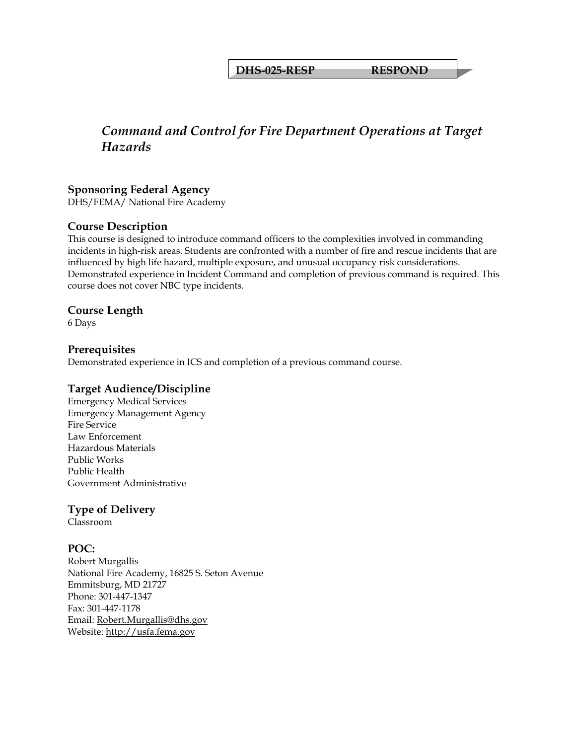**DHS-025-RESP RESPOND** 

## *Command and Control for Fire Department Operations at Target Hazards*

## **Sponsoring Federal Agency**

DHS/FEMA/ National Fire Academy

## **Course Description**

This course is designed to introduce command officers to the complexities involved in commanding incidents in high-risk areas. Students are confronted with a number of fire and rescue incidents that are influenced by high life hazard, multiple exposure, and unusual occupancy risk considerations. Demonstrated experience in Incident Command and completion of previous command is required. This course does not cover NBC type incidents.

#### **Course Length**

6 Days

#### **Prerequisites**

Demonstrated experience in ICS and completion of a previous command course.

## **Target Audience/Discipline**

Emergency Medical Services Emergency Management Agency Fire Service Law Enforcement Hazardous Materials Public Works Public Health Government Administrative

## **Type of Delivery**

Classroom

## **POC:**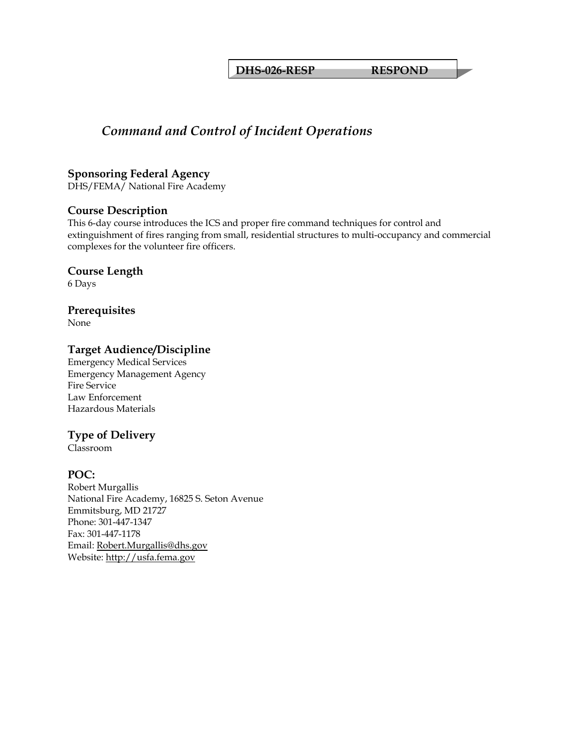**DHS-026-RESP RESPOND** 

## *Command and Control of Incident Operations*

#### **Sponsoring Federal Agency**

DHS/FEMA/ National Fire Academy

#### **Course Description**

This 6-day course introduces the ICS and proper fire command techniques for control and extinguishment of fires ranging from small, residential structures to multi-occupancy and commercial complexes for the volunteer fire officers.

#### **Course Length**

6 Days

## **Prerequisites**

None

## **Target Audience/Discipline**

Emergency Medical Services Emergency Management Agency Fire Service Law Enforcement Hazardous Materials

## **Type of Delivery**

Classroom

## **POC:**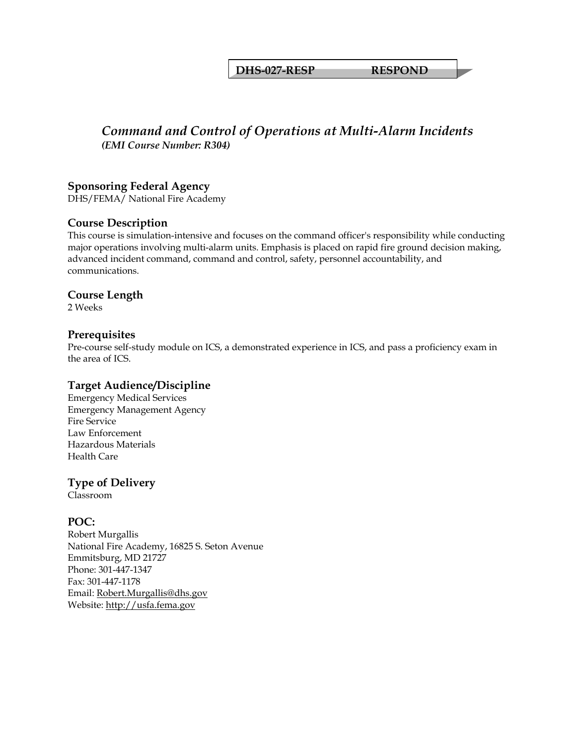#### **DHS-027-RESP RESPOND**

## *Command and Control of Operations at Multi-Alarm Incidents (EMI Course Number: R304)*

#### **Sponsoring Federal Agency**

DHS/FEMA/ National Fire Academy

#### **Course Description**

This course is simulation-intensive and focuses on the command officer's responsibility while conducting major operations involving multi-alarm units. Emphasis is placed on rapid fire ground decision making, advanced incident command, command and control, safety, personnel accountability, and communications.

#### **Course Length**

2 Weeks

#### **Prerequisites**

Pre-course self-study module on ICS, a demonstrated experience in ICS, and pass a proficiency exam in the area of ICS.

#### **Target Audience/Discipline**

Emergency Medical Services Emergency Management Agency Fire Service Law Enforcement Hazardous Materials Health Care

## **Type of Delivery**

Classroom

#### **POC:**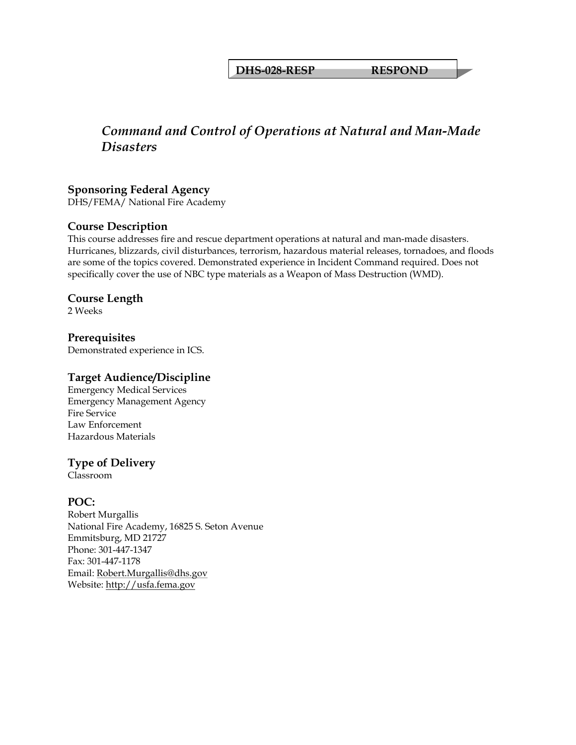**DHS-028-RESP RESPOND** 

## *Command and Control of Operations at Natural and Man-Made Disasters*

## **Sponsoring Federal Agency**

DHS/FEMA/ National Fire Academy

## **Course Description**

This course addresses fire and rescue department operations at natural and man-made disasters. Hurricanes, blizzards, civil disturbances, terrorism, hazardous material releases, tornadoes, and floods are some of the topics covered. Demonstrated experience in Incident Command required. Does not specifically cover the use of NBC type materials as a Weapon of Mass Destruction (WMD).

#### **Course Length**

2 Weeks

**Prerequisites**  Demonstrated experience in ICS.

## **Target Audience/Discipline**

Emergency Medical Services Emergency Management Agency Fire Service Law Enforcement Hazardous Materials

## **Type of Delivery**

Classroom

## **POC:**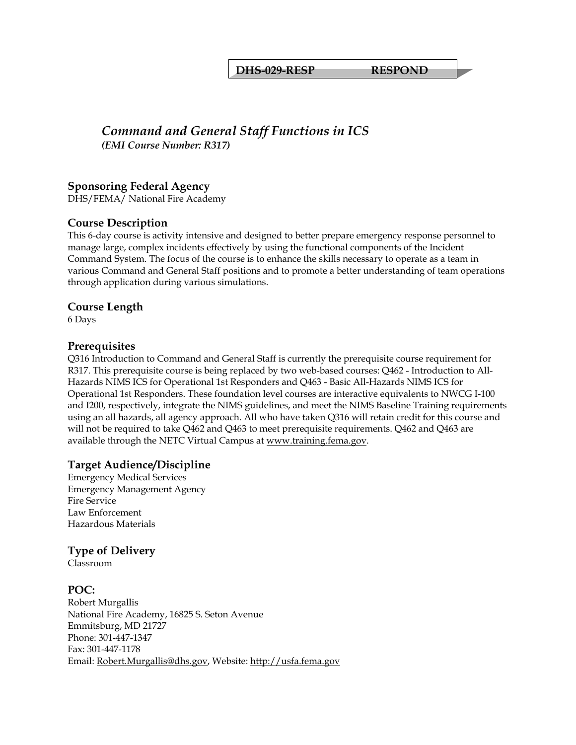#### **DHS-029-RESP RESPOND**

## *Command and General Staff Functions in ICS (EMI Course Number: R317)*

#### **Sponsoring Federal Agency**

DHS/FEMA/ National Fire Academy

#### **Course Description**

This 6-day course is activity intensive and designed to better prepare emergency response personnel to manage large, complex incidents effectively by using the functional components of the Incident Command System. The focus of the course is to enhance the skills necessary to operate as a team in various Command and General Staff positions and to promote a better understanding of team operations through application during various simulations.

#### **Course Length**

6 Days

#### **Prerequisites**

Q316 Introduction to Command and General Staff is currently the prerequisite course requirement for R317. This prerequisite course is being replaced by two web-based courses: Q462 - Introduction to All-Hazards NIMS ICS for Operational 1st Responders and Q463 - Basic All-Hazards NIMS ICS for Operational 1st Responders. These foundation level courses are interactive equivalents to NWCG I-100 and I200, respectively, integrate the NIMS guidelines, and meet the NIMS Baseline Training requirements using an all hazards, all agency approach. All who have taken Q316 will retain credit for this course and will not be required to take Q462 and Q463 to meet prerequisite requirements. Q462 and Q463 are available through the NETC Virtual Campus at [www.training.fema.gov.](http://www.training.fema.gov/)

#### **Target Audience/Discipline**

Emergency Medical Services Emergency Management Agency Fire Service Law Enforcement Hazardous Materials

#### **Type of Delivery**

Classroom

#### **POC:**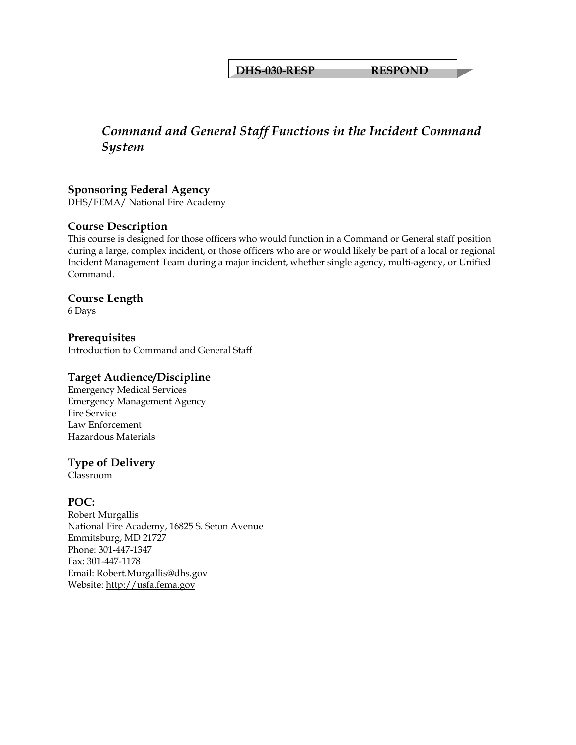**DHS-030-RESP RESPOND** 

## *Command and General Staff Functions in the Incident Command System*

## **Sponsoring Federal Agency**

DHS/FEMA/ National Fire Academy

#### **Course Description**

This course is designed for those officers who would function in a Command or General staff position during a large, complex incident, or those officers who are or would likely be part of a local or regional Incident Management Team during a major incident, whether single agency, multi-agency, or Unified Command.

#### **Course Length**

6 Days

**Prerequisites**  Introduction to Command and General Staff

#### **Target Audience/Discipline**

Emergency Medical Services Emergency Management Agency Fire Service Law Enforcement Hazardous Materials

## **Type of Delivery**

Classroom

## **POC:**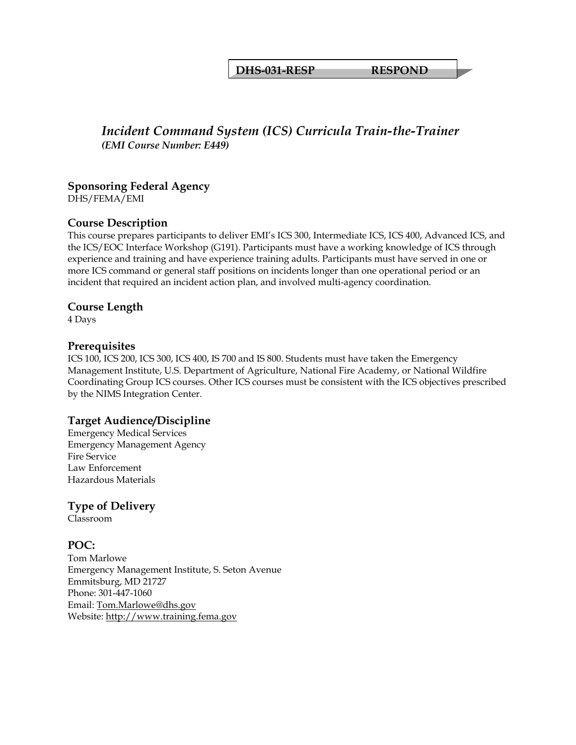#### **DHS-031-RESP RESPOND**

## *Incident Command System (ICS) Curricula Train-the-Trainer (EMI Course Number: E449)*

## **Sponsoring Federal Agency**

DHS/FEMA/EMI

#### **Course Description**

This course prepares participants to deliver EMI's ICS 300, Intermediate ICS, ICS 400, Advanced ICS, and the ICS/EOC Interface Workshop (G191). Participants must have a working knowledge of ICS through experience and training and have experience training adults. Participants must have served in one or more ICS command or general staff positions on incidents longer than one operational period or an incident that required an incident action plan, and involved multi-agency coordination.

#### **Course Length**

4 Days

#### **Prerequisites**

ICS 100, ICS 200, ICS 300, ICS 400, IS 700 and IS 800. Students must have taken the Emergency Management Institute, U.S. Department of Agriculture, National Fire Academy, or National Wildfire Coordinating Group ICS courses. Other ICS courses must be consistent with the ICS objectives prescribed by the NIMS Integration Center.

#### **Target Audience/Discipline**

Emergency Medical Services Emergency Management Agency Fire Service Law Enforcement Hazardous Materials

## **Type of Delivery**

Classroom

## **POC:**

Tom Marlowe Emergency Management Institute, S. Seton Avenue Emmitsburg, MD 21727 Phone: 301-447-1060 Email: [Tom.Marlowe@dhs.gov](mailto:Tom.Marlowe@dhs.gov) Website: [http://www.training.fema.gov](http://www.training.fema.gov/)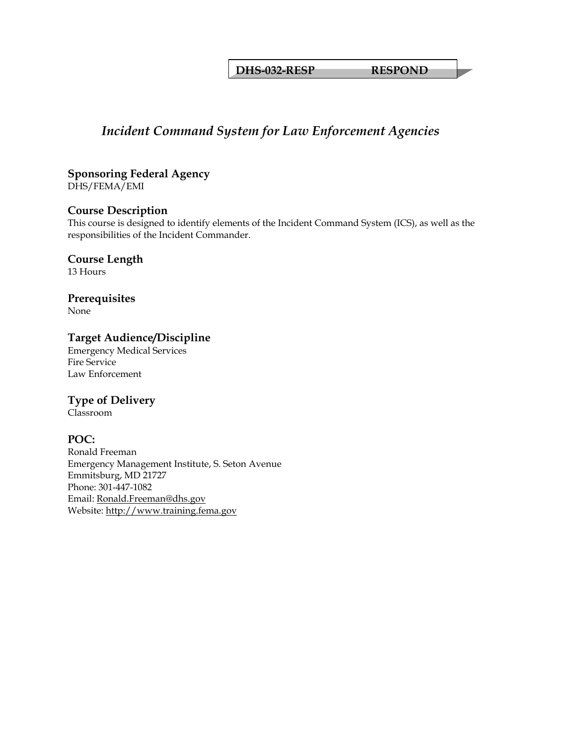**DHS-032-RESP RESPOND** 

## *Incident Command System for Law Enforcement Agencies*

**Sponsoring Federal Agency**  DHS/FEMA/EMI

## **Course Description**

This course is designed to identify elements of the Incident Command System (ICS), as well as the responsibilities of the Incident Commander.

## **Course Length**

13 Hours

## **Prerequisites**

None

## **Target Audience/Discipline**

Emergency Medical Services Fire Service Law Enforcement

## **Type of Delivery**

Classroom

## **POC:**

Ronald Freeman Emergency Management Institute, S. Seton Avenue Emmitsburg, MD 21727 Phone: 301-447-1082 Email: [Ronald.Freeman@dhs.gov](mailto:Ronald.Freeman@dhs.gov) Website: [http://www.training.fema.gov](http://www.training.fema.gov/)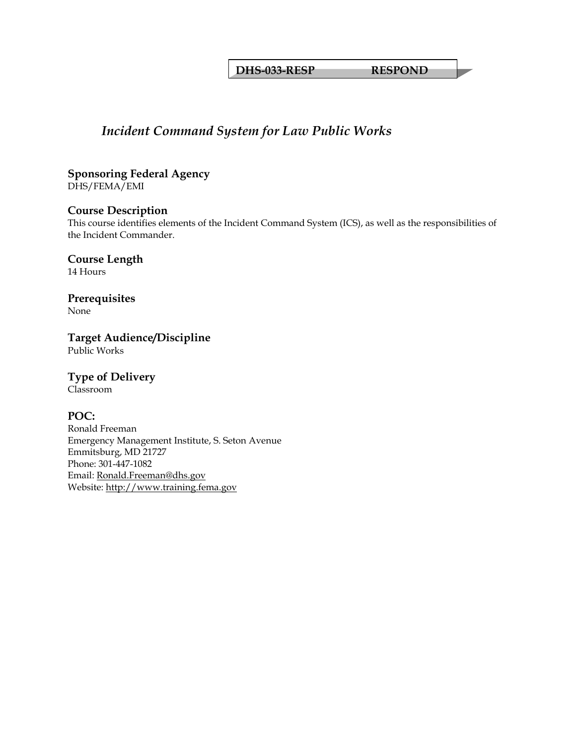**DHS-033-RESP RESPOND** 

## *Incident Command System for Law Public Works*

**Sponsoring Federal Agency**  DHS/FEMA/EMI

#### **Course Description**

This course identifies elements of the Incident Command System (ICS), as well as the responsibilities of the Incident Commander.

**Course Length** 

14 Hours

**Prerequisites** 

None

**Target Audience/Discipline**  Public Works

## **Type of Delivery**

Classroom

## **POC:**

Ronald Freeman Emergency Management Institute, S. Seton Avenue Emmitsburg, MD 21727 Phone: 301-447-1082 Email: [Ronald.Freeman@dhs.gov](mailto:Ronald.Freeman@dhs.gov) Website: [http://www.training.fema.gov](http://www.training.fema.gov/)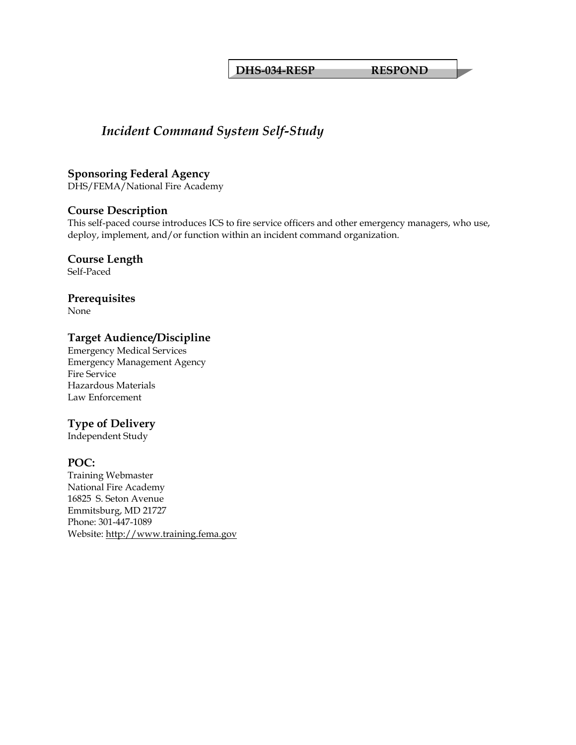**DHS-034-RESP RESPOND** 

## *Incident Command System Self-Study*

#### **Sponsoring Federal Agency**

DHS/FEMA/National Fire Academy

#### **Course Description**

This self-paced course introduces ICS to fire service officers and other emergency managers, who use, deploy, implement, and/or function within an incident command organization.

## **Course Length**

Self-Paced

# **Prerequisites**

None

#### **Target Audience/Discipline**

Emergency Medical Services Emergency Management Agency Fire Service Hazardous Materials Law Enforcement

## **Type of Delivery**

Independent Study

#### **POC:**

Training Webmaster National Fire Academy 16825 S. Seton Avenue Emmitsburg, MD 21727 Phone: 301-447-1089 Website: [http://www.training.fema.gov](http://www.training.fema.gov/)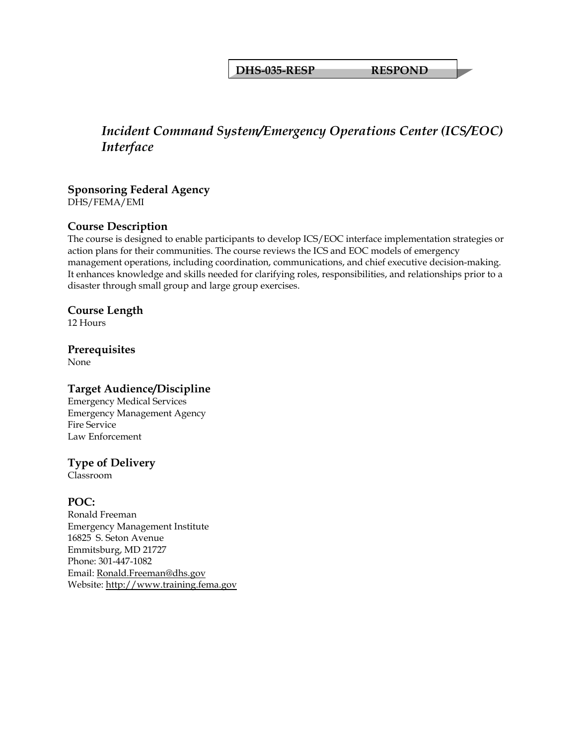**DHS-035-RESP RESPOND** 

## *Incident Command System/Emergency Operations Center (ICS/EOC) Interface*

## **Sponsoring Federal Agency**

DHS/FEMA/EMI

## **Course Description**

The course is designed to enable participants to develop ICS/EOC interface implementation strategies or action plans for their communities. The course reviews the ICS and EOC models of emergency management operations, including coordination, communications, and chief executive decision-making. It enhances knowledge and skills needed for clarifying roles, responsibilities, and relationships prior to a disaster through small group and large group exercises.

## **Course Length**

12 Hours

#### **Prerequisites**

None

#### **Target Audience/Discipline**

Emergency Medical Services Emergency Management Agency Fire Service Law Enforcement

## **Type of Delivery**

Classroom

## **POC:**

Ronald Freeman Emergency Management Institute 16825 S. Seton Avenue Emmitsburg, MD 21727 Phone: 301-447-1082 Email: [Ronald.Freeman@dhs.gov](mailto:Ronald.Freeman@dhs.gov) Website: [http://www.training.fema.gov](http://www.training.fema.gov/)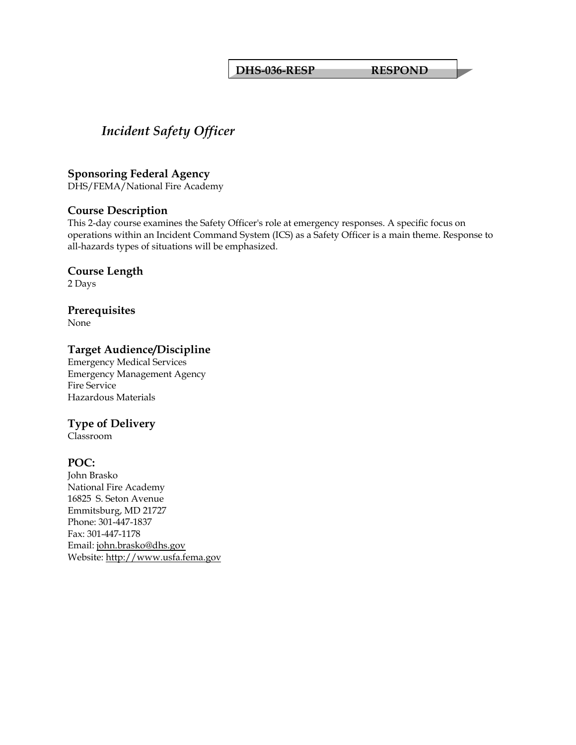#### **DHS-036-RESP RESPOND**

## *Incident Safety Officer*

#### **Sponsoring Federal Agency**

DHS/FEMA/National Fire Academy

#### **Course Description**

This 2-day course examines the Safety Officer's role at emergency responses. A specific focus on operations within an Incident Command System (ICS) as a Safety Officer is a main theme. Response to all-hazards types of situations will be emphasized.

## **Course Length**

2 Days

## **Prerequisites**

None

## **Target Audience/Discipline**

Emergency Medical Services Emergency Management Agency Fire Service Hazardous Materials

## **Type of Delivery**

Classroom

## **POC:**

John Brasko National Fire Academy 16825 S. Seton Avenue Emmitsburg, MD 21727 Phone: 301-447-1837 Fax: 301-447-1178 Email: [john.brasko@dhs.gov](mailto:john.brasko@dhs.gov) Website: [http://www.usfa.fema.gov](http://www.usfa.fema.gov/)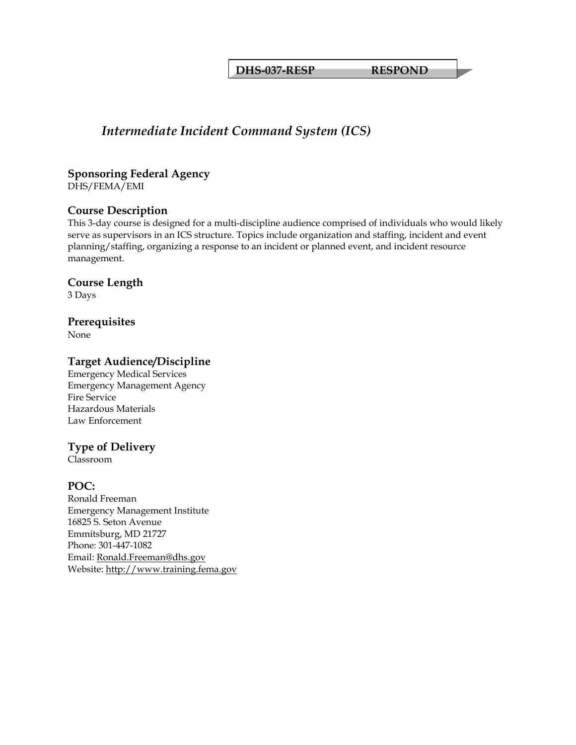**DHS-037-RESP RESPOND** 

## *Intermediate Incident Command System (ICS)*

#### **Sponsoring Federal Agency**  DHS/FEMA/EMI

## **Course Description**

This 3-day course is designed for a multi-discipline audience comprised of individuals who would likely serve as supervisors in an ICS structure. Topics include organization and staffing, incident and event planning/staffing, organizing a response to an incident or planned event, and incident resource management.

#### **Course Length**

3 Days

#### **Prerequisites**

None

## **Target Audience/Discipline**

Emergency Medical Services Emergency Management Agency Fire Service Hazardous Materials Law Enforcement

## **Type of Delivery**

Classroom

## **POC:**

Ronald Freeman Emergency Management Institute 16825 S. Seton Avenue Emmitsburg, MD 21727 Phone: 301-447-1082 Email: [Ronald.Freeman@dhs.gov](mailto:Ronald.Freeman@dhs.gov) Website: [http://www.training.fema.gov](http://www.training.fema.gov/)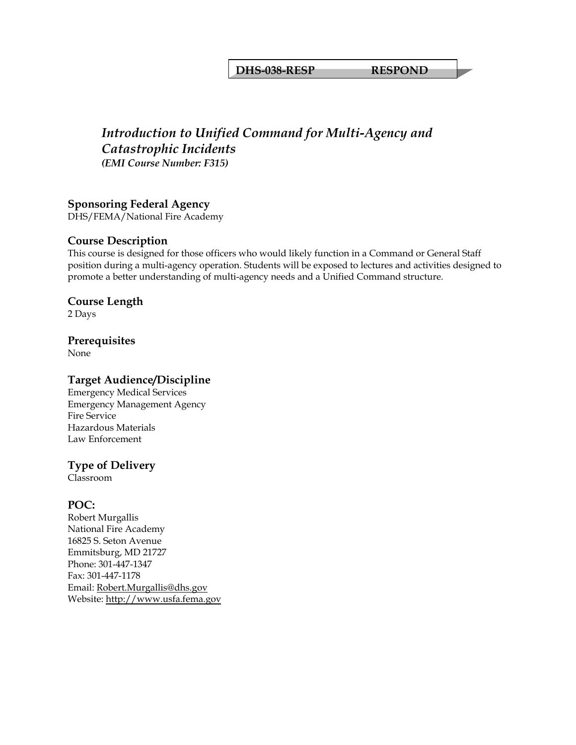#### **DHS-038-RESP RESPOND**

## *Introduction to Unified Command for Multi-Agency and Catastrophic Incidents (EMI Course Number: F315)*

#### **Sponsoring Federal Agency**

DHS/FEMA/National Fire Academy

#### **Course Description**

This course is designed for those officers who would likely function in a Command or General Staff position during a multi-agency operation. Students will be exposed to lectures and activities designed to promote a better understanding of multi-agency needs and a Unified Command structure.

## **Course Length**

2 Days

#### **Prerequisites**

None

#### **Target Audience/Discipline**

Emergency Medical Services Emergency Management Agency Fire Service Hazardous Materials Law Enforcement

#### **Type of Delivery**

Classroom

#### **POC:**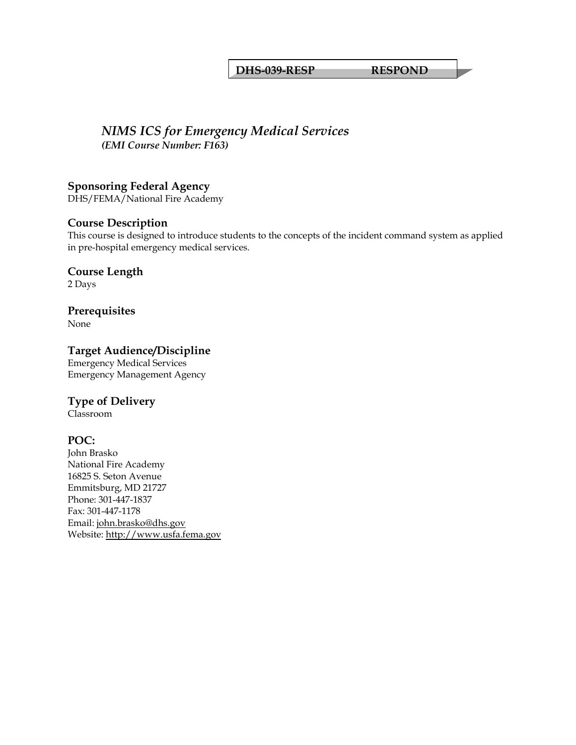#### **DHS-039-RESP RESPOND**

## *NIMS ICS for Emergency Medical Services (EMI Course Number: F163)*

**Sponsoring Federal Agency**  DHS/FEMA/National Fire Academy

## **Course Description**

This course is designed to introduce students to the concepts of the incident command system as applied in pre-hospital emergency medical services.

**Course Length**  2 Days

**Prerequisites**  None

# **Target Audience/Discipline**

Emergency Medical Services Emergency Management Agency

## **Type of Delivery**

Classroom

## **POC:**

John Brasko National Fire Academy 16825 S. Seton Avenue Emmitsburg, MD 21727 Phone: 301-447-1837 Fax: 301-447-1178 Email: [john.brasko@dhs.gov](mailto:john.brasko@dhs.gov) Website: [http://www.usfa.fema.gov](http://www.usfa.fema.gov/)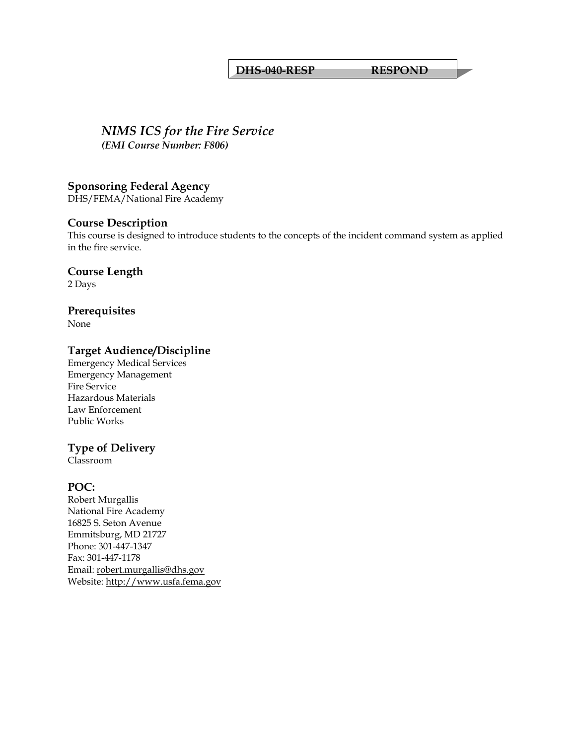#### **DHS-040-RESP RESPOND**

#### *NIMS ICS for the Fire Service (EMI Course Number: F806)*

**Sponsoring Federal Agency** 

DHS/FEMA/National Fire Academy

#### **Course Description**

This course is designed to introduce students to the concepts of the incident command system as applied in the fire service.

**Course Length**  2 Days

**Prerequisites** 

None

#### **Target Audience/Discipline**

Emergency Medical Services Emergency Management Fire Service Hazardous Materials Law Enforcement Public Works

## **Type of Delivery**

Classroom

#### **POC:**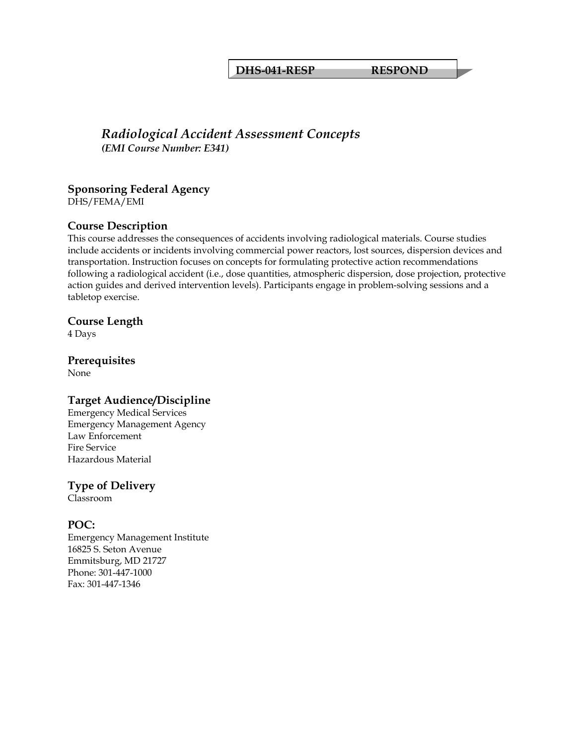#### **DHS-041-RESP RESPOND**

## *Radiological Accident Assessment Concepts (EMI Course Number: E341)*

## **Sponsoring Federal Agency**

DHS/FEMA/EMI

## **Course Description**

This course addresses the consequences of accidents involving radiological materials. Course studies include accidents or incidents involving commercial power reactors, lost sources, dispersion devices and transportation. Instruction focuses on concepts for formulating protective action recommendations following a radiological accident (i.e., dose quantities, atmospheric dispersion, dose projection, protective action guides and derived intervention levels). Participants engage in problem-solving sessions and a tabletop exercise.

#### **Course Length**

4 Days

# **Prerequisites**

None

## **Target Audience/Discipline**

Emergency Medical Services Emergency Management Agency Law Enforcement Fire Service Hazardous Material

## **Type of Delivery**

Classroom

## **POC:**

Emergency Management Institute 16825 S. Seton Avenue Emmitsburg, MD 21727 Phone: 301-447-1000 Fax: 301-447-1346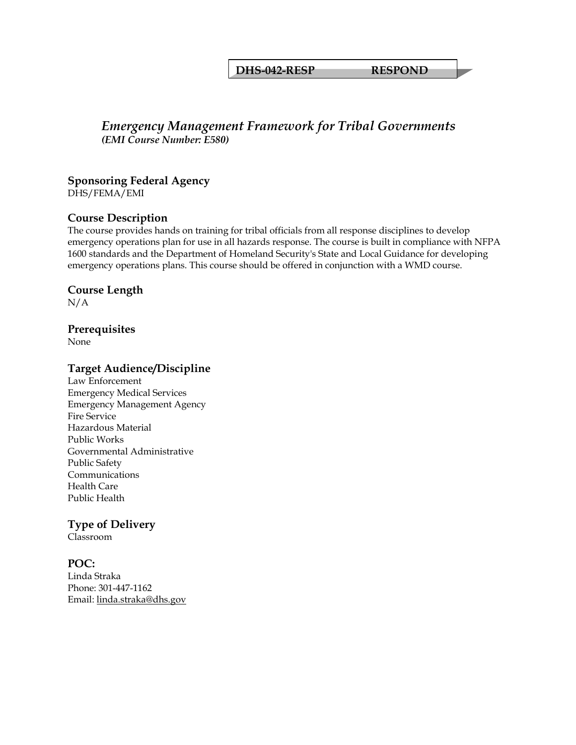#### **DHS-042-RESP RESPOND**

## *Emergency Management Framework for Tribal Governments (EMI Course Number: E580)*

#### **Sponsoring Federal Agency**

DHS/FEMA/EMI

#### **Course Description**

The course provides hands on training for tribal officials from all response disciplines to develop emergency operations plan for use in all hazards response. The course is built in compliance with NFPA 1600 standards and the Department of Homeland Security's State and Local Guidance for developing emergency operations plans. This course should be offered in conjunction with a WMD course.

#### **Course Length**

N/A

#### **Prerequisites**

None

#### **Target Audience/Discipline**

Law Enforcement Emergency Medical Services Emergency Management Agency Fire Service Hazardous Material Public Works Governmental Administrative Public Safety Communications Health Care Public Health

## **Type of Delivery**

Classroom

#### **POC:**

Linda Straka Phone: 301-447-1162 Email: [linda.straka@dhs.gov](mailto:linda.straka@dhs.gov)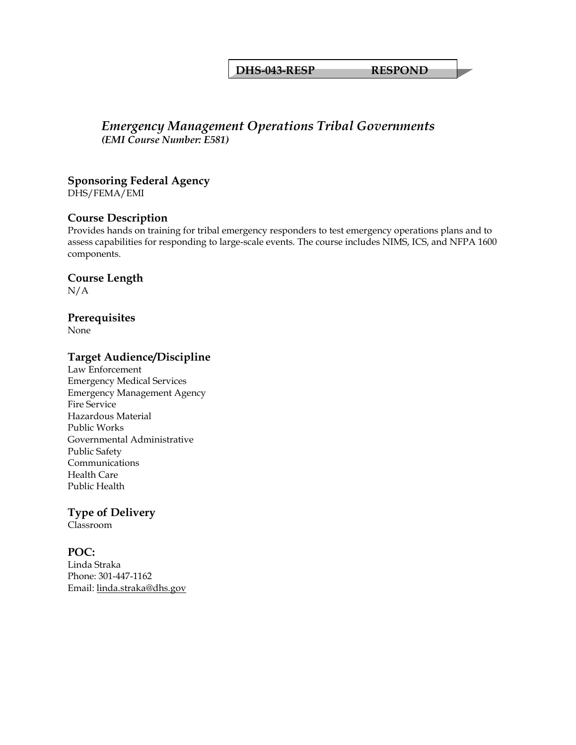#### **DHS-043-RESP RESPOND**

## *Emergency Management Operations Tribal Governments (EMI Course Number: E581)*

## **Sponsoring Federal Agency**

DHS/FEMA/EMI

#### **Course Description**

Provides hands on training for tribal emergency responders to test emergency operations plans and to assess capabilities for responding to large-scale events. The course includes NIMS, ICS, and NFPA 1600 components.

#### **Course Length**

N/A

#### **Prerequisites**

None

#### **Target Audience/Discipline**

Law Enforcement Emergency Medical Services Emergency Management Agency Fire Service Hazardous Material Public Works Governmental Administrative Public Safety Communications Health Care Public Health

## **Type of Delivery**

Classroom

#### **POC:**

Linda Straka Phone: 301-447-1162 Email: [linda.straka@dhs.gov](mailto:linda.straka@dhs.gov)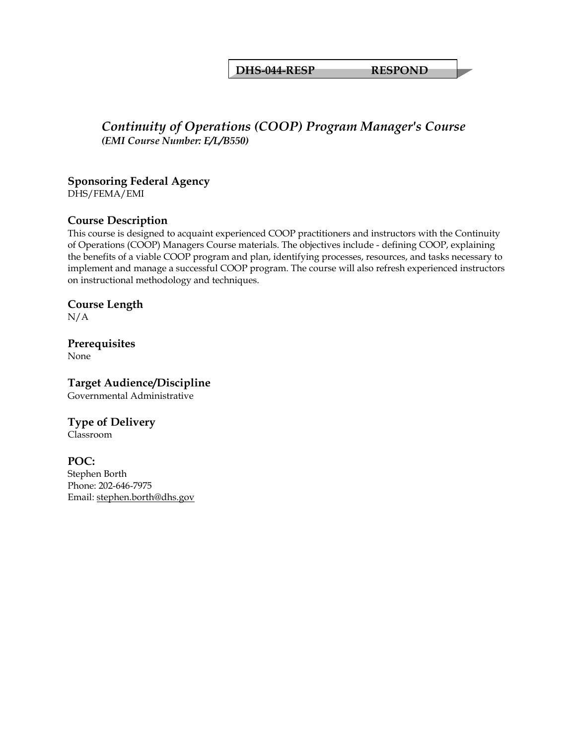#### **DHS-044-RESP RESPOND**

## *Continuity of Operations (COOP) Program Manager's Course (EMI Course Number: E/L/B550)*

## **Sponsoring Federal Agency**

DHS/FEMA/EMI

#### **Course Description**

This course is designed to acquaint experienced COOP practitioners and instructors with the Continuity of Operations (COOP) Managers Course materials. The objectives include - defining COOP, explaining the benefits of a viable COOP program and plan, identifying processes, resources, and tasks necessary to implement and manage a successful COOP program. The course will also refresh experienced instructors on instructional methodology and techniques.

#### **Course Length**

N/A

## **Prerequisites**

None

#### **Target Audience/Discipline**  Governmental Administrative

## **Type of Delivery**

Classroom

#### **POC:**

Stephen Borth Phone: 202-646-7975 Email: [stephen.borth@dhs.gov](mailto:stephen.borth@dhs.gov)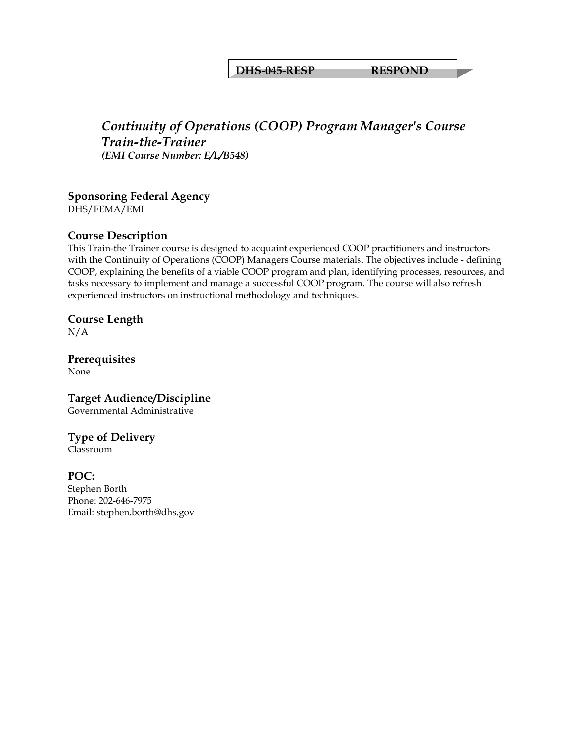#### **DHS-045-RESP RESPOND**

## *Continuity of Operations (COOP) Program Manager's Course Train-the-Trainer (EMI Course Number: E/L/B548)*

## **Sponsoring Federal Agency**

DHS/FEMA/EMI

#### **Course Description**

This Train-the Trainer course is designed to acquaint experienced COOP practitioners and instructors with the Continuity of Operations (COOP) Managers Course materials. The objectives include - defining COOP, explaining the benefits of a viable COOP program and plan, identifying processes, resources, and tasks necessary to implement and manage a successful COOP program. The course will also refresh experienced instructors on instructional methodology and techniques.

## **Course Length**

N/A

**Prerequisites**  None

**Target Audience/Discipline**  Governmental Administrative

## **Type of Delivery**

Classroom

## **POC:**

Stephen Borth Phone: 202-646-7975 Email: [stephen.borth@dhs.gov](mailto:stephen.borth@dhs.gov)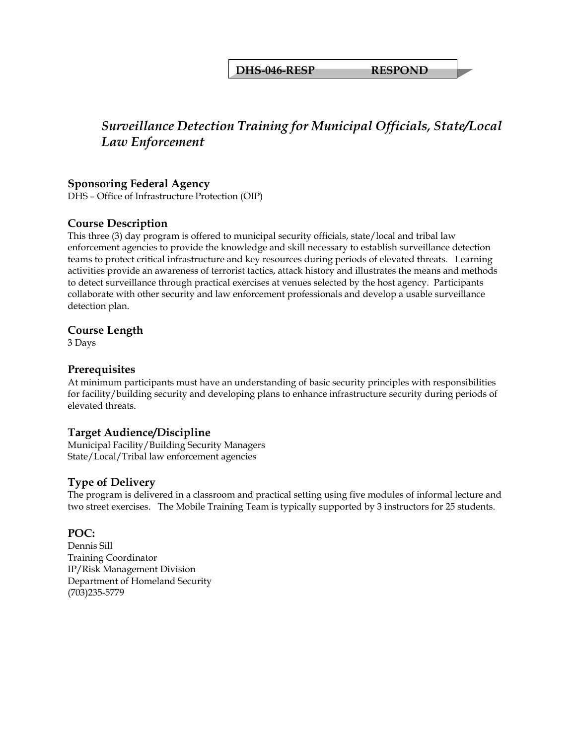**DHS-046-RESP RESPOND** 

## *Surveillance Detection Training for Municipal Officials, State/Local Law Enforcement*

#### **Sponsoring Federal Agency**

DHS – Office of Infrastructure Protection (OIP)

#### **Course Description**

This three (3) day program is offered to municipal security officials, state/local and tribal law enforcement agencies to provide the knowledge and skill necessary to establish surveillance detection teams to protect critical infrastructure and key resources during periods of elevated threats. Learning activities provide an awareness of terrorist tactics, attack history and illustrates the means and methods to detect surveillance through practical exercises at venues selected by the host agency. Participants collaborate with other security and law enforcement professionals and develop a usable surveillance detection plan.

#### **Course Length**

3 Days

#### **Prerequisites**

At minimum participants must have an understanding of basic security principles with responsibilities for facility/building security and developing plans to enhance infrastructure security during periods of elevated threats.

#### **Target Audience/Discipline**

Municipal Facility/Building Security Managers State/Local/Tribal law enforcement agencies

#### **Type of Delivery**

The program is delivered in a classroom and practical setting using five modules of informal lecture and two street exercises. The Mobile Training Team is typically supported by 3 instructors for 25 students.

#### **POC:**

Dennis Sill Training Coordinator IP/Risk Management Division Department of Homeland Security (703)235-5779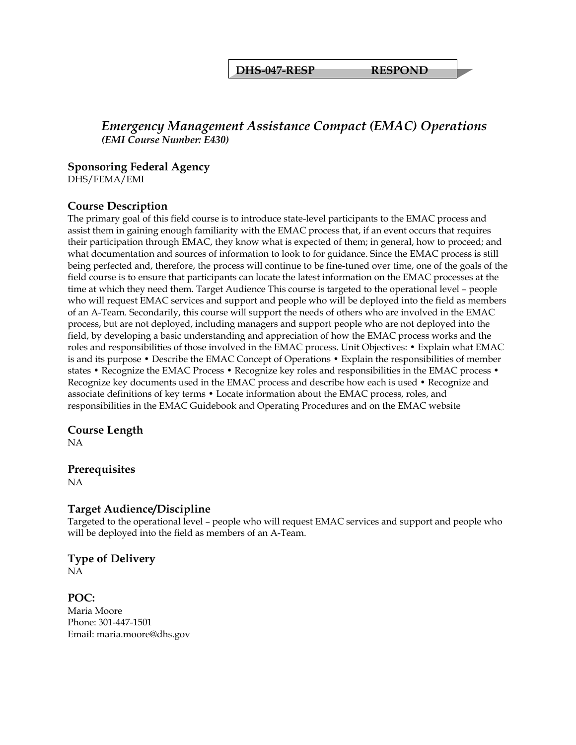**DHS-047-RESP RESPOND** 

## *Emergency Management Assistance Compact (EMAC) Operations (EMI Course Number: E430)*

#### **Sponsoring Federal Agency**

DHS/FEMA/EMI

## **Course Description**

The primary goal of this field course is to introduce state-level participants to the EMAC process and assist them in gaining enough familiarity with the EMAC process that, if an event occurs that requires their participation through EMAC, they know what is expected of them; in general, how to proceed; and what documentation and sources of information to look to for guidance. Since the EMAC process is still being perfected and, therefore, the process will continue to be fine-tuned over time, one of the goals of the field course is to ensure that participants can locate the latest information on the EMAC processes at the time at which they need them. Target Audience This course is targeted to the operational level – people who will request EMAC services and support and people who will be deployed into the field as members of an A-Team. Secondarily, this course will support the needs of others who are involved in the EMAC process, but are not deployed, including managers and support people who are not deployed into the field, by developing a basic understanding and appreciation of how the EMAC process works and the roles and responsibilities of those involved in the EMAC process. Unit Objectives: • Explain what EMAC is and its purpose • Describe the EMAC Concept of Operations • Explain the responsibilities of member states • Recognize the EMAC Process • Recognize key roles and responsibilities in the EMAC process • Recognize key documents used in the EMAC process and describe how each is used • Recognize and associate definitions of key terms • Locate information about the EMAC process, roles, and responsibilities in the EMAC Guidebook and Operating Procedures and on the EMAC website

#### **Course Length**

NA

## **Prerequisites**

NA

## **Target Audience/Discipline**

Targeted to the operational level – people who will request EMAC services and support and people who will be deployed into the field as members of an A-Team.

#### **Type of Delivery** NA

**POC:**  Maria Moore Phone: 301-447-1501 Email: maria.moore@dhs.gov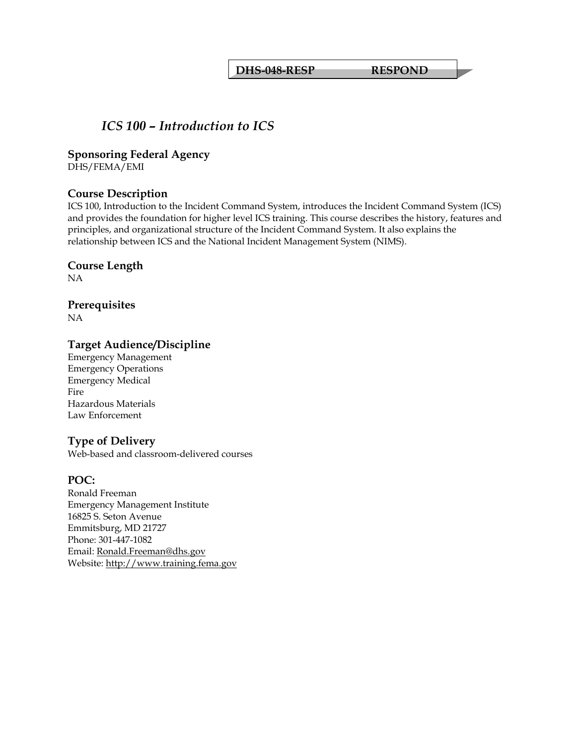**DHS-048-RESP RESPOND** 

## *ICS 100 – Introduction to ICS*

#### **Sponsoring Federal Agency**

DHS/FEMA/EMI

## **Course Description**

ICS 100, Introduction to the Incident Command System, introduces the Incident Command System (ICS) and provides the foundation for higher level ICS training. This course describes the history, features and principles, and organizational structure of the Incident Command System. It also explains the relationship between ICS and the National Incident Management System (NIMS).

#### **Course Length**

NA

# **Prerequisites**

NA

## **Target Audience/Discipline**

Emergency Management Emergency Operations Emergency Medical Fire Hazardous Materials Law Enforcement

## **Type of Delivery**

Web-based and classroom-delivered courses

## **POC:**

Ronald Freeman Emergency Management Institute 16825 S. Seton Avenue Emmitsburg, MD 21727 Phone: 301-447-1082 Email: [Ronald.Freeman@dhs.gov](mailto:Ronald.Freeman@dhs.gov) Website: [http://www.training.fema.gov](http://www.training.fema.gov/)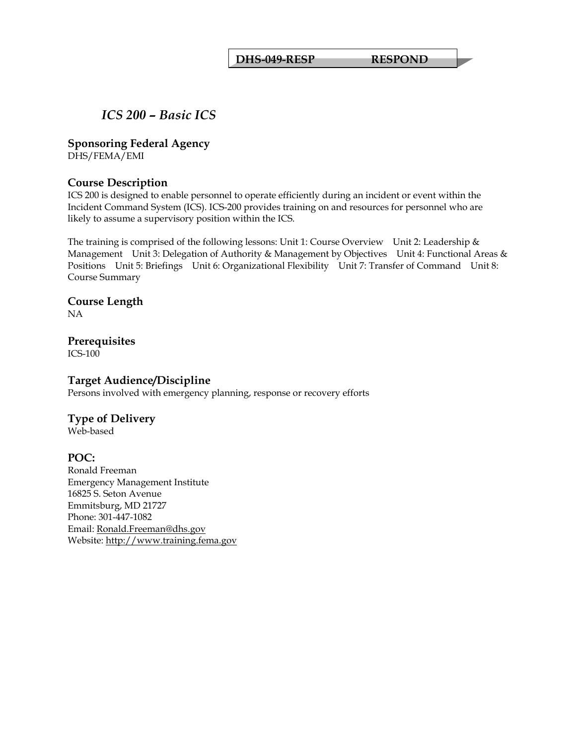**DHS-049-RESP RESPOND** 

# *ICS 200 – Basic ICS*

#### **Sponsoring Federal Agency**

DHS/FEMA/EMI

#### **Course Description**

ICS 200 is designed to enable personnel to operate efficiently during an incident or event within the Incident Command System (ICS). ICS-200 provides training on and resources for personnel who are likely to assume a supervisory position within the ICS.

The training is comprised of the following lessons: Unit 1: Course Overview Unit 2: Leadership & Management Unit 3: Delegation of Authority & Management by Objectives Unit 4: Functional Areas & Positions Unit 5: Briefings Unit 6: Organizational Flexibility Unit 7: Transfer of Command Unit 8: Course Summary

#### **Course Length**  NA

#### **Prerequisites**  ICS-100

#### **Target Audience/Discipline**

Persons involved with emergency planning, response or recovery efforts

#### **Type of Delivery**

Web-based

#### **POC:**

Ronald Freeman Emergency Management Institute 16825 S. Seton Avenue Emmitsburg, MD 21727 Phone: 301-447-1082 Email: [Ronald.Freeman@dhs.gov](mailto:Ronald.Freeman@dhs.gov) Website: [http://www.training.fema.gov](http://www.training.fema.gov/)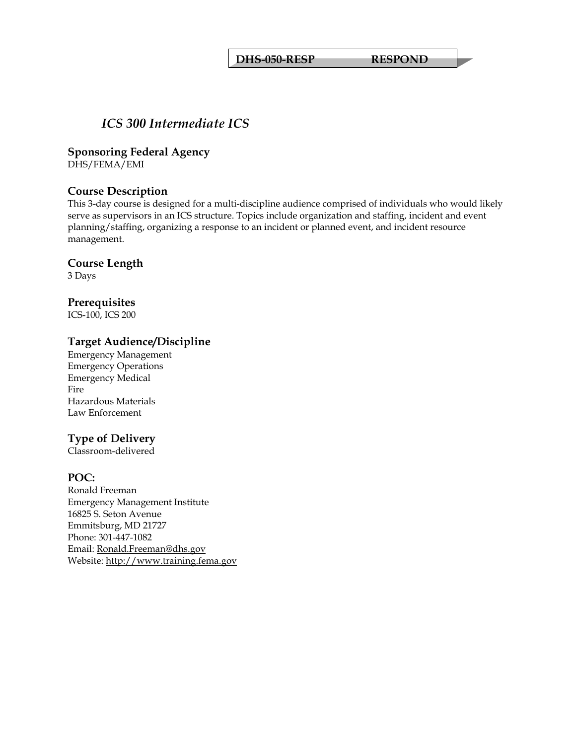# *ICS 300 Intermediate ICS*

**Sponsoring Federal Agency** 

DHS/FEMA/EMI

#### **Course Description**

This 3-day course is designed for a multi-discipline audience comprised of individuals who would likely serve as supervisors in an ICS structure. Topics include organization and staffing, incident and event planning/staffing, organizing a response to an incident or planned event, and incident resource management.

#### **Course Length**

3 Days

#### **Prerequisites**

ICS-100, ICS 200

#### **Target Audience/Discipline**

Emergency Management Emergency Operations Emergency Medical Fire Hazardous Materials Law Enforcement

## **Type of Delivery**

Classroom-delivered

#### **POC:**

Ronald Freeman Emergency Management Institute 16825 S. Seton Avenue Emmitsburg, MD 21727 Phone: 301-447-1082 Email: [Ronald.Freeman@dhs.gov](mailto:Ronald.Freeman@dhs.gov) Website: [http://www.training.fema.gov](http://www.training.fema.gov/)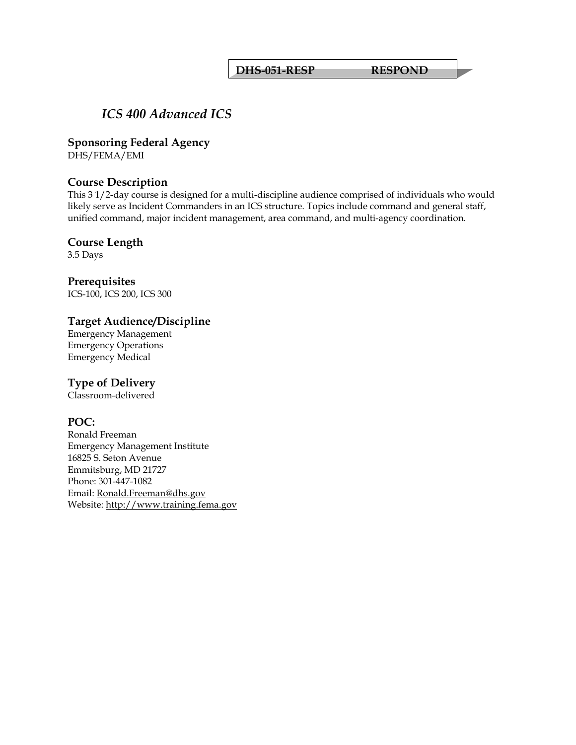#### **DHS-051-RESP RESPOND**

# *ICS 400 Advanced ICS*

**Sponsoring Federal Agency** 

DHS/FEMA/EMI

#### **Course Description**

This 3 1/2-day course is designed for a multi-discipline audience comprised of individuals who would likely serve as Incident Commanders in an ICS structure. Topics include command and general staff, unified command, major incident management, area command, and multi-agency coordination.

#### **Course Length**

3.5 Days

**Prerequisites**  ICS-100, ICS 200, ICS 300

## **Target Audience/Discipline**

Emergency Management Emergency Operations Emergency Medical

## **Type of Delivery**

Classroom-delivered

#### **POC:**

Ronald Freeman Emergency Management Institute 16825 S. Seton Avenue Emmitsburg, MD 21727 Phone: 301-447-1082 Email: [Ronald.Freeman@dhs.gov](mailto:Ronald.Freeman@dhs.gov) Website: [http://www.training.fema.gov](http://www.training.fema.gov/)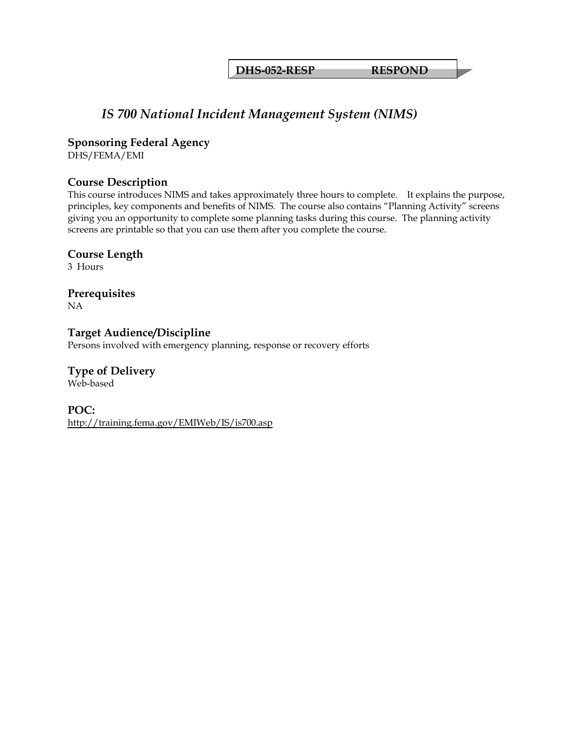**DHS-052-RESP RESPOND** 

# *IS 700 National Incident Management System (NIMS)*

**Sponsoring Federal Agency** 

DHS/FEMA/EMI

#### **Course Description**

This course introduces NIMS and takes approximately three hours to complete. It explains the purpose, principles, key components and benefits of NIMS. The course also contains "Planning Activity" screens giving you an opportunity to complete some planning tasks during this course. The planning activity screens are printable so that you can use them after you complete the course.

**Course Length** 

3 Hours

**Prerequisites**  NA

**Target Audience/Discipline** 

Persons involved with emergency planning, response or recovery efforts

**Type of Delivery** Web-based

**POC:**  <http://training.fema.gov/EMIWeb/IS/is700.asp>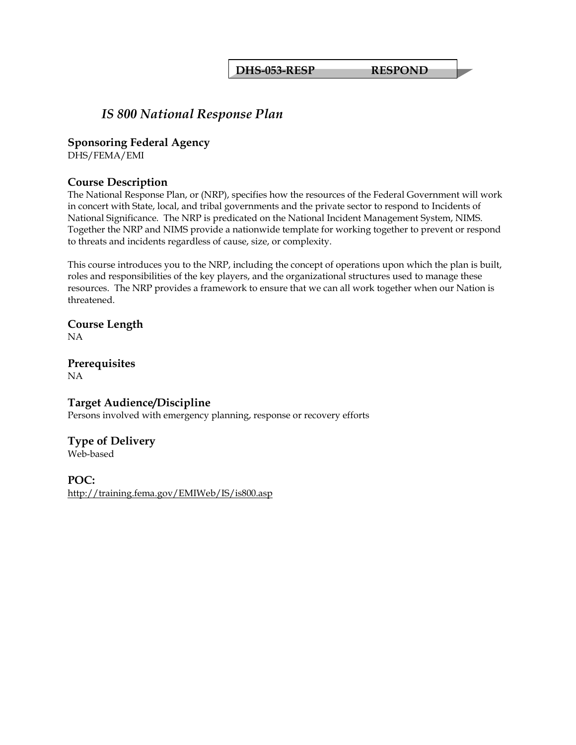**DHS-053-RESP RESPOND** 

# *IS 800 National Response Plan*

**Sponsoring Federal Agency** 

DHS/FEMA/EMI

#### **Course Description**

The National Response Plan, or (NRP), specifies how the resources of the Federal Government will work in concert with State, local, and tribal governments and the private sector to respond to Incidents of National Significance. The NRP is predicated on the National Incident Management System, NIMS. Together the NRP and NIMS provide a nationwide template for working together to prevent or respond to threats and incidents regardless of cause, size, or complexity.

This course introduces you to the NRP, including the concept of operations upon which the plan is built, roles and responsibilities of the key players, and the organizational structures used to manage these resources. The NRP provides a framework to ensure that we can all work together when our Nation is threatened.

**Course Length**  NA

**Prerequisites**  NA

#### **Target Audience/Discipline**

Persons involved with emergency planning, response or recovery efforts

#### **Type of Delivery**

Web-based

**POC:** 

<http://training.fema.gov/EMIWeb/IS/is800.asp>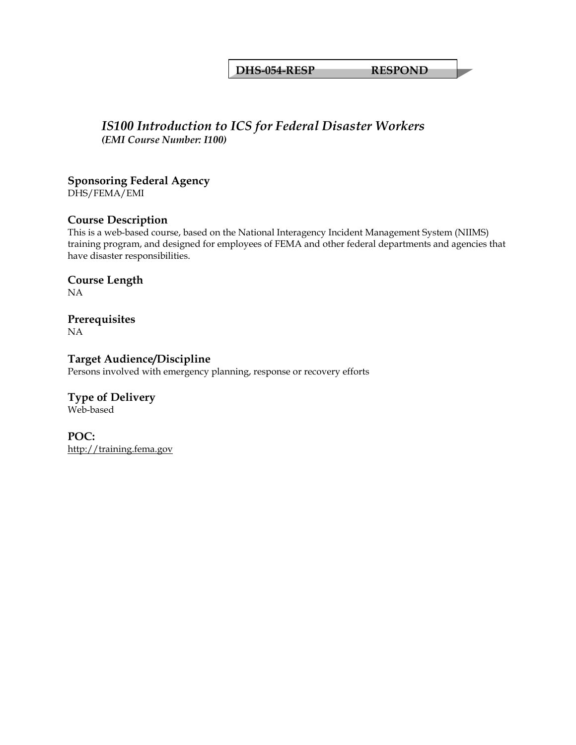**DHS-054-RESP RESPOND** 

#### *IS100 Introduction to ICS for Federal Disaster Workers (EMI Course Number: I100)*

#### **Sponsoring Federal Agency**

DHS/FEMA/EMI

#### **Course Description**

This is a web-based course, based on the National Interagency Incident Management System (NIIMS) training program, and designed for employees of FEMA and other federal departments and agencies that have disaster responsibilities.

#### **Course Length**  NA

#### **Prerequisites**  NA

**Target Audience/Discipline**  Persons involved with emergency planning, response or recovery efforts

#### **Type of Delivery** Web-based

**POC:**  [http://training.fema.gov](http://training.fema.gov/)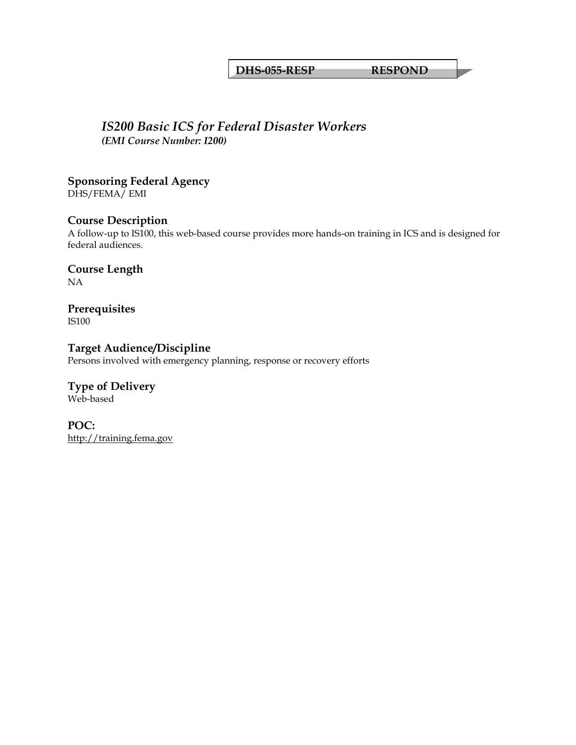#### **DHS-055-RESP RESPOND**

#### *IS200 Basic ICS for Federal Disaster Workers (EMI Course Number: I200)*

**Sponsoring Federal Agency**  DHS/FEMA/ EMI

#### **Course Description**

A follow-up to IS100, this web-based course provides more hands-on training in ICS and is designed for federal audiences.

**Course Length**  NA

**Prerequisites**  IS100

**Target Audience/Discipline**  Persons involved with emergency planning, response or recovery efforts

**Type of Delivery** Web-based

**POC:**  [http://training.fema.gov](http://training.fema.gov/)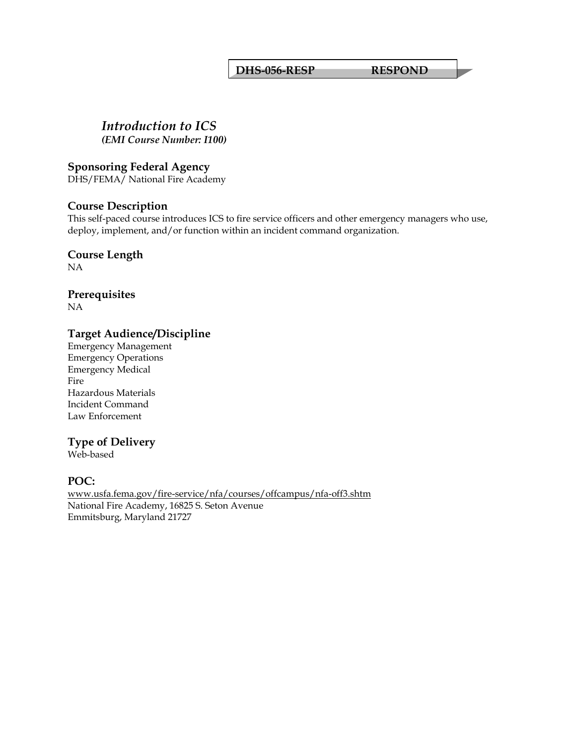#### **DHS-056-RESP RESPOND**

## *Introduction to ICS*

*(EMI Course Number: I100)* 

#### **Sponsoring Federal Agency**

DHS/FEMA/ National Fire Academy

#### **Course Description**

This self-paced course introduces ICS to fire service officers and other emergency managers who use, deploy, implement, and/or function within an incident command organization.

# **Course Length**

NA

#### **Prerequisites**  NA

#### **Target Audience/Discipline**

Emergency Management Emergency Operations Emergency Medical Fire Hazardous Materials Incident Command Law Enforcement

#### **Type of Delivery**

Web-based

#### **POC:**

[www.usfa.fema.gov/fire-service/nfa/courses/offcampus/nfa-off3.shtm](http://www.usfa.fema.gov/fire-service/nfa/courses/offcampus/nfa-off3.shtm) National Fire Academy, 16825 S. Seton Avenue Emmitsburg, Maryland 21727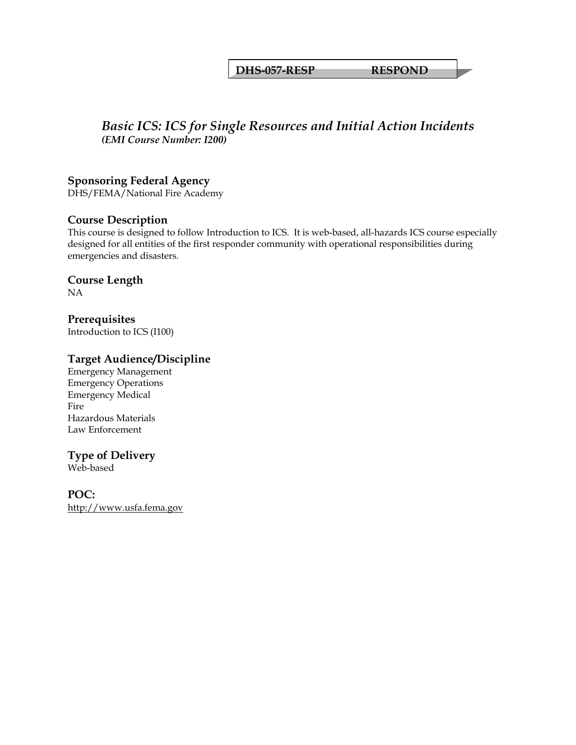#### **DHS-057-RESP RESPOND**

## *Basic ICS: ICS for Single Resources and Initial Action Incidents (EMI Course Number: I200)*

#### **Sponsoring Federal Agency**

DHS/FEMA/National Fire Academy

#### **Course Description**

This course is designed to follow Introduction to ICS. It is web-based, all-hazards ICS course especially designed for all entities of the first responder community with operational responsibilities during emergencies and disasters.

#### **Course Length**

NA

#### **Prerequisites**  Introduction to ICS (I100)

#### **Target Audience/Discipline**

Emergency Management Emergency Operations Emergency Medical Fire Hazardous Materials Law Enforcement

#### **Type of Delivery**

Web-based

#### **POC:**  [http://www.usfa.fema.gov](http://www.usfa.fema.gov/)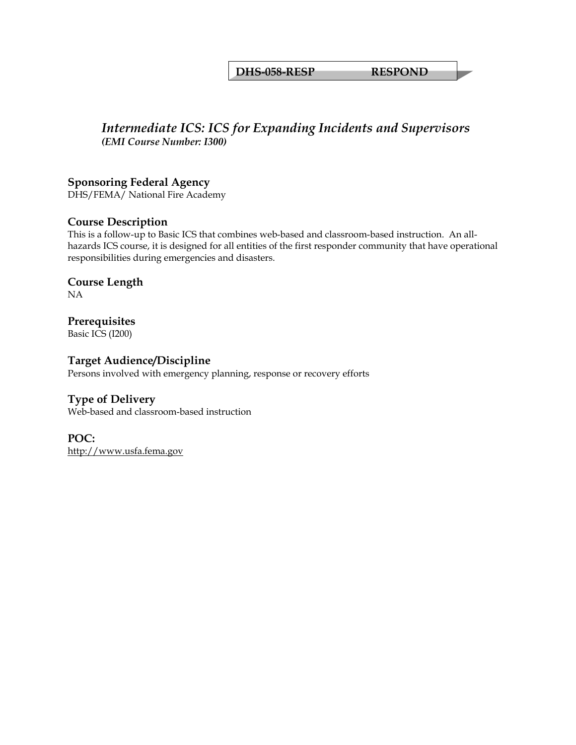**DHS-058-RESP RESPOND** 

# *Intermediate ICS: ICS for Expanding Incidents and Supervisors (EMI Course Number: I300)*

#### **Sponsoring Federal Agency**

DHS/FEMA/ National Fire Academy

#### **Course Description**

This is a follow-up to Basic ICS that combines web-based and classroom-based instruction. An allhazards ICS course, it is designed for all entities of the first responder community that have operational responsibilities during emergencies and disasters.

#### **Course Length**  NA

# **Prerequisites**

Basic ICS (I200)

#### **Target Audience/Discipline**

Persons involved with emergency planning, response or recovery efforts

#### **Type of Delivery**

Web-based and classroom-based instruction

# **POC:**

[http://www.usfa.fema.gov](http://www.usfa.fema.gov/)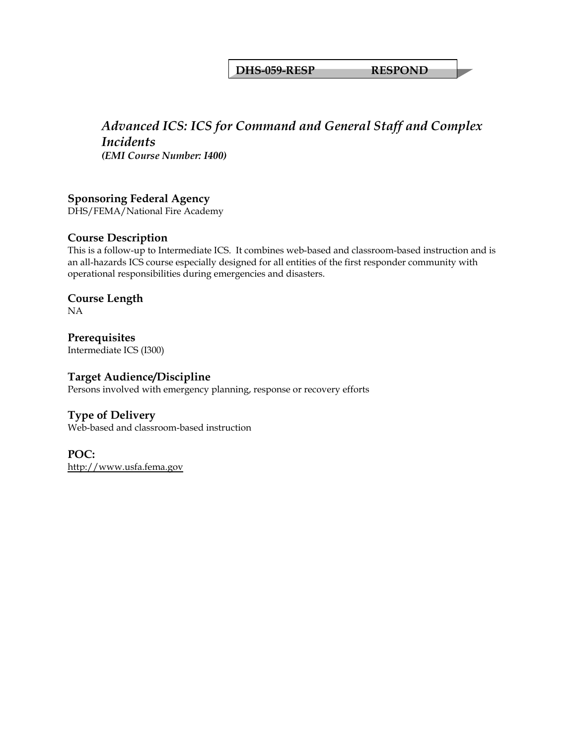#### **DHS-059-RESP RESPOND**

# *Advanced ICS: ICS for Command and General Staff and Complex Incidents*

*(EMI Course Number: I400)* 

#### **Sponsoring Federal Agency**

DHS/FEMA/National Fire Academy

#### **Course Description**

This is a follow-up to Intermediate ICS. It combines web-based and classroom-based instruction and is an all-hazards ICS course especially designed for all entities of the first responder community with operational responsibilities during emergencies and disasters.

#### **Course Length**  NA

**Prerequisites**  Intermediate ICS (I300)

#### **Target Audience/Discipline**

Persons involved with emergency planning, response or recovery efforts

#### **Type of Delivery**

Web-based and classroom-based instruction

#### **POC:**  [http://www.usfa.fema.gov](http://www.usfa.fema.gov/)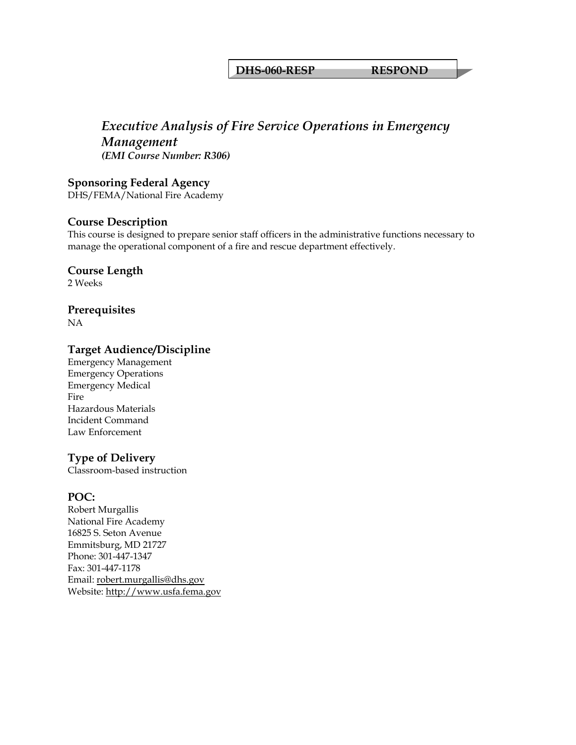#### **DHS-060-RESP RESPOND**

## *Executive Analysis of Fire Service Operations in Emergency Management (EMI Course Number: R306)*

**Sponsoring Federal Agency**  DHS/FEMA/National Fire Academy

#### **Course Description**

This course is designed to prepare senior staff officers in the administrative functions necessary to manage the operational component of a fire and rescue department effectively.

#### **Course Length**

2 Weeks

#### **Prerequisites**

NA

#### **Target Audience/Discipline**

Emergency Management Emergency Operations Emergency Medical **Fire** Hazardous Materials Incident Command Law Enforcement

#### **Type of Delivery**

Classroom-based instruction

#### **POC:**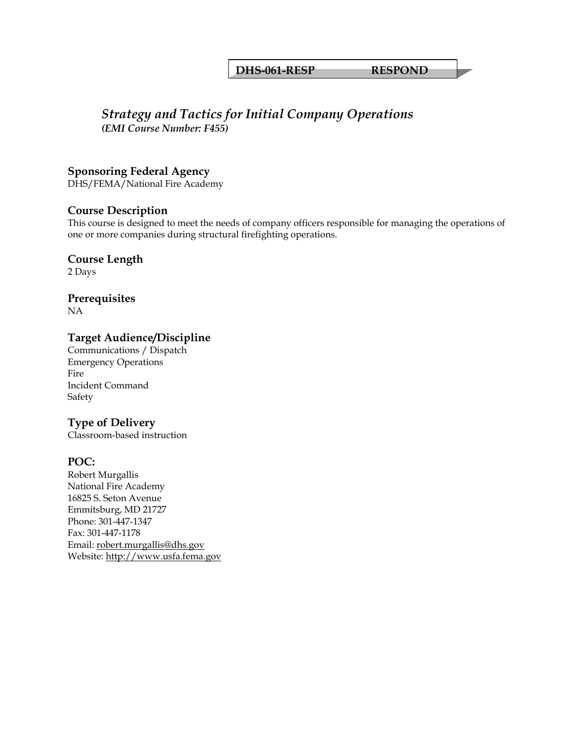#### **DHS-061-RESP RESPOND**

#### *Strategy and Tactics for Initial Company Operations (EMI Course Number: F455)*

#### **Sponsoring Federal Agency**

DHS/FEMA/National Fire Academy

#### **Course Description**

This course is designed to meet the needs of company officers responsible for managing the operations of one or more companies during structural firefighting operations.

#### **Course Length**

2 Days

**Prerequisites** 

NA

#### **Target Audience/Discipline**

Communications / Dispatch Emergency Operations Fire Incident Command Safety

#### **Type of Delivery**

Classroom-based instruction

#### **POC:**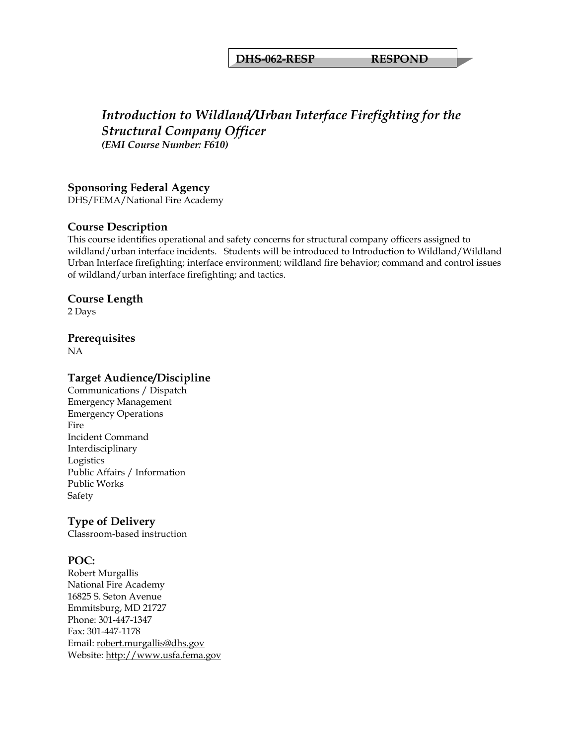**DHS-062-RESP RESPOND** 

# *Introduction to Wildland/Urban Interface Firefighting for the Structural Company Officer (EMI Course Number: F610)*

#### **Sponsoring Federal Agency**

DHS/FEMA/National Fire Academy

#### **Course Description**

This course identifies operational and safety concerns for structural company officers assigned to wildland/urban interface incidents. Students will be introduced to Introduction to Wildland/Wildland Urban Interface firefighting; interface environment; wildland fire behavior; command and control issues of wildland/urban interface firefighting; and tactics.

#### **Course Length**

2 Days

# **Prerequisites**

NA

#### **Target Audience/Discipline**

Communications / Dispatch Emergency Management Emergency Operations **Fire** Incident Command Interdisciplinary Logistics Public Affairs / Information Public Works Safety

#### **Type of Delivery**

Classroom-based instruction

#### **POC:**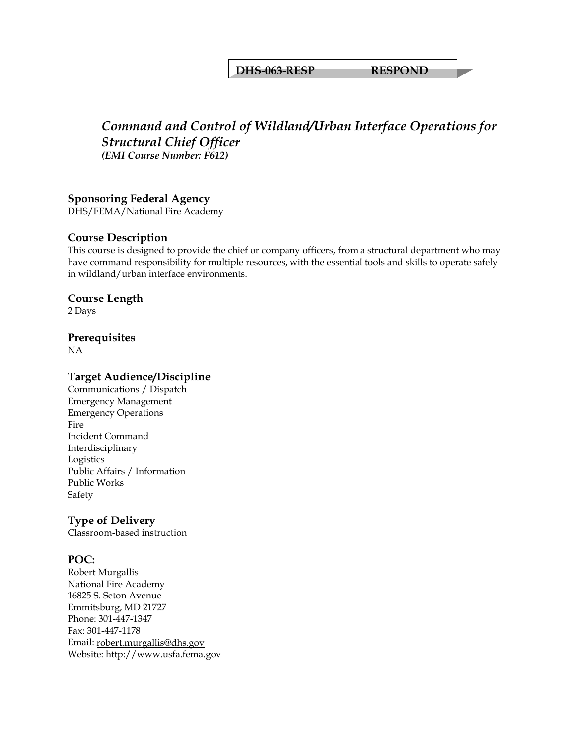#### **DHS-063-RESP RESPOND**

# *Command and Control of Wildland/Urban Interface Operations for Structural Chief Officer (EMI Course Number: F612)*

#### **Sponsoring Federal Agency**

DHS/FEMA/National Fire Academy

#### **Course Description**

This course is designed to provide the chief or company officers, from a structural department who may have command responsibility for multiple resources, with the essential tools and skills to operate safely in wildland/urban interface environments.

#### **Course Length**

2 Days

#### **Prerequisites**

NA

#### **Target Audience/Discipline**

Communications / Dispatch Emergency Management Emergency Operations Fire Incident Command Interdisciplinary Logistics Public Affairs / Information Public Works Safety

#### **Type of Delivery**

Classroom-based instruction

#### **POC:**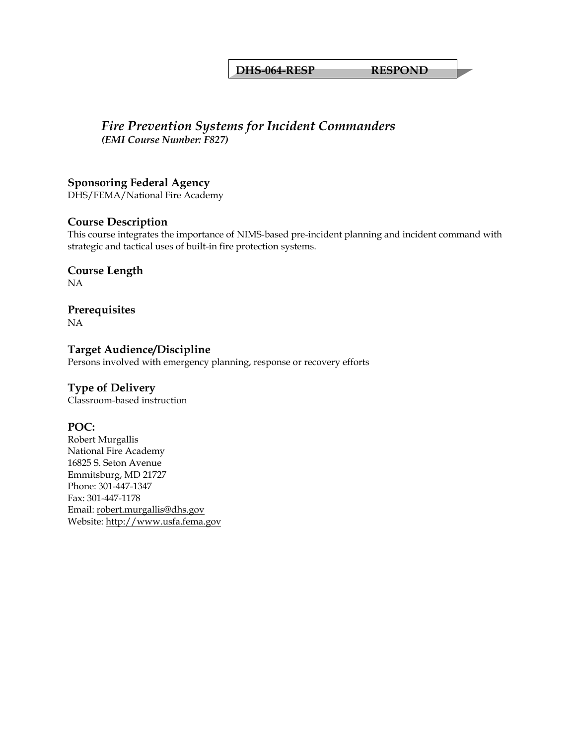#### **DHS-064-RESP RESPOND**

#### *Fire Prevention Systems for Incident Commanders (EMI Course Number: F827)*

#### **Sponsoring Federal Agency**

DHS/FEMA/National Fire Academy

#### **Course Description**

This course integrates the importance of NIMS-based pre-incident planning and incident command with strategic and tactical uses of built-in fire protection systems.

#### **Course Length**  NA

**Prerequisites**  NA

#### **Target Audience/Discipline**  Persons involved with emergency planning, response or recovery efforts

#### **Type of Delivery**

Classroom-based instruction

#### **POC:**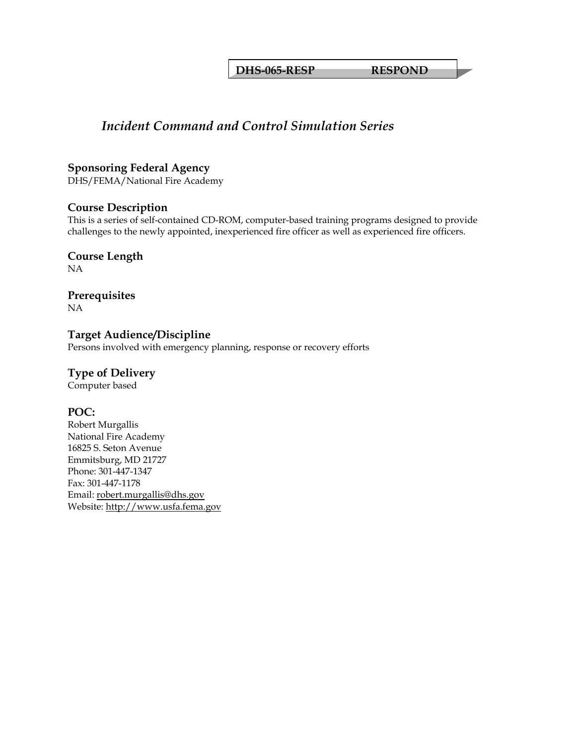**DHS-065-RESP RESPOND** 

# *Incident Command and Control Simulation Series*

#### **Sponsoring Federal Agency**

DHS/FEMA/National Fire Academy

#### **Course Description**

This is a series of self-contained CD-ROM, computer-based training programs designed to provide challenges to the newly appointed, inexperienced fire officer as well as experienced fire officers.

#### **Course Length**  NA

**Prerequisites**  NA

**Target Audience/Discipline**  Persons involved with emergency planning, response or recovery efforts

# **Type of Delivery**

Computer based

#### **POC:**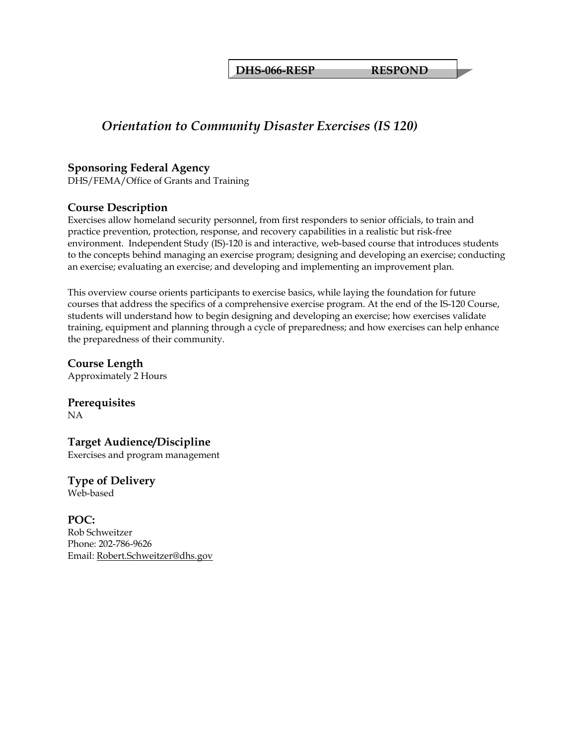**DHS-066-RESP RESPOND** 

# *Orientation to Community Disaster Exercises (IS 120)*

#### **Sponsoring Federal Agency**

DHS/FEMA/Office of Grants and Training

#### **Course Description**

Exercises allow homeland security personnel, from first responders to senior officials, to train and practice prevention, protection, response, and recovery capabilities in a realistic but risk-free environment. Independent Study (IS)-120 is and interactive, web-based course that introduces students to the concepts behind managing an exercise program; designing and developing an exercise; conducting an exercise; evaluating an exercise; and developing and implementing an improvement plan.

This overview course orients participants to exercise basics, while laying the foundation for future courses that address the specifics of a comprehensive exercise program. At the end of the IS-120 Course, students will understand how to begin designing and developing an exercise; how exercises validate training, equipment and planning through a cycle of preparedness; and how exercises can help enhance the preparedness of their community.

**Course Length**  Approximately 2 Hours

**Prerequisites**  NA

**Target Audience/Discipline**  Exercises and program management

**Type of Delivery** Web-based

**POC:**  Rob Schweitzer Phone: 202-786-9626 Email: [Robert.Schweitzer@dhs.gov](mailto:Robert.Schweitzer@dhs.gov)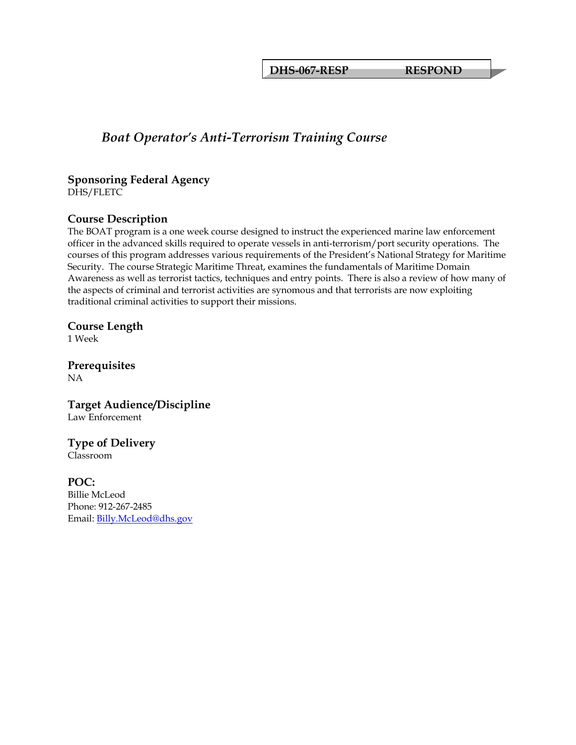**DHS-067-RESP RESPOND** 

# *Boat Operator's Anti-Terrorism Training Course*

#### **Sponsoring Federal Agency**

DHS/FLETC

#### **Course Description**

The BOAT program is a one week course designed to instruct the experienced marine law enforcement officer in the advanced skills required to operate vessels in anti-terrorism/port security operations. The courses of this program addresses various requirements of the President's National Strategy for Maritime Security. The course Strategic Maritime Threat, examines the fundamentals of Maritime Domain Awareness as well as terrorist tactics, techniques and entry points. There is also a review of how many of the aspects of criminal and terrorist activities are synomous and that terrorists are now exploiting traditional criminal activities to support their missions.

# **Course Length**

1 Week

**Prerequisites**  NA

**Target Audience/Discipline**  Law Enforcement

**Type of Delivery** Classroom

**POC:**  Billie McLeod Phone: 912-267-2485 Email: [Billy.McLeod@dhs.gov](mailto:Billy.McLeod@dhs.gov)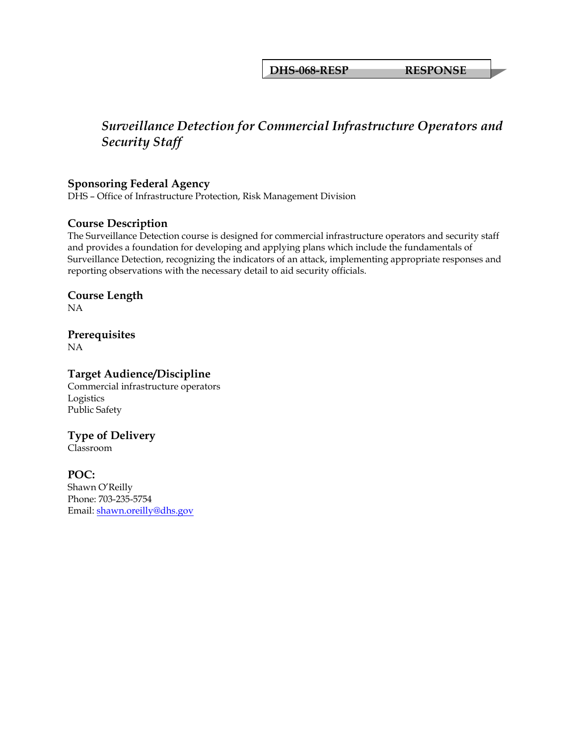**DHS-068-RESP RESPONSE**

# *Surveillance Detection for Commercial Infrastructure Operators and Security Staff*

#### **Sponsoring Federal Agency**

DHS – Office of Infrastructure Protection, Risk Management Division

#### **Course Description**

The Surveillance Detection course is designed for commercial infrastructure operators and security staff and provides a foundation for developing and applying plans which include the fundamentals of Surveillance Detection, recognizing the indicators of an attack, implementing appropriate responses and reporting observations with the necessary detail to aid security officials.

# **Course Length**

NA

#### **Prerequisites**  NA

#### **Target Audience/Discipline**

Commercial infrastructure operators Logistics Public Safety

## **Type of Delivery**

Classroom

#### **POC:**

Shawn O'Reilly Phone: 703-235-5754 Email: [shawn.oreilly@dhs.gov](mailto:shawn.oreilly@dhs.gov)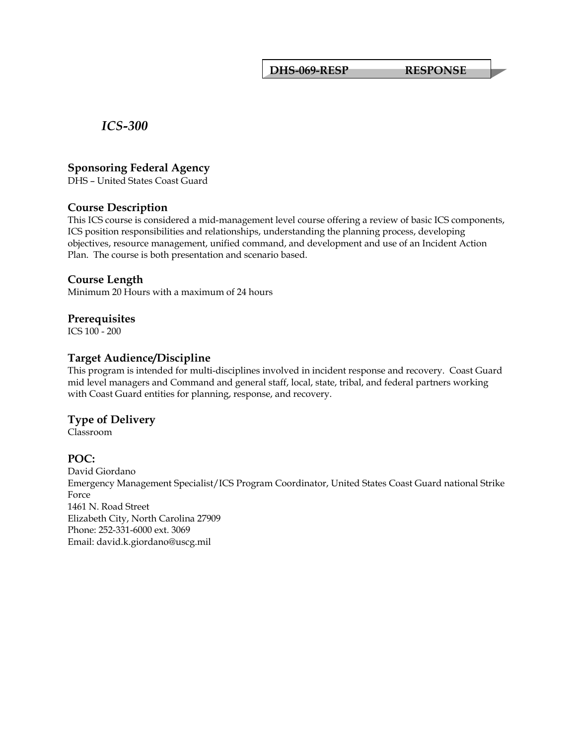**DHS-069-RESP RESPONSE**

*ICS-300*

#### **Sponsoring Federal Agency**

DHS – United States Coast Guard

#### **Course Description**

This ICS course is considered a mid-management level course offering a review of basic ICS components, ICS position responsibilities and relationships, understanding the planning process, developing objectives, resource management, unified command, and development and use of an Incident Action Plan. The course is both presentation and scenario based.

#### **Course Length**

Minimum 20 Hours with a maximum of 24 hours

#### **Prerequisites**

ICS 100 - 200

#### **Target Audience/Discipline**

This program is intended for multi-disciplines involved in incident response and recovery. Coast Guard mid level managers and Command and general staff, local, state, tribal, and federal partners working with Coast Guard entities for planning, response, and recovery.

#### **Type of Delivery**

Classroom

#### **POC:**

David Giordano Emergency Management Specialist/ICS Program Coordinator, United States Coast Guard national Strike Force 1461 N. Road Street Elizabeth City, North Carolina 27909 Phone: 252-331-6000 ext. 3069 Email: david.k.giordano@uscg.mil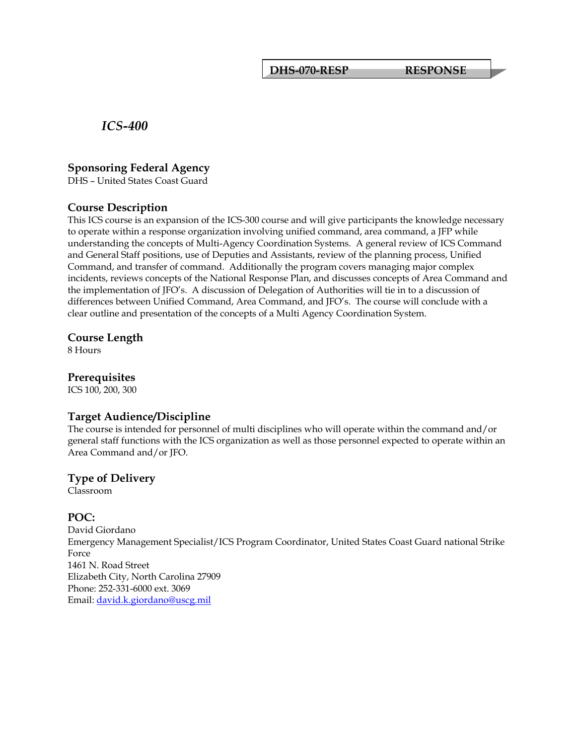**DHS-070-RESP RESPONSE**

*ICS-400*

#### **Sponsoring Federal Agency**

DHS – United States Coast Guard

#### **Course Description**

This ICS course is an expansion of the ICS-300 course and will give participants the knowledge necessary to operate within a response organization involving unified command, area command, a JFP while understanding the concepts of Multi-Agency Coordination Systems. A general review of ICS Command and General Staff positions, use of Deputies and Assistants, review of the planning process, Unified Command, and transfer of command. Additionally the program covers managing major complex incidents, reviews concepts of the National Response Plan, and discusses concepts of Area Command and the implementation of JFO's. A discussion of Delegation of Authorities will tie in to a discussion of differences between Unified Command, Area Command, and JFO's. The course will conclude with a clear outline and presentation of the concepts of a Multi Agency Coordination System.

#### **Course Length**

8 Hours

#### **Prerequisites**

ICS 100, 200, 300

#### **Target Audience/Discipline**

The course is intended for personnel of multi disciplines who will operate within the command and/or general staff functions with the ICS organization as well as those personnel expected to operate within an Area Command and/or JFO.

#### **Type of Delivery**

Classroom

#### **POC:**

David Giordano Emergency Management Specialist/ICS Program Coordinator, United States Coast Guard national Strike Force 1461 N. Road Street Elizabeth City, North Carolina 27909 Phone: 252-331-6000 ext. 3069 Email: [david.k.giordano@uscg.mil](mailto:david.k.giordano@uscg.mil)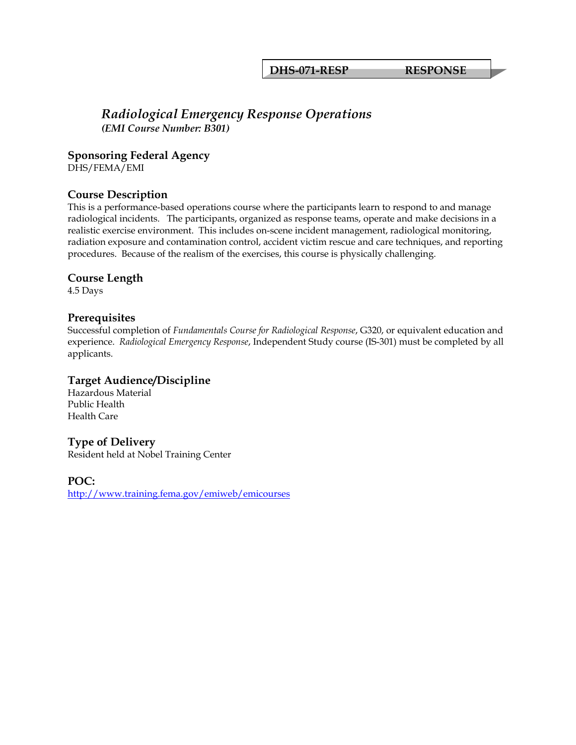**DHS-071-RESP RESPONSE**

### *Radiological Emergency Response Operations (EMI Course Number: B301)*

**Sponsoring Federal Agency** 

DHS/FEMA/EMI

#### **Course Description**

This is a performance-based operations course where the participants learn to respond to and manage radiological incidents. The participants, organized as response teams, operate and make decisions in a realistic exercise environment. This includes on-scene incident management, radiological monitoring, radiation exposure and contamination control, accident victim rescue and care techniques, and reporting procedures. Because of the realism of the exercises, this course is physically challenging.

#### **Course Length**

4.5 Days

#### **Prerequisites**

Successful completion of *Fundamentals Course for Radiological Response*, G320, or equivalent education and experience. *Radiological Emergency Response*, Independent Study course (IS-301) must be completed by all applicants.

#### **Target Audience/Discipline**

Hazardous Material Public Health Health Care

#### **Type of Delivery**

Resident held at Nobel Training Center

**POC:**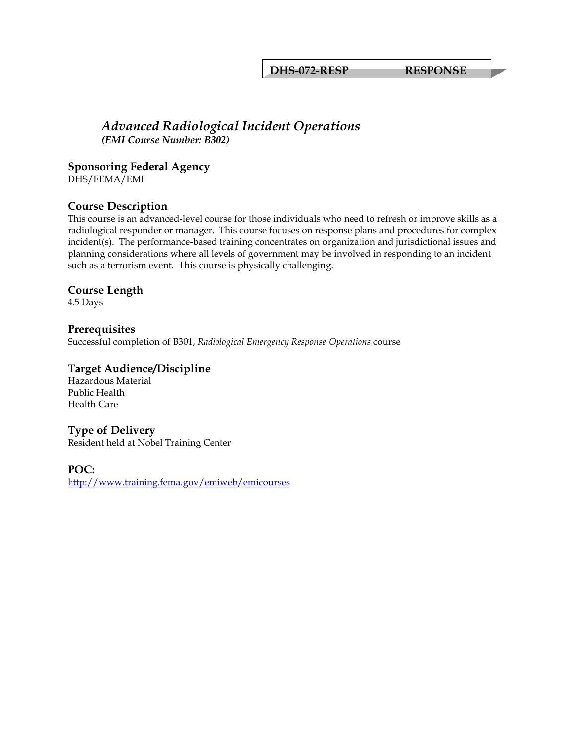**DHS-072-RESP RESPONSE**

#### *Advanced Radiological Incident Operations (EMI Course Number: B302)*

**Sponsoring Federal Agency** 

DHS/FEMA/EMI

#### **Course Description**

This course is an advanced-level course for those individuals who need to refresh or improve skills as a radiological responder or manager. This course focuses on response plans and procedures for complex incident(s). The performance-based training concentrates on organization and jurisdictional issues and planning considerations where all levels of government may be involved in responding to an incident such as a terrorism event. This course is physically challenging.

#### **Course Length**

4.5 Days

#### **Prerequisites**

Successful completion of B301, *Radiological Emergency Response Operations* course

#### **Target Audience/Discipline**

Hazardous Material Public Health Health Care

#### **Type of Delivery**

Resident held at Nobel Training Center

#### **POC:**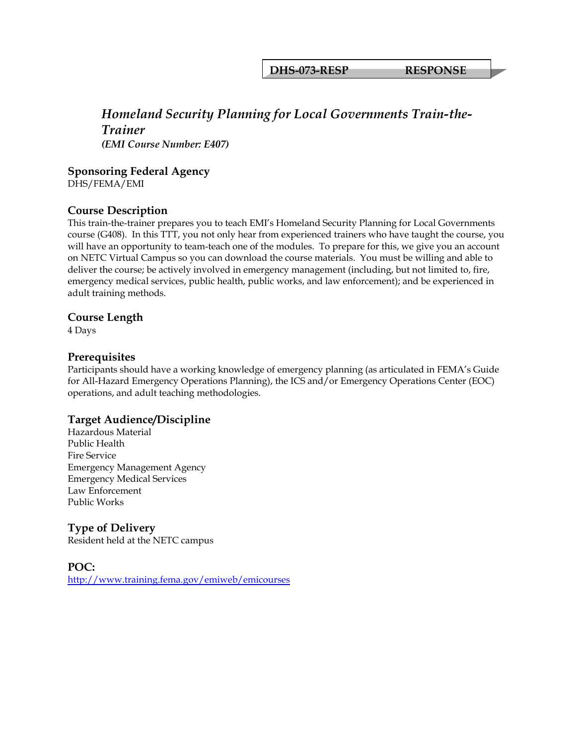**DHS-073-RESP RESPONSE**

## *Homeland Security Planning for Local Governments Train-the-Trainer (EMI Course Number: E407)*

#### **Sponsoring Federal Agency**

DHS/FEMA/EMI

#### **Course Description**

This train-the-trainer prepares you to teach EMI's Homeland Security Planning for Local Governments course (G408). In this TTT, you not only hear from experienced trainers who have taught the course, you will have an opportunity to team-teach one of the modules. To prepare for this, we give you an account on NETC Virtual Campus so you can download the course materials. You must be willing and able to deliver the course; be actively involved in emergency management (including, but not limited to, fire, emergency medical services, public health, public works, and law enforcement); and be experienced in adult training methods.

#### **Course Length**

4 Days

#### **Prerequisites**

Participants should have a working knowledge of emergency planning (as articulated in FEMA's Guide for All-Hazard Emergency Operations Planning), the ICS and/or Emergency Operations Center (EOC) operations, and adult teaching methodologies.

#### **Target Audience/Discipline**

Hazardous Material Public Health Fire Service Emergency Management Agency Emergency Medical Services Law Enforcement Public Works

## **Type of Delivery**

Resident held at the NETC campus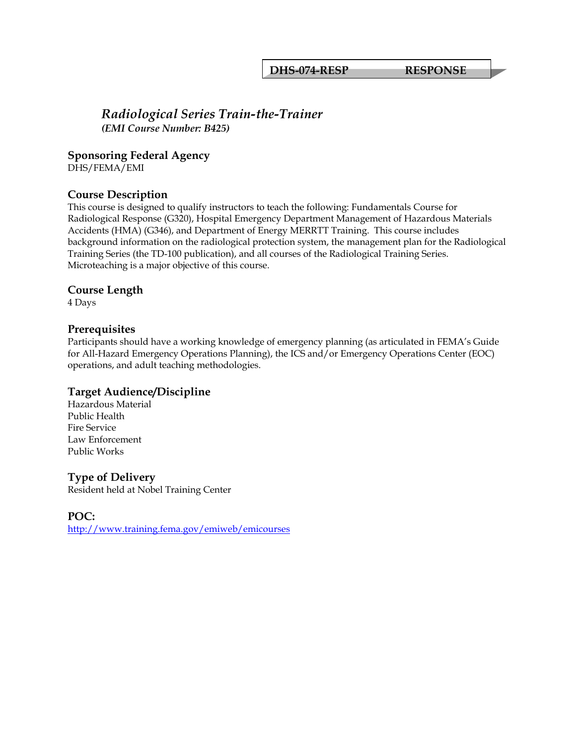**DHS-074-RESP RESPONSE**

# *Radiological Series Train-the-Trainer (EMI Course Number: B425)*

**Sponsoring Federal Agency** 

DHS/FEMA/EMI

#### **Course Description**

This course is designed to qualify instructors to teach the following: Fundamentals Course for Radiological Response (G320), Hospital Emergency Department Management of Hazardous Materials Accidents (HMA) (G346), and Department of Energy MERRTT Training. This course includes background information on the radiological protection system, the management plan for the Radiological Training Series (the TD-100 publication), and all courses of the Radiological Training Series. Microteaching is a major objective of this course.

#### **Course Length**

4 Days

#### **Prerequisites**

Participants should have a working knowledge of emergency planning (as articulated in FEMA's Guide for All-Hazard Emergency Operations Planning), the ICS and/or Emergency Operations Center (EOC) operations, and adult teaching methodologies.

#### **Target Audience/Discipline**

Hazardous Material Public Health Fire Service Law Enforcement Public Works

#### **Type of Delivery**

Resident held at Nobel Training Center

**POC:**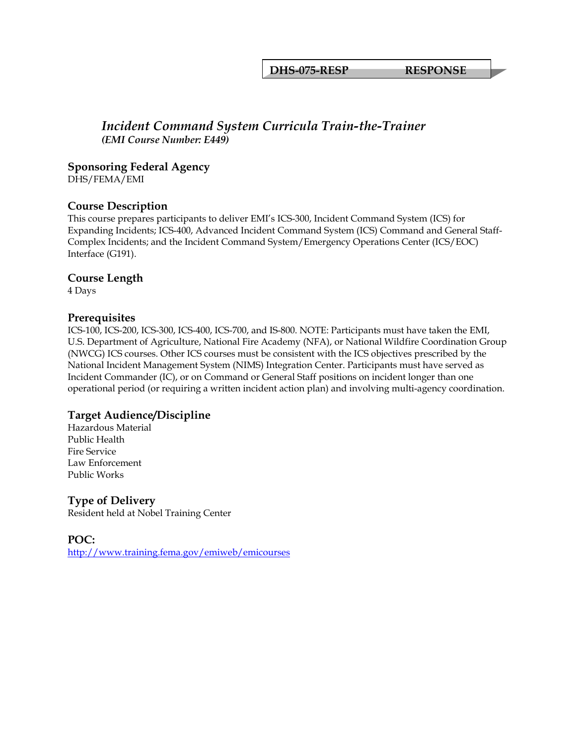**DHS-075-RESP RESPONSE**

#### *Incident Command System Curricula Train-the-Trainer (EMI Course Number: E449)*

#### **Sponsoring Federal Agency**

DHS/FEMA/EMI

#### **Course Description**

This course prepares participants to deliver EMI's ICS-300, Incident Command System (ICS) for Expanding Incidents; ICS-400, Advanced Incident Command System (ICS) Command and General Staff-Complex Incidents; and the Incident Command System/Emergency Operations Center (ICS/EOC) Interface (G191).

#### **Course Length**

4 Days

#### **Prerequisites**

ICS-100, ICS-200, ICS-300, ICS-400, ICS-700, and IS-800. NOTE: Participants must have taken the EMI, U.S. Department of Agriculture, National Fire Academy (NFA), or National Wildfire Coordination Group (NWCG) ICS courses. Other ICS courses must be consistent with the ICS objectives prescribed by the National Incident Management System (NIMS) Integration Center. Participants must have served as Incident Commander (IC), or on Command or General Staff positions on incident longer than one operational period (or requiring a written incident action plan) and involving multi-agency coordination.

#### **Target Audience/Discipline**

Hazardous Material Public Health Fire Service Law Enforcement Public Works

#### **Type of Delivery**

Resident held at Nobel Training Center

#### **POC:**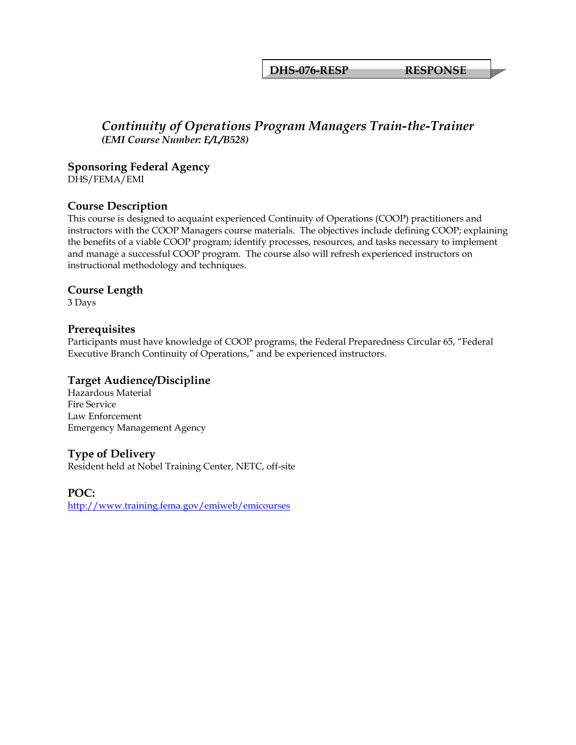**DHS-076-RESP RESPONSE**

#### *Continuity of Operations Program Managers Train-the-Trainer (EMI Course Number: E/L/B528)*

**Sponsoring Federal Agency** 

DHS/FEMA/EMI

#### **Course Description**

This course is designed to acquaint experienced Continuity of Operations (COOP) practitioners and instructors with the COOP Managers course materials. The objectives include defining COOP; explaining the benefits of a viable COOP program; identify processes, resources, and tasks necessary to implement and manage a successful COOP program. The course also will refresh experienced instructors on instructional methodology and techniques.

#### **Course Length**

3 Days

#### **Prerequisites**

Participants must have knowledge of COOP programs, the Federal Preparedness Circular 65, "Federal Executive Branch Continuity of Operations," and be experienced instructors.

#### **Target Audience/Discipline**

Hazardous Material Fire Service Law Enforcement Emergency Management Agency

#### **Type of Delivery**

Resident held at Nobel Training Center, NETC, off-site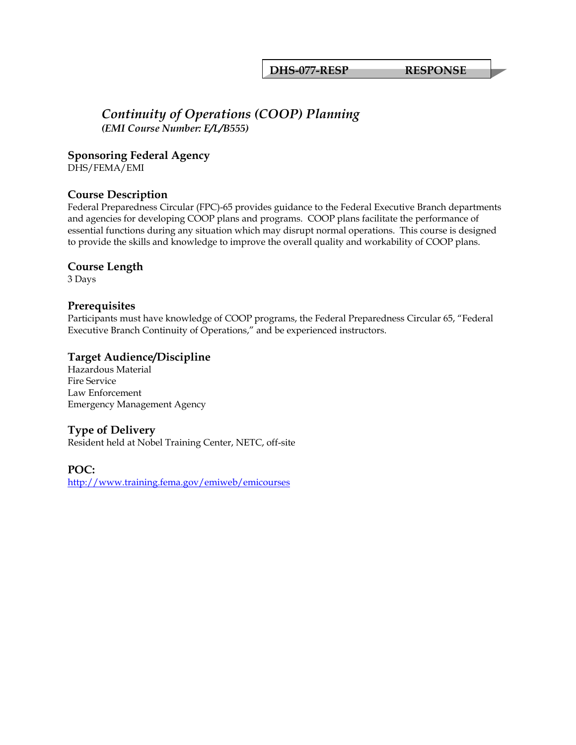**DHS-077-RESP RESPONSE**

## *Continuity of Operations (COOP) Planning (EMI Course Number: E/L/B555)*

**Sponsoring Federal Agency** 

DHS/FEMA/EMI

#### **Course Description**

Federal Preparedness Circular (FPC)-65 provides guidance to the Federal Executive Branch departments and agencies for developing COOP plans and programs. COOP plans facilitate the performance of essential functions during any situation which may disrupt normal operations. This course is designed to provide the skills and knowledge to improve the overall quality and workability of COOP plans.

#### **Course Length**

3 Days

#### **Prerequisites**

Participants must have knowledge of COOP programs, the Federal Preparedness Circular 65, "Federal Executive Branch Continuity of Operations," and be experienced instructors.

#### **Target Audience/Discipline**

Hazardous Material Fire Service Law Enforcement Emergency Management Agency

## **Type of Delivery**

Resident held at Nobel Training Center, NETC, off-site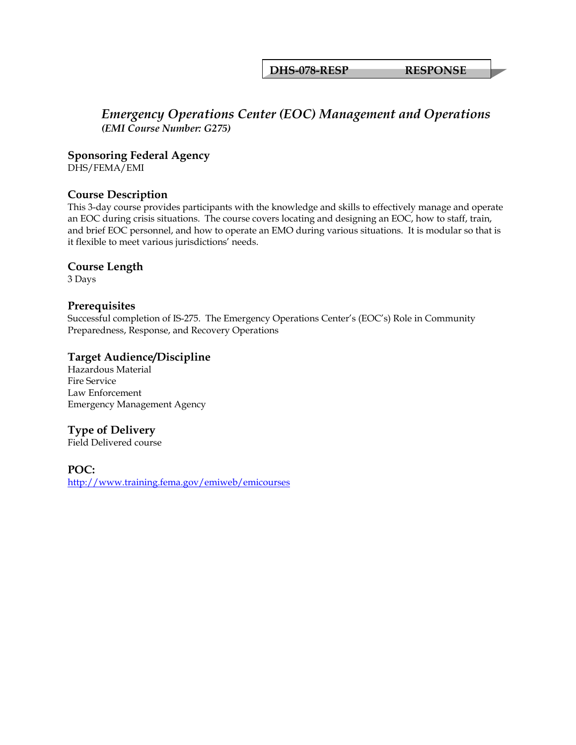**DHS-078-RESP RESPONSE**

# *Emergency Operations Center (EOC) Management and Operations (EMI Course Number: G275)*

**Sponsoring Federal Agency** 

DHS/FEMA/EMI

## **Course Description**

This 3-day course provides participants with the knowledge and skills to effectively manage and operate an EOC during crisis situations. The course covers locating and designing an EOC, how to staff, train, and brief EOC personnel, and how to operate an EMO during various situations. It is modular so that is it flexible to meet various jurisdictions' needs.

#### **Course Length**

3 Days

#### **Prerequisites**

Successful completion of IS-275. The Emergency Operations Center's (EOC's) Role in Community Preparedness, Response, and Recovery Operations

#### **Target Audience/Discipline**

Hazardous Material Fire Service Law Enforcement Emergency Management Agency

# **Type of Delivery**

Field Delivered course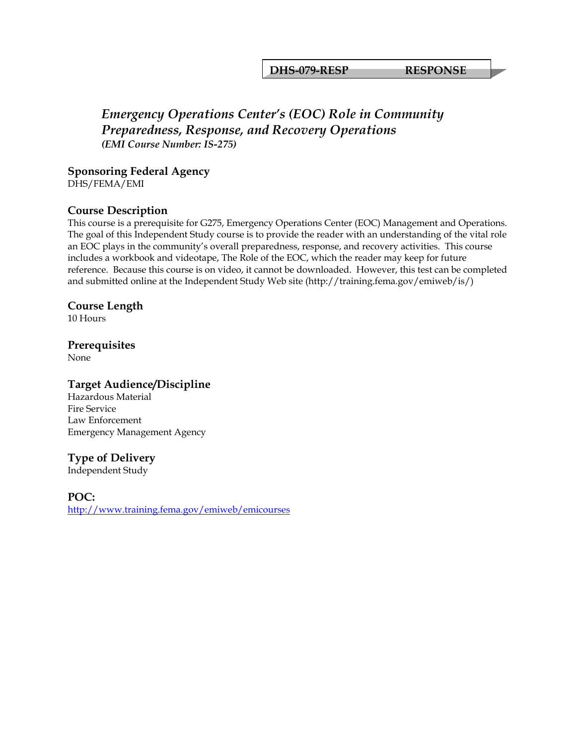#### **DHS-079-RESP RESPONSE**

# *Emergency Operations Center's (EOC) Role in Community Preparedness, Response, and Recovery Operations (EMI Course Number: IS-275)*

**Sponsoring Federal Agency**  DHS/FEMA/EMI

#### **Course Description**

This course is a prerequisite for G275, Emergency Operations Center (EOC) Management and Operations. The goal of this Independent Study course is to provide the reader with an understanding of the vital role an EOC plays in the community's overall preparedness, response, and recovery activities. This course includes a workbook and videotape, The Role of the EOC, which the reader may keep for future reference. Because this course is on video, it cannot be downloaded. However, this test can be completed and submitted online at the Independent Study Web site (http://training.fema.gov/emiweb/is/)

#### **Course Length**

10 Hours

#### **Prerequisites**

None

#### **Target Audience/Discipline**

Hazardous Material Fire Service Law Enforcement Emergency Management Agency

#### **Type of Delivery**

Independent Study

**POC:**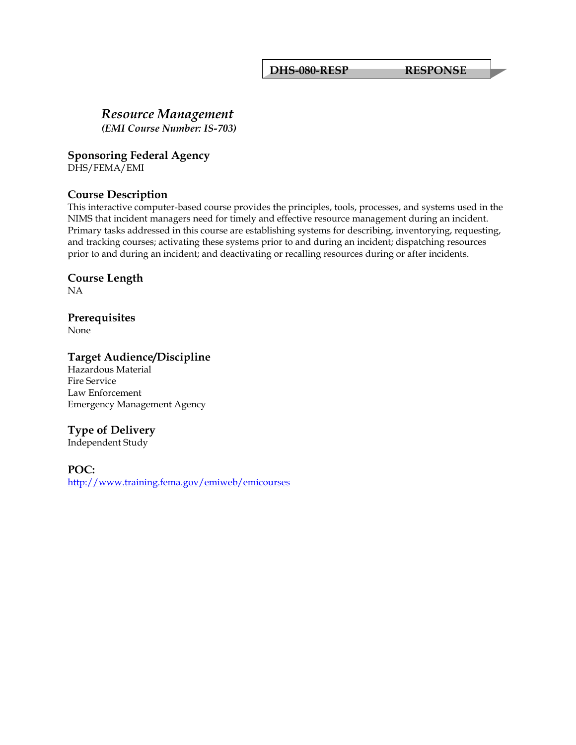**DHS-080-RESP RESPONSE**

# *Resource Management*

*(EMI Course Number: IS-703)*

**Sponsoring Federal Agency** 

DHS/FEMA/EMI

## **Course Description**

This interactive computer-based course provides the principles, tools, processes, and systems used in the NIMS that incident managers need for timely and effective resource management during an incident. Primary tasks addressed in this course are establishing systems for describing, inventorying, requesting, and tracking courses; activating these systems prior to and during an incident; dispatching resources prior to and during an incident; and deactivating or recalling resources during or after incidents.

#### **Course Length**

NA

# **Prerequisites**

None

#### **Target Audience/Discipline**

Hazardous Material Fire Service Law Enforcement Emergency Management Agency

# **Type of Delivery**

Independent Study

#### **POC:**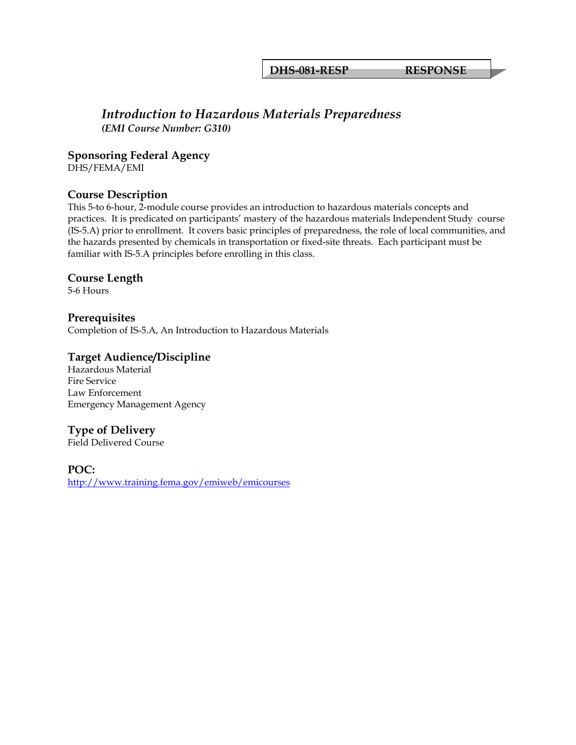**DHS-081-RESP RESPONSE**

#### *Introduction to Hazardous Materials Preparedness (EMI Course Number: G310)*

**Sponsoring Federal Agency** 

DHS/FEMA/EMI

#### **Course Description**

This 5-to 6-hour, 2-module course provides an introduction to hazardous materials concepts and practices. It is predicated on participants' mastery of the hazardous materials Independent Study course (IS-5.A) prior to enrollment. It covers basic principles of preparedness, the role of local communities, and the hazards presented by chemicals in transportation or fixed-site threats. Each participant must be familiar with IS-5.A principles before enrolling in this class.

#### **Course Length**

5-6 Hours

**Prerequisites**  Completion of IS-5.A, An Introduction to Hazardous Materials

#### **Target Audience/Discipline**

Hazardous Material Fire Service Law Enforcement Emergency Management Agency

# **Type of Delivery**

Field Delivered Course

**POC:**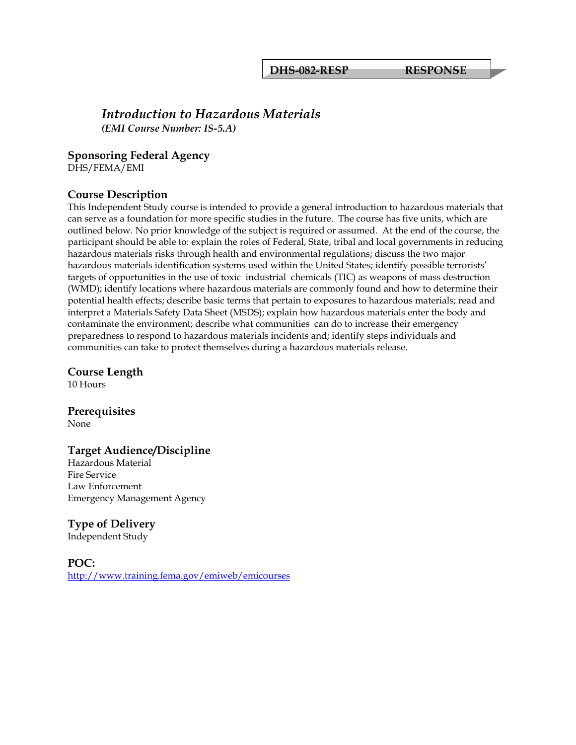#### *Introduction to Hazardous Materials (EMI Course Number: IS-5.A)*

#### **Sponsoring Federal Agency**

DHS/FEMA/EMI

#### **Course Description**

This Independent Study course is intended to provide a general introduction to hazardous materials that can serve as a foundation for more specific studies in the future. The course has five units, which are outlined below. No prior knowledge of the subject is required or assumed. At the end of the course, the participant should be able to: explain the roles of Federal, State, tribal and local governments in reducing hazardous materials risks through health and environmental regulations; discuss the two major hazardous materials identification systems used within the United States; identify possible terrorists' targets of opportunities in the use of toxic industrial chemicals (TIC) as weapons of mass destruction (WMD); identify locations where hazardous materials are commonly found and how to determine their potential health effects; describe basic terms that pertain to exposures to hazardous materials; read and interpret a Materials Safety Data Sheet (MSDS); explain how hazardous materials enter the body and contaminate the environment; describe what communities can do to increase their emergency preparedness to respond to hazardous materials incidents and; identify steps individuals and communities can take to protect themselves during a hazardous materials release.

**Course Length** 

10 Hours

## **Prerequisites**

None

#### **Target Audience/Discipline**

Hazardous Material Fire Service Law Enforcement Emergency Management Agency

#### **Type of Delivery**

Independent Study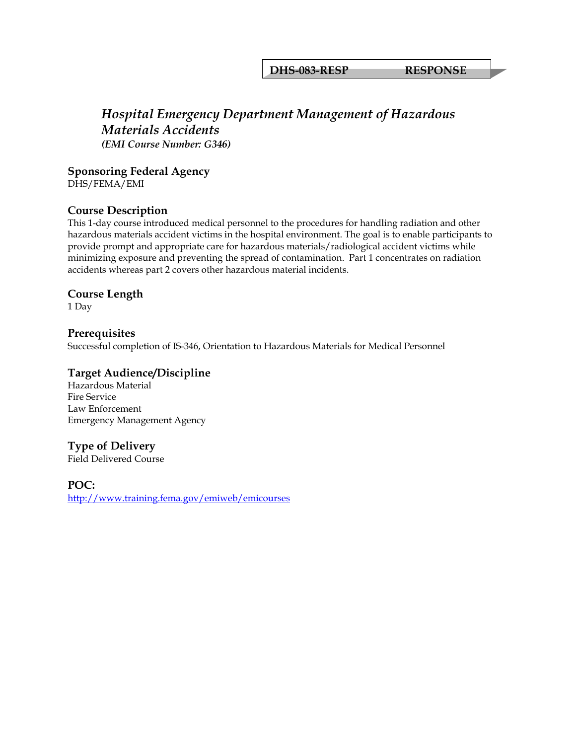**DHS-083-RESP RESPONSE**

# *Hospital Emergency Department Management of Hazardous Materials Accidents (EMI Course Number: G346)*

**Sponsoring Federal Agency** 

DHS/FEMA/EMI

#### **Course Description**

This 1-day course introduced medical personnel to the procedures for handling radiation and other hazardous materials accident victims in the hospital environment. The goal is to enable participants to provide prompt and appropriate care for hazardous materials/radiological accident victims while minimizing exposure and preventing the spread of contamination. Part 1 concentrates on radiation accidents whereas part 2 covers other hazardous material incidents.

#### **Course Length**

1 Day

#### **Prerequisites**  Successful completion of IS-346, Orientation to Hazardous Materials for Medical Personnel

#### **Target Audience/Discipline**

Hazardous Material Fire Service Law Enforcement Emergency Management Agency

#### **Type of Delivery**

Field Delivered Course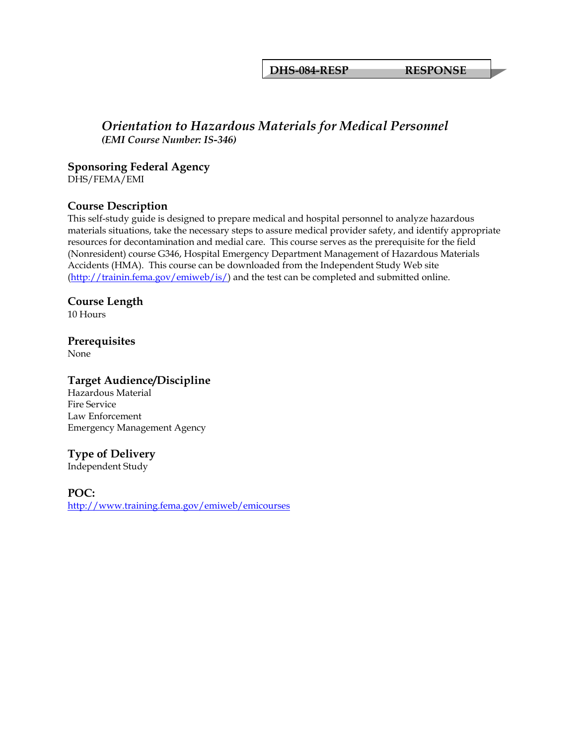**DHS-084-RESP RESPONSE**

#### *Orientation to Hazardous Materials for Medical Personnel (EMI Course Number: IS-346)*

#### **Sponsoring Federal Agency**

DHS/FEMA/EMI

#### **Course Description**

This self-study guide is designed to prepare medical and hospital personnel to analyze hazardous materials situations, take the necessary steps to assure medical provider safety, and identify appropriate resources for decontamination and medial care. This course serves as the prerequisite for the field (Nonresident) course G346, Hospital Emergency Department Management of Hazardous Materials Accidents (HMA). This course can be downloaded from the Independent Study Web site [\(http://trainin.fema.gov/emiweb/is/](http://trainin.fema.gov/emiweb/is/)) and the test can be completed and submitted online.

#### **Course Length**

10 Hours

## **Prerequisites**

None

#### **Target Audience/Discipline**

Hazardous Material Fire Service Law Enforcement Emergency Management Agency

#### **Type of Delivery**

Independent Study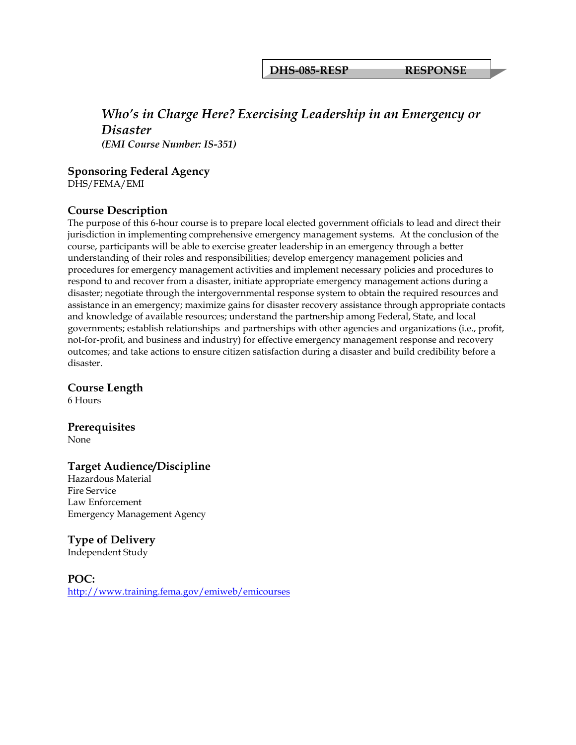**DHS-085-RESP RESPONSE**

#### *Who's in Charge Here? Exercising Leadership in an Emergency or Disaster (EMI Course Number: IS-351)*

**Sponsoring Federal Agency** 

DHS/FEMA/EMI

#### **Course Description**

The purpose of this 6-hour course is to prepare local elected government officials to lead and direct their jurisdiction in implementing comprehensive emergency management systems. At the conclusion of the course, participants will be able to exercise greater leadership in an emergency through a better understanding of their roles and responsibilities; develop emergency management policies and procedures for emergency management activities and implement necessary policies and procedures to respond to and recover from a disaster, initiate appropriate emergency management actions during a disaster; negotiate through the intergovernmental response system to obtain the required resources and assistance in an emergency; maximize gains for disaster recovery assistance through appropriate contacts and knowledge of available resources; understand the partnership among Federal, State, and local governments; establish relationships and partnerships with other agencies and organizations (i.e., profit, not-for-profit, and business and industry) for effective emergency management response and recovery outcomes; and take actions to ensure citizen satisfaction during a disaster and build credibility before a disaster.

**Course Length** 

6 Hours

**Prerequisites** 

None

#### **Target Audience/Discipline**

Hazardous Material Fire Service Law Enforcement Emergency Management Agency

#### **Type of Delivery**

Independent Study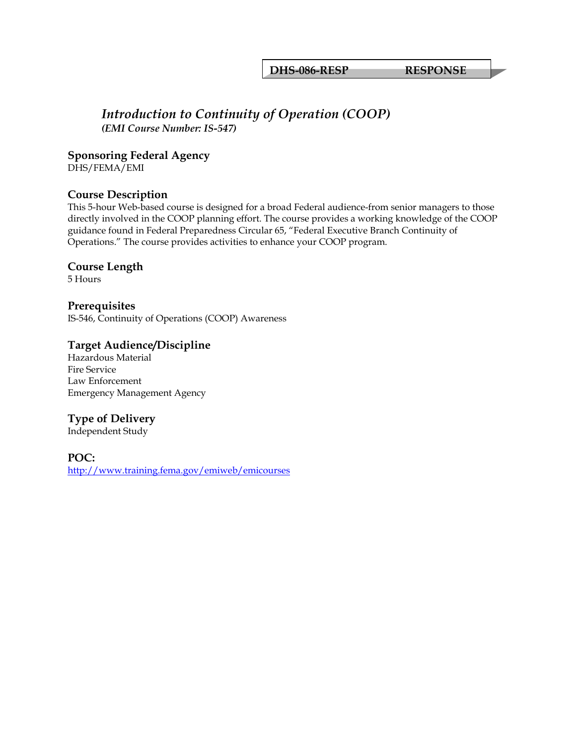**DHS-086-RESP RESPONSE**

#### *Introduction to Continuity of Operation (COOP) (EMI Course Number: IS-547)*

**Sponsoring Federal Agency**  DHS/FEMA/EMI

**Course Description** 

This 5-hour Web-based course is designed for a broad Federal audience-from senior managers to those directly involved in the COOP planning effort. The course provides a working knowledge of the COOP guidance found in Federal Preparedness Circular 65, "Federal Executive Branch Continuity of Operations." The course provides activities to enhance your COOP program.

#### **Course Length**

5 Hours

**Prerequisites**  IS-546, Continuity of Operations (COOP) Awareness

#### **Target Audience/Discipline**

Hazardous Material Fire Service Law Enforcement Emergency Management Agency

#### **Type of Delivery**

Independent Study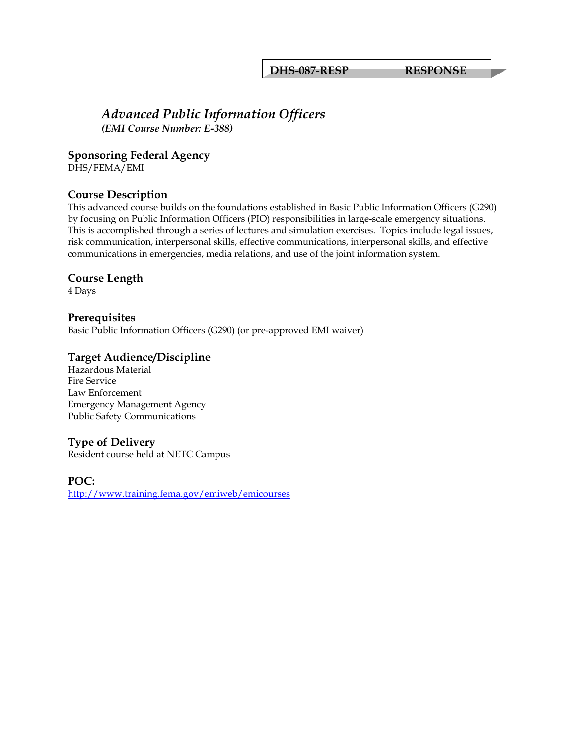**DHS-087-RESP RESPONSE**

### *Advanced Public Information Officers (EMI Course Number: E-388)*

**Sponsoring Federal Agency** 

DHS/FEMA/EMI

#### **Course Description**

This advanced course builds on the foundations established in Basic Public Information Officers (G290) by focusing on Public Information Officers (PIO) responsibilities in large-scale emergency situations. This is accomplished through a series of lectures and simulation exercises. Topics include legal issues, risk communication, interpersonal skills, effective communications, interpersonal skills, and effective communications in emergencies, media relations, and use of the joint information system.

#### **Course Length**

4 Days

**Prerequisites**  Basic Public Information Officers (G290) (or pre-approved EMI waiver)

#### **Target Audience/Discipline**

Hazardous Material Fire Service Law Enforcement Emergency Management Agency Public Safety Communications

#### **Type of Delivery**

Resident course held at NETC Campus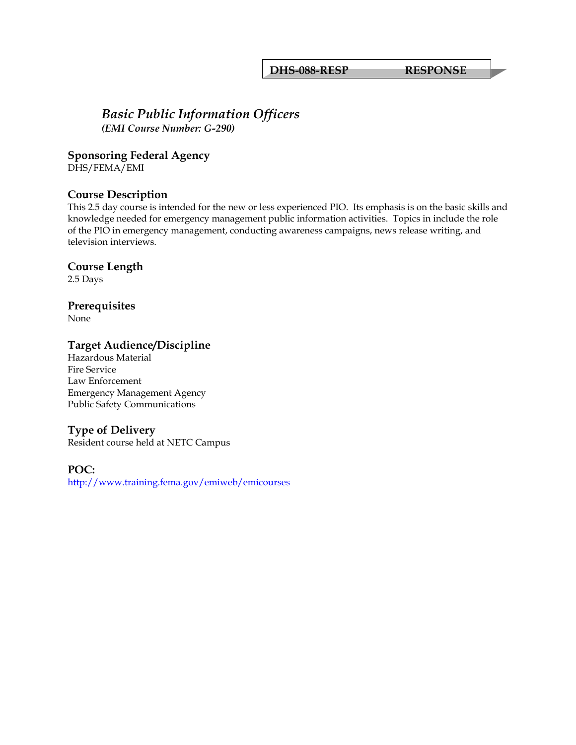**DHS-088-RESP RESPONSE**

#### *Basic Public Information Officers (EMI Course Number: G-290)*

**Sponsoring Federal Agency** 

DHS/FEMA/EMI

# **Course Description**

This 2.5 day course is intended for the new or less experienced PIO. Its emphasis is on the basic skills and knowledge needed for emergency management public information activities. Topics in include the role of the PIO in emergency management, conducting awareness campaigns, news release writing, and television interviews.

#### **Course Length**

2.5 Days

#### **Prerequisites**

None

#### **Target Audience/Discipline**

Hazardous Material Fire Service Law Enforcement Emergency Management Agency Public Safety Communications

#### **Type of Delivery**

Resident course held at NETC Campus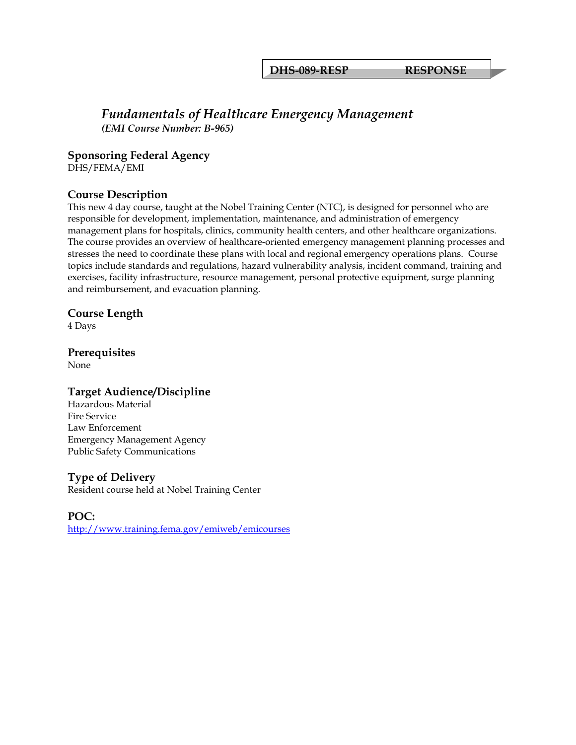**DHS-089-RESP RESPONSE**

#### *Fundamentals of Healthcare Emergency Management (EMI Course Number: B-965)*

**Sponsoring Federal Agency** 

DHS/FEMA/EMI

#### **Course Description**

This new 4 day course, taught at the Nobel Training Center (NTC), is designed for personnel who are responsible for development, implementation, maintenance, and administration of emergency management plans for hospitals, clinics, community health centers, and other healthcare organizations. The course provides an overview of healthcare-oriented emergency management planning processes and stresses the need to coordinate these plans with local and regional emergency operations plans. Course topics include standards and regulations, hazard vulnerability analysis, incident command, training and exercises, facility infrastructure, resource management, personal protective equipment, surge planning and reimbursement, and evacuation planning.

#### **Course Length**

4 Days

#### **Prerequisites**

None

#### **Target Audience/Discipline**

Hazardous Material Fire Service Law Enforcement Emergency Management Agency Public Safety Communications

#### **Type of Delivery**

Resident course held at Nobel Training Center

#### **POC:**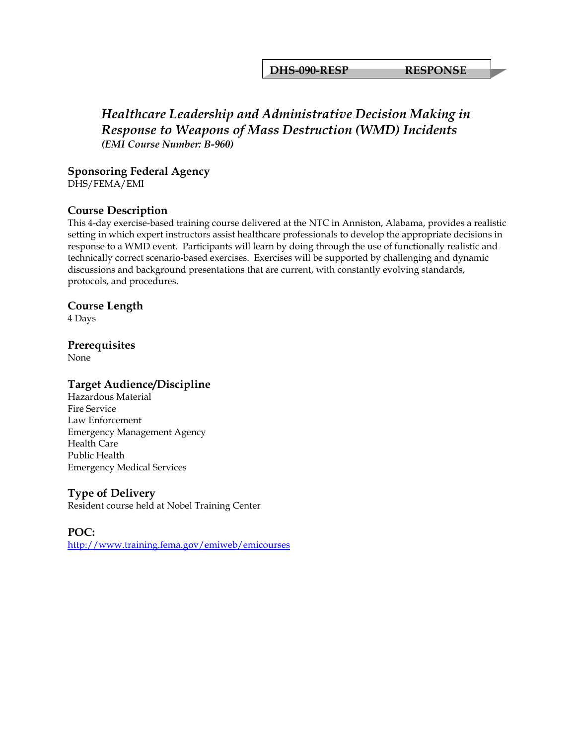**DHS-090-RESP RESPONSE**

# *Healthcare Leadership and Administrative Decision Making in Response to Weapons of Mass Destruction (WMD) Incidents (EMI Course Number: B-960)*

**Sponsoring Federal Agency**  DHS/FEMA/EMI

#### **Course Description**

This 4-day exercise-based training course delivered at the NTC in Anniston, Alabama, provides a realistic setting in which expert instructors assist healthcare professionals to develop the appropriate decisions in response to a WMD event. Participants will learn by doing through the use of functionally realistic and technically correct scenario-based exercises. Exercises will be supported by challenging and dynamic discussions and background presentations that are current, with constantly evolving standards, protocols, and procedures.

#### **Course Length**

4 Days

#### **Prerequisites**

None

#### **Target Audience/Discipline**

Hazardous Material Fire Service Law Enforcement Emergency Management Agency Health Care Public Health Emergency Medical Services

#### **Type of Delivery**

Resident course held at Nobel Training Center

**POC:**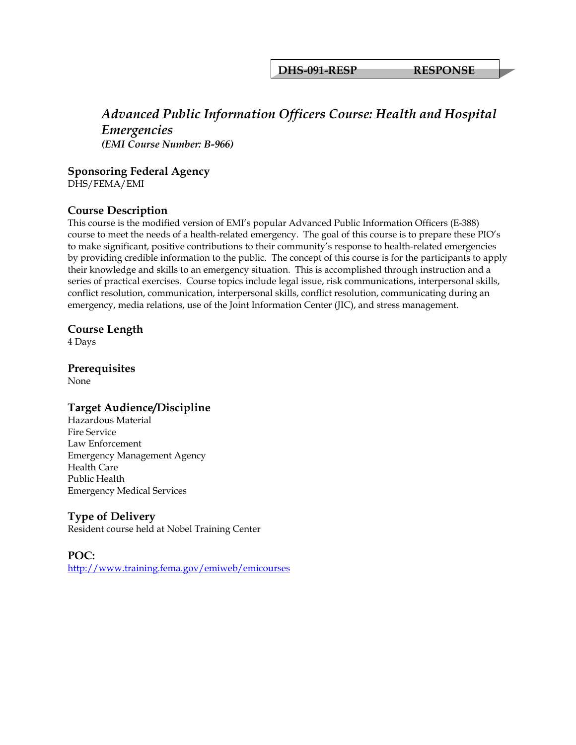#### **DHS-091-RESP RESPONSE**

#### *Advanced Public Information Officers Course: Health and Hospital Emergencies (EMI Course Number: B-966)*

**Sponsoring Federal Agency**  DHS/FEMA/EMI

# **Course Description**

This course is the modified version of EMI's popular Advanced Public Information Officers (E-388) course to meet the needs of a health-related emergency. The goal of this course is to prepare these PIO's to make significant, positive contributions to their community's response to health-related emergencies by providing credible information to the public. The concept of this course is for the participants to apply their knowledge and skills to an emergency situation. This is accomplished through instruction and a series of practical exercises. Course topics include legal issue, risk communications, interpersonal skills, conflict resolution, communication, interpersonal skills, conflict resolution, communicating during an emergency, media relations, use of the Joint Information Center (JIC), and stress management.

#### **Course Length**

4 Days

**Prerequisites** 

None

#### **Target Audience/Discipline**

Hazardous Material Fire Service Law Enforcement Emergency Management Agency Health Care Public Health Emergency Medical Services

#### **Type of Delivery**

Resident course held at Nobel Training Center

**POC:**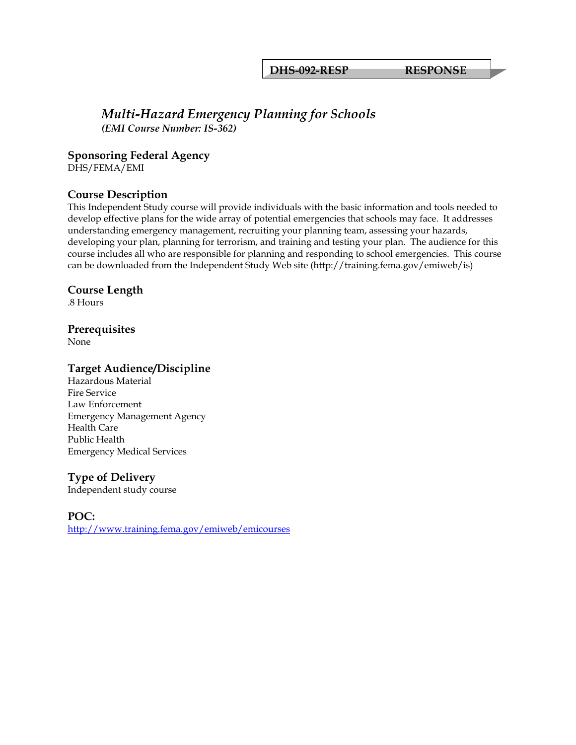**DHS-092-RESP RESPONSE**

#### *Multi-Hazard Emergency Planning for Schools (EMI Course Number: IS-362)*

**Sponsoring Federal Agency** 

DHS/FEMA/EMI

#### **Course Description**

This Independent Study course will provide individuals with the basic information and tools needed to develop effective plans for the wide array of potential emergencies that schools may face. It addresses understanding emergency management, recruiting your planning team, assessing your hazards, developing your plan, planning for terrorism, and training and testing your plan. The audience for this course includes all who are responsible for planning and responding to school emergencies. This course can be downloaded from the Independent Study Web site (http://training.fema.gov/emiweb/is)

#### **Course Length**

.8 Hours

#### **Prerequisites**

None

#### **Target Audience/Discipline**

Hazardous Material Fire Service Law Enforcement Emergency Management Agency Health Care Public Health Emergency Medical Services

#### **Type of Delivery**

Independent study course

**POC:**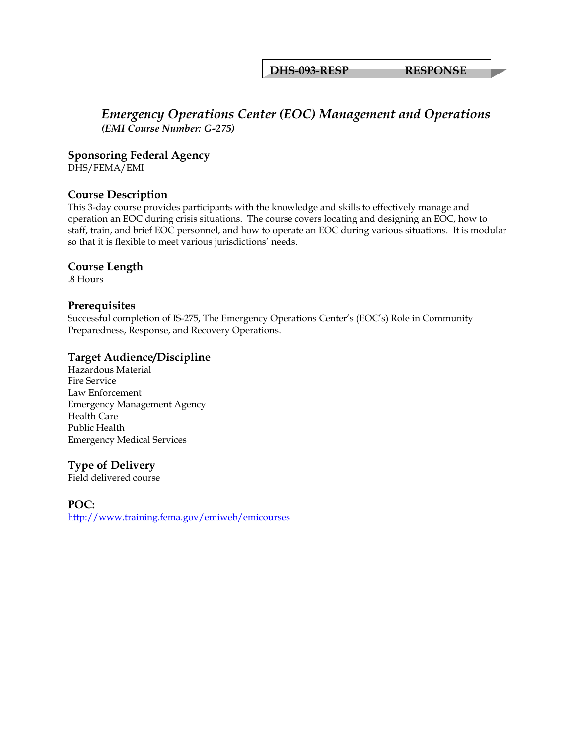#### **DHS-093-RESP RESPONSE**

### *Emergency Operations Center (EOC) Management and Operations (EMI Course Number: G-275)*

**Sponsoring Federal Agency** 

DHS/FEMA/EMI

#### **Course Description**

This 3-day course provides participants with the knowledge and skills to effectively manage and operation an EOC during crisis situations. The course covers locating and designing an EOC, how to staff, train, and brief EOC personnel, and how to operate an EOC during various situations. It is modular so that it is flexible to meet various jurisdictions' needs.

#### **Course Length**

.8 Hours

#### **Prerequisites**

Successful completion of IS-275, The Emergency Operations Center's (EOC's) Role in Community Preparedness, Response, and Recovery Operations.

#### **Target Audience/Discipline**

Hazardous Material Fire Service Law Enforcement Emergency Management Agency Health Care Public Health Emergency Medical Services

#### **Type of Delivery**

Field delivered course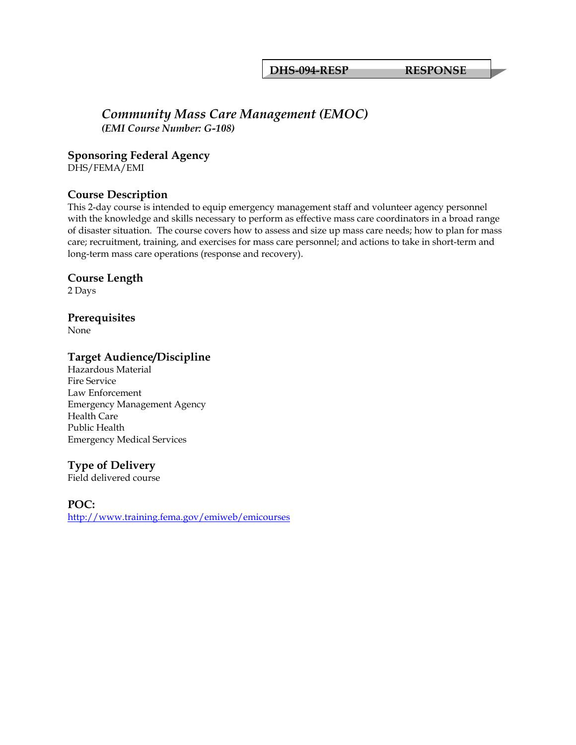#### *Community Mass Care Management (EMOC) (EMI Course Number: G-108)*

**Sponsoring Federal Agency** 

DHS/FEMA/EMI

#### **Course Description**

This 2-day course is intended to equip emergency management staff and volunteer agency personnel with the knowledge and skills necessary to perform as effective mass care coordinators in a broad range of disaster situation. The course covers how to assess and size up mass care needs; how to plan for mass care; recruitment, training, and exercises for mass care personnel; and actions to take in short-term and long-term mass care operations (response and recovery).

#### **Course Length**

2 Days

### **Prerequisites**

None

#### **Target Audience/Discipline**

Hazardous Material Fire Service Law Enforcement Emergency Management Agency Health Care Public Health Emergency Medical Services

#### **Type of Delivery**

Field delivered course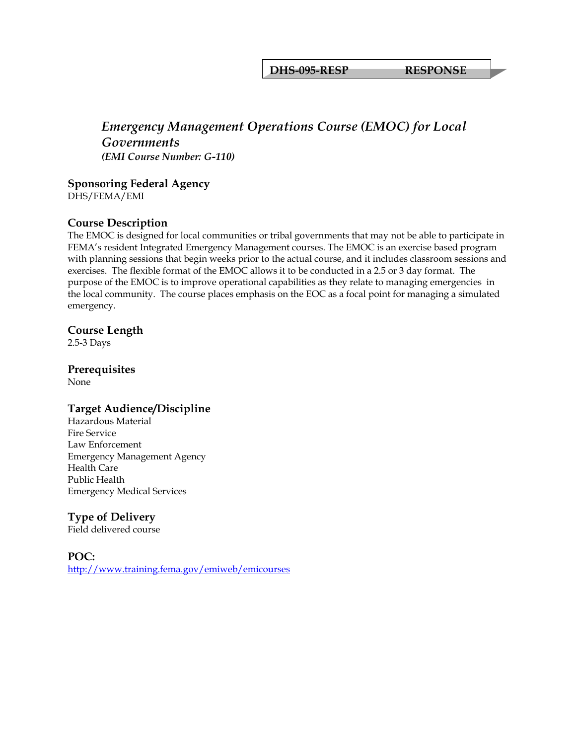**DHS-095-RESP RESPONSE**

# *Emergency Management Operations Course (EMOC) for Local Governments (EMI Course Number: G-110)*

**Sponsoring Federal Agency**  DHS/FEMA/EMI

#### **Course Description**

The EMOC is designed for local communities or tribal governments that may not be able to participate in FEMA's resident Integrated Emergency Management courses. The EMOC is an exercise based program with planning sessions that begin weeks prior to the actual course, and it includes classroom sessions and exercises. The flexible format of the EMOC allows it to be conducted in a 2.5 or 3 day format. The purpose of the EMOC is to improve operational capabilities as they relate to managing emergencies in the local community. The course places emphasis on the EOC as a focal point for managing a simulated emergency.

#### **Course Length**

2.5-3 Days

#### **Prerequisites**

None

#### **Target Audience/Discipline**

Hazardous Material Fire Service Law Enforcement Emergency Management Agency Health Care Public Health Emergency Medical Services

#### **Type of Delivery**

Field delivered course

#### **POC:**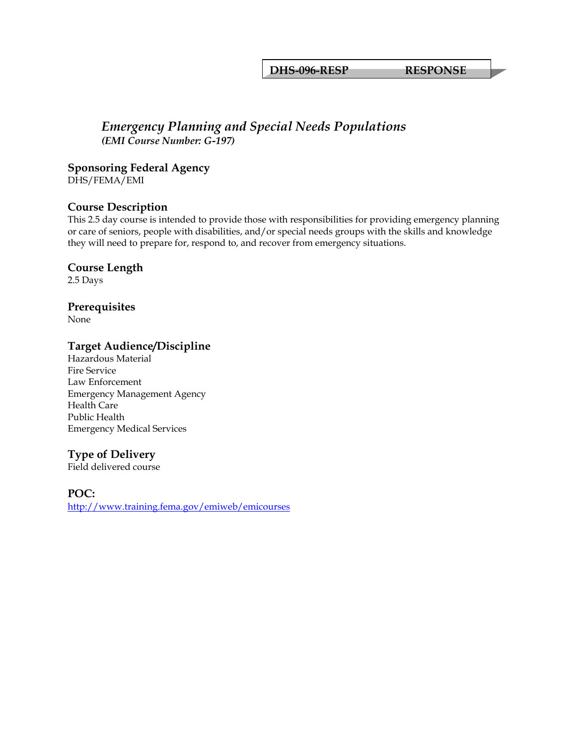**DHS-096-RESP RESPONSE**

#### *Emergency Planning and Special Needs Populations (EMI Course Number: G-197)*

**Sponsoring Federal Agency** 

DHS/FEMA/EMI

#### **Course Description**

This 2.5 day course is intended to provide those with responsibilities for providing emergency planning or care of seniors, people with disabilities, and/or special needs groups with the skills and knowledge they will need to prepare for, respond to, and recover from emergency situations.

#### **Course Length**

2.5 Days

#### **Prerequisites**

None

#### **Target Audience/Discipline**

Hazardous Material Fire Service Law Enforcement Emergency Management Agency Health Care Public Health Emergency Medical Services

#### **Type of Delivery**

Field delivered course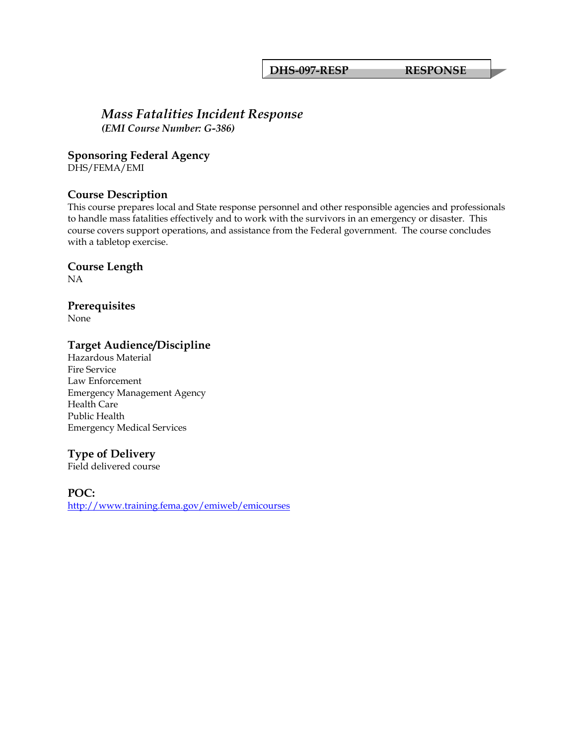**DHS-097-RESP RESPONSE**

#### *Mass Fatalities Incident Response (EMI Course Number: G-386)*

**Sponsoring Federal Agency** 

DHS/FEMA/EMI

#### **Course Description**

This course prepares local and State response personnel and other responsible agencies and professionals to handle mass fatalities effectively and to work with the survivors in an emergency or disaster. This course covers support operations, and assistance from the Federal government. The course concludes with a tabletop exercise.

**Course Length** 

NA

#### **Prerequisites**

None

#### **Target Audience/Discipline**

Hazardous Material Fire Service Law Enforcement Emergency Management Agency Health Care Public Health Emergency Medical Services

#### **Type of Delivery**

Field delivered course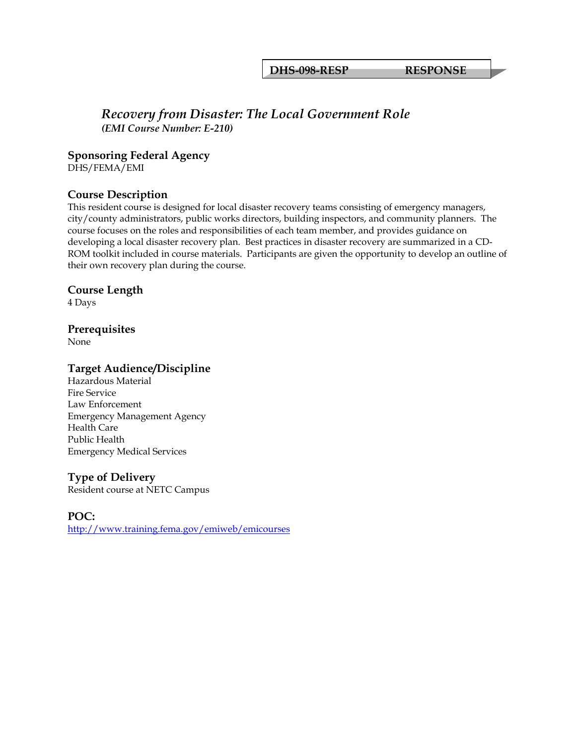**DHS-098-RESP RESPONSE**

#### *Recovery from Disaster: The Local Government Role (EMI Course Number: E-210)*

**Sponsoring Federal Agency** 

DHS/FEMA/EMI

#### **Course Description**

This resident course is designed for local disaster recovery teams consisting of emergency managers, city/county administrators, public works directors, building inspectors, and community planners. The course focuses on the roles and responsibilities of each team member, and provides guidance on developing a local disaster recovery plan. Best practices in disaster recovery are summarized in a CD-ROM toolkit included in course materials. Participants are given the opportunity to develop an outline of their own recovery plan during the course.

#### **Course Length**

4 Days

#### **Prerequisites**

None

#### **Target Audience/Discipline**

Hazardous Material Fire Service Law Enforcement Emergency Management Agency Health Care Public Health Emergency Medical Services

#### **Type of Delivery**

Resident course at NETC Campus

#### **POC:**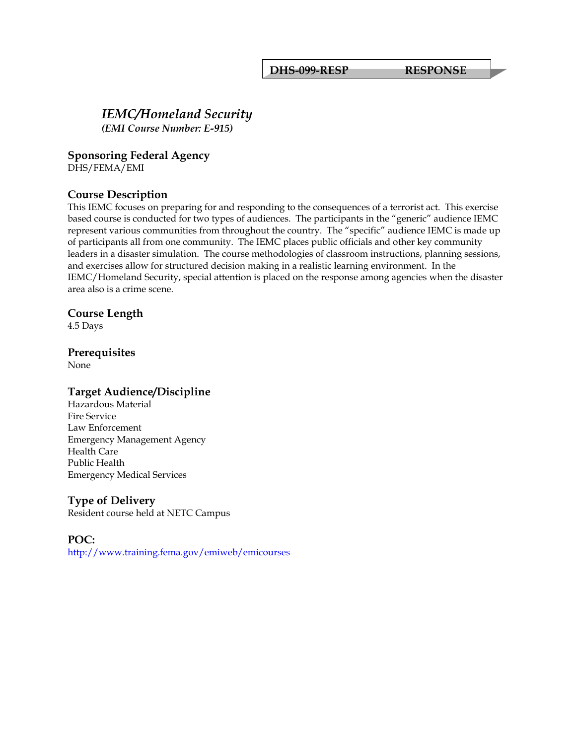**DHS-099-RESP RESPONSE**

# *IEMC/Homeland Security*

*(EMI Course Number: E-915)*

#### **Sponsoring Federal Agency**

DHS/FEMA/EMI

#### **Course Description**

This IEMC focuses on preparing for and responding to the consequences of a terrorist act. This exercise based course is conducted for two types of audiences. The participants in the "generic" audience IEMC represent various communities from throughout the country. The "specific" audience IEMC is made up of participants all from one community. The IEMC places public officials and other key community leaders in a disaster simulation. The course methodologies of classroom instructions, planning sessions, and exercises allow for structured decision making in a realistic learning environment. In the IEMC/Homeland Security, special attention is placed on the response among agencies when the disaster area also is a crime scene.

#### **Course Length**

4.5 Days

#### **Prerequisites**

None

#### **Target Audience/Discipline**

Hazardous Material Fire Service Law Enforcement Emergency Management Agency Health Care Public Health Emergency Medical Services

#### **Type of Delivery**

Resident course held at NETC Campus

#### **POC:**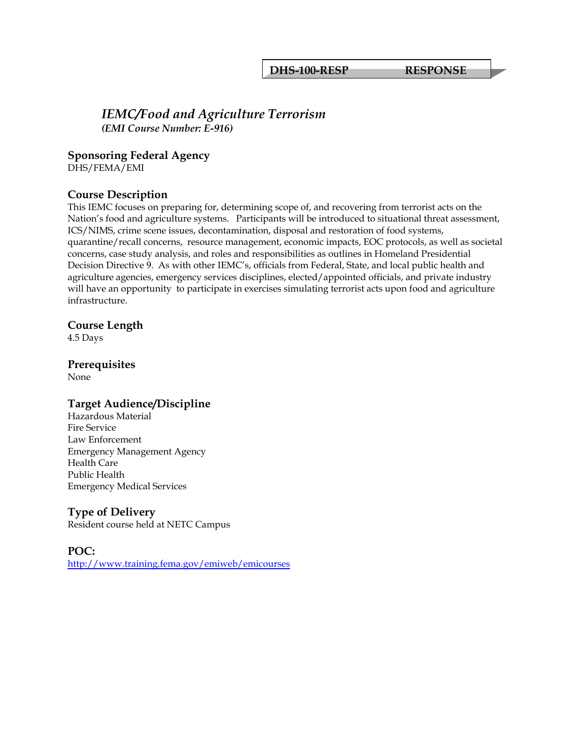#### *IEMC/Food and Agriculture Terrorism (EMI Course Number: E-916)*

#### **Sponsoring Federal Agency**

DHS/FEMA/EMI

#### **Course Description**

This IEMC focuses on preparing for, determining scope of, and recovering from terrorist acts on the Nation's food and agriculture systems. Participants will be introduced to situational threat assessment, ICS/NIMS, crime scene issues, decontamination, disposal and restoration of food systems, quarantine/recall concerns, resource management, economic impacts, EOC protocols, as well as societal concerns, case study analysis, and roles and responsibilities as outlines in Homeland Presidential Decision Directive 9. As with other IEMC's, officials from Federal, State, and local public health and agriculture agencies, emergency services disciplines, elected/appointed officials, and private industry will have an opportunity to participate in exercises simulating terrorist acts upon food and agriculture infrastructure.

#### **Course Length**

4.5 Days

# **Prerequisites**

None

#### **Target Audience/Discipline**

Hazardous Material Fire Service Law Enforcement Emergency Management Agency Health Care Public Health Emergency Medical Services

#### **Type of Delivery**

Resident course held at NETC Campus

#### **POC:**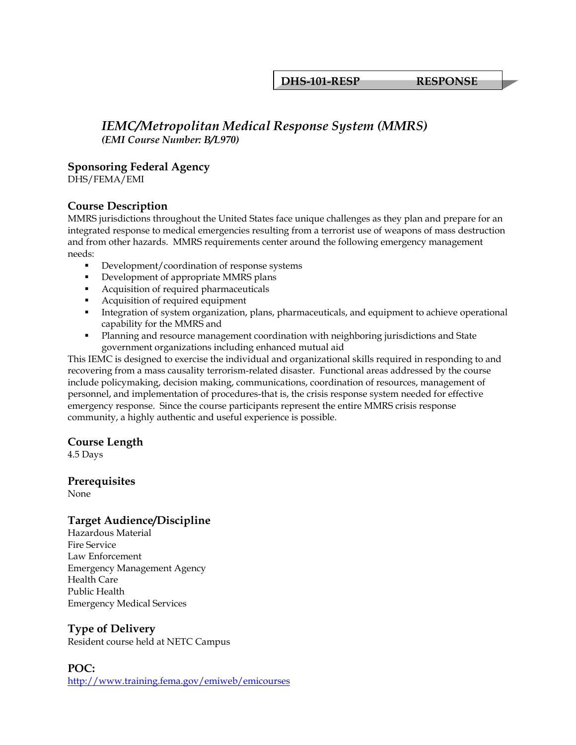**DHS-101-RESP RESPONSE**

#### *IEMC/Metropolitan Medical Response System (MMRS) (EMI Course Number: B/L970)*

#### **Sponsoring Federal Agency**

DHS/FEMA/EMI

#### **Course Description**

MMRS jurisdictions throughout the United States face unique challenges as they plan and prepare for an integrated response to medical emergencies resulting from a terrorist use of weapons of mass destruction and from other hazards. MMRS requirements center around the following emergency management needs:

- Development/coordination of response systems
- Development of appropriate MMRS plans
- Acquisition of required pharmaceuticals
- Acquisition of required equipment
- **Integration of system organization, plans, pharmaceuticals, and equipment to achieve operational** capability for the MMRS and
- Planning and resource management coordination with neighboring jurisdictions and State government organizations including enhanced mutual aid

This IEMC is designed to exercise the individual and organizational skills required in responding to and recovering from a mass causality terrorism-related disaster. Functional areas addressed by the course include policymaking, decision making, communications, coordination of resources, management of personnel, and implementation of procedures-that is, the crisis response system needed for effective emergency response. Since the course participants represent the entire MMRS crisis response community, a highly authentic and useful experience is possible.

#### **Course Length**

4.5 Days

**Prerequisites**  None

#### **Target Audience/Discipline**

Hazardous Material Fire Service Law Enforcement Emergency Management Agency Health Care Public Health Emergency Medical Services

#### **Type of Delivery**

Resident course held at NETC Campus

#### **POC:**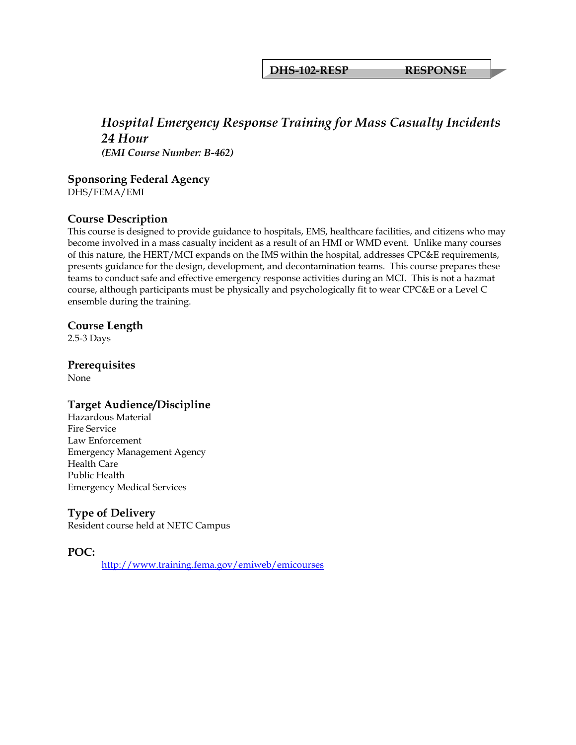**DHS-102-RESP RESPONSE**

#### *Hospital Emergency Response Training for Mass Casualty Incidents 24 Hour (EMI Course Number: B-462)*

**Sponsoring Federal Agency** 

DHS/FEMA/EMI

#### **Course Description**

This course is designed to provide guidance to hospitals, EMS, healthcare facilities, and citizens who may become involved in a mass casualty incident as a result of an HMI or WMD event. Unlike many courses of this nature, the HERT/MCI expands on the IMS within the hospital, addresses CPC&E requirements, presents guidance for the design, development, and decontamination teams. This course prepares these teams to conduct safe and effective emergency response activities during an MCI. This is not a hazmat course, although participants must be physically and psychologically fit to wear CPC&E or a Level C ensemble during the training.

#### **Course Length**

2.5-3 Days

# **Prerequisites**

None

#### **Target Audience/Discipline**

Hazardous Material Fire Service Law Enforcement Emergency Management Agency Health Care Public Health Emergency Medical Services

#### **Type of Delivery**

Resident course held at NETC Campus

**POC:**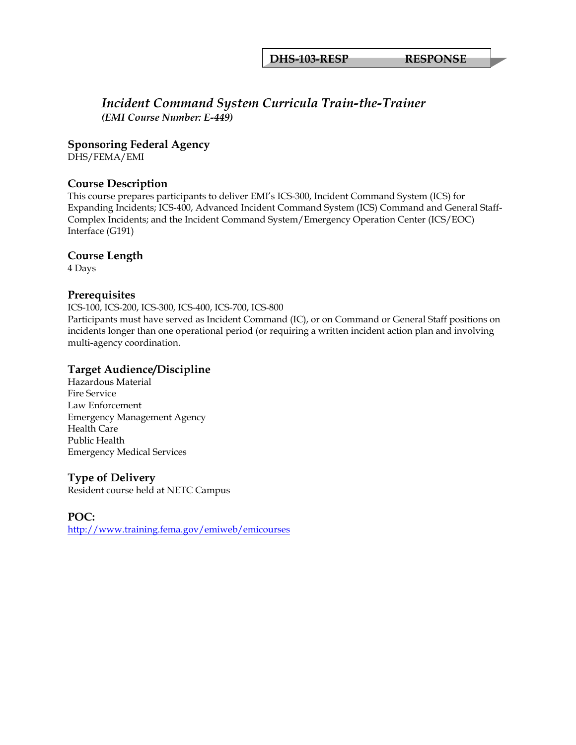**DHS-103-RESP RESPONSE**

#### *Incident Command System Curricula Train-the-Trainer (EMI Course Number: E-449)*

**Sponsoring Federal Agency** 

DHS/FEMA/EMI

#### **Course Description**

This course prepares participants to deliver EMI's ICS-300, Incident Command System (ICS) for Expanding Incidents; ICS-400, Advanced Incident Command System (ICS) Command and General Staff-Complex Incidents; and the Incident Command System/Emergency Operation Center (ICS/EOC) Interface (G191)

#### **Course Length**

4 Days

#### **Prerequisites**

ICS-100, ICS-200, ICS-300, ICS-400, ICS-700, ICS-800 Participants must have served as Incident Command (IC), or on Command or General Staff positions on incidents longer than one operational period (or requiring a written incident action plan and involving multi-agency coordination.

#### **Target Audience/Discipline**

Hazardous Material Fire Service Law Enforcement Emergency Management Agency Health Care Public Health Emergency Medical Services

#### **Type of Delivery**

Resident course held at NETC Campus

**POC:**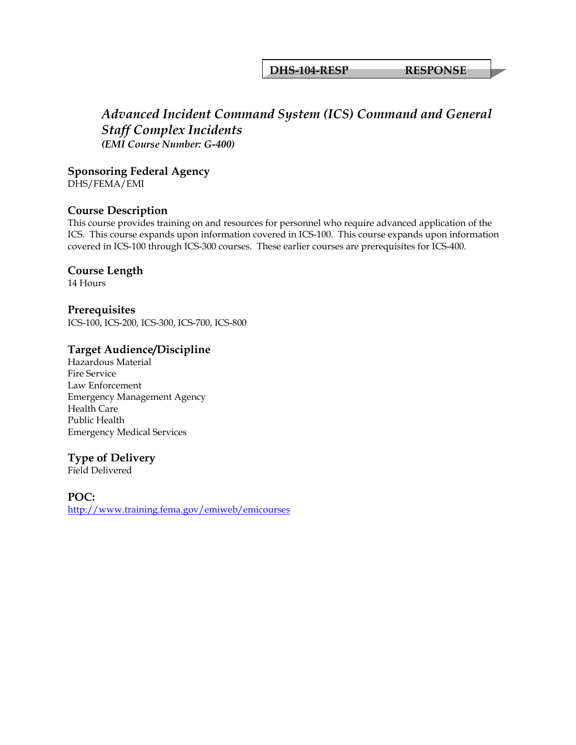#### **DHS-104-RESP RESPONSE**

# *Advanced Incident Command System (ICS) Command and General Staff Complex Incidents (EMI Course Number: G-400)*

**Sponsoring Federal Agency**  DHS/FEMA/EMI

#### **Course Description**

This course provides training on and resources for personnel who require advanced application of the ICS. This course expands upon information covered in ICS-100. This course expands upon information covered in ICS-100 through ICS-300 courses. These earlier courses are prerequisites for ICS-400.

#### **Course Length**

14 Hours

**Prerequisites**  ICS-100, ICS-200, ICS-300, ICS-700, ICS-800

#### **Target Audience/Discipline**

Hazardous Material Fire Service Law Enforcement Emergency Management Agency Health Care Public Health Emergency Medical Services

#### **Type of Delivery**

Field Delivered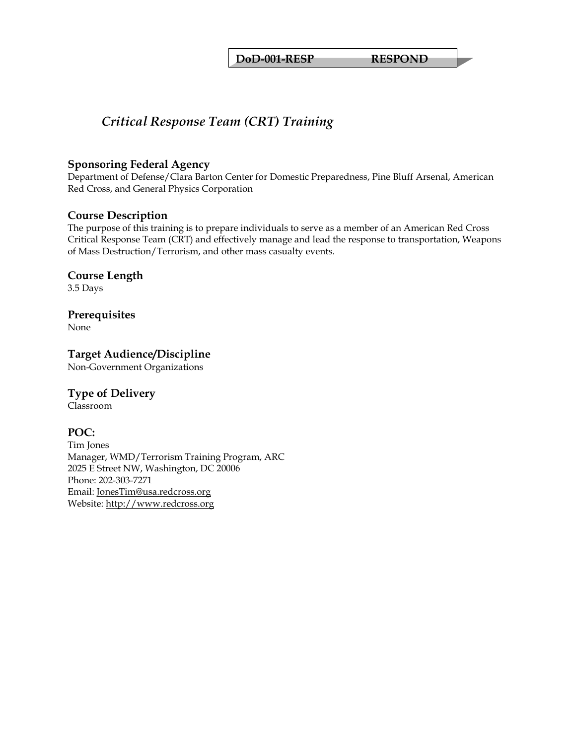# *Critical Response Team (CRT) Training*

#### **Sponsoring Federal Agency**

Department of Defense/Clara Barton Center for Domestic Preparedness, Pine Bluff Arsenal, American Red Cross, and General Physics Corporation

#### **Course Description**

The purpose of this training is to prepare individuals to serve as a member of an American Red Cross Critical Response Team (CRT) and effectively manage and lead the response to transportation, Weapons of Mass Destruction/Terrorism, and other mass casualty events.

#### **Course Length**

3.5 Days

# **Prerequisites**

None

# **Target Audience/Discipline**

Non-Government Organizations

#### **Type of Delivery**

Classroom

#### **POC:**

Tim Jones Manager, WMD/Terrorism Training Program, ARC 2025 E Street NW, Washington, DC 20006 Phone: 202-303-7271 Email: [JonesTim@usa.redcross.org](mailto:JonesTim@usa.redcross.org) Website: [http://www.redcross.org](http://www.redcross.org/)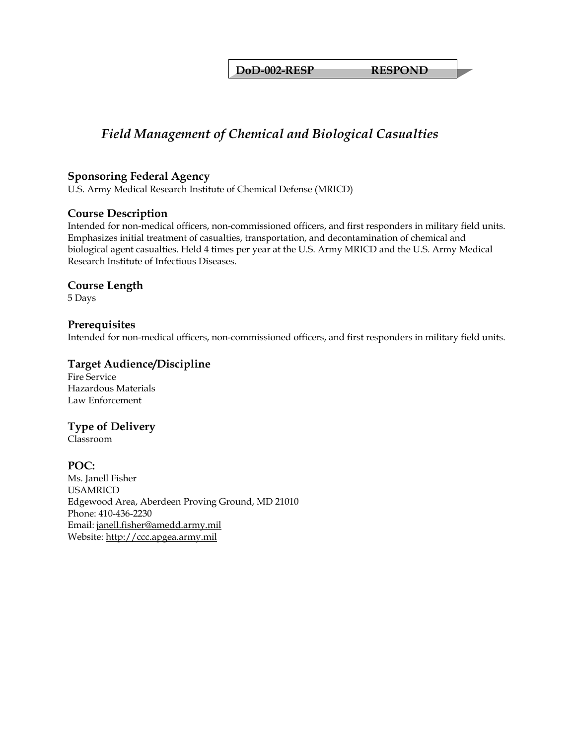**DoD-002-RESP RESPOND** 

# *Field Management of Chemical and Biological Casualties*

#### **Sponsoring Federal Agency**

U.S. Army Medical Research Institute of Chemical Defense (MRICD)

#### **Course Description**

Intended for non-medical officers, non-commissioned officers, and first responders in military field units. Emphasizes initial treatment of casualties, transportation, and decontamination of chemical and biological agent casualties. Held 4 times per year at the U.S. Army MRICD and the U.S. Army Medical Research Institute of Infectious Diseases.

#### **Course Length**

5 Days

#### **Prerequisites**

Intended for non-medical officers, non-commissioned officers, and first responders in military field units.

#### **Target Audience/Discipline**

Fire Service Hazardous Materials Law Enforcement

#### **Type of Delivery**

Classroom

**POC:**  Ms. Janell Fisher USAMRICD Edgewood Area, Aberdeen Proving Ground, MD 21010 Phone: 410-436-2230 Email: [janell.fisher@amedd.army.mil](mailto:janell.fisher@amedd.army.mil) Website: [http://ccc.apgea.army.mil](http://ccc.apgea.army.mil/)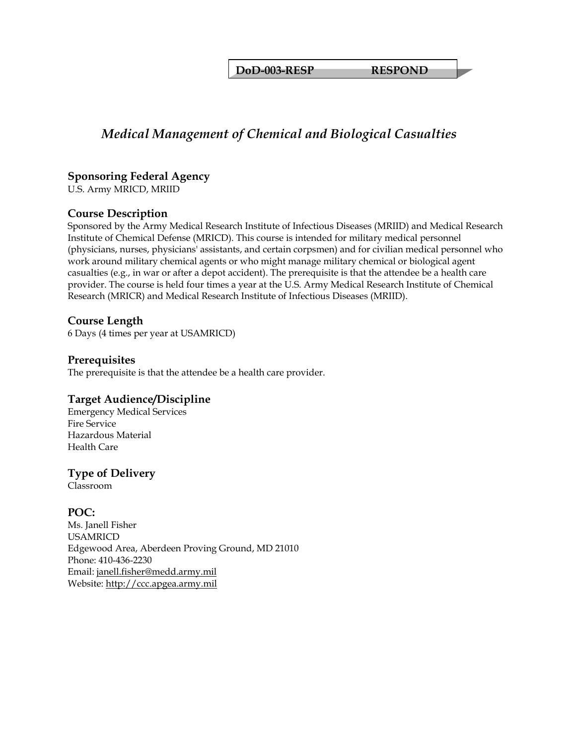**DoD-003-RESP RESPOND** 

# *Medical Management of Chemical and Biological Casualties*

### **Sponsoring Federal Agency**

U.S. Army MRICD, MRIID

#### **Course Description**

Sponsored by the Army Medical Research Institute of Infectious Diseases (MRIID) and Medical Research Institute of Chemical Defense (MRICD). This course is intended for military medical personnel (physicians, nurses, physicians' assistants, and certain corpsmen) and for civilian medical personnel who work around military chemical agents or who might manage military chemical or biological agent casualties (e.g., in war or after a depot accident). The prerequisite is that the attendee be a health care provider. The course is held four times a year at the U.S. Army Medical Research Institute of Chemical Research (MRICR) and Medical Research Institute of Infectious Diseases (MRIID).

#### **Course Length**

6 Days (4 times per year at USAMRICD)

#### **Prerequisites**

The prerequisite is that the attendee be a health care provider.

#### **Target Audience/Discipline**

Emergency Medical Services Fire Service Hazardous Material Health Care

#### **Type of Delivery**

Classroom

#### **POC:**

Ms. Janell Fisher USAMRICD Edgewood Area, Aberdeen Proving Ground, MD 21010 Phone: 410-436-2230 Email: [janell.fisher@medd.army.mil](mailto:janell.fisher@medd.army.mil) Website: [http://ccc.apgea.army.mil](http://ccc.apgea.army.mil/)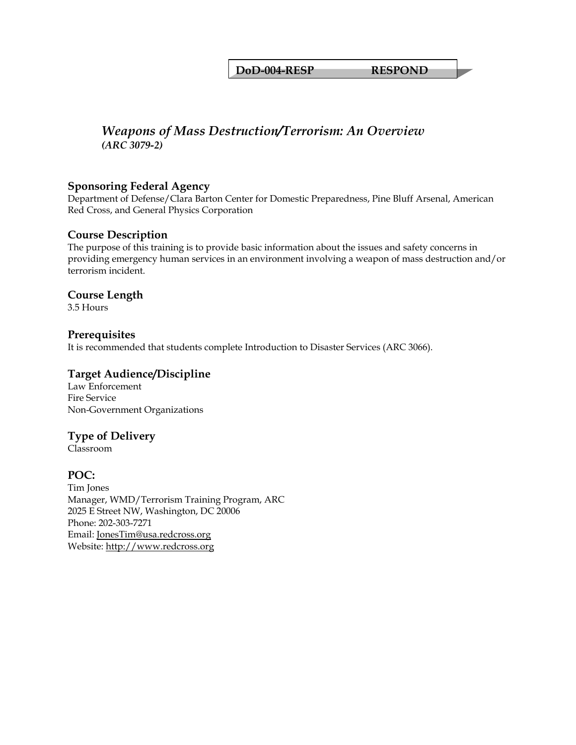**DoD-004-RESP RESPOND** 

# *Weapons of Mass Destruction/Terrorism: An Overview (ARC 3079-2)*

#### **Sponsoring Federal Agency**

Department of Defense/Clara Barton Center for Domestic Preparedness, Pine Bluff Arsenal, American Red Cross, and General Physics Corporation

#### **Course Description**

The purpose of this training is to provide basic information about the issues and safety concerns in providing emergency human services in an environment involving a weapon of mass destruction and/or terrorism incident.

#### **Course Length**

3.5 Hours

#### **Prerequisites**

It is recommended that students complete Introduction to Disaster Services (ARC 3066).

#### **Target Audience/Discipline**

Law Enforcement Fire Service Non-Government Organizations

#### **Type of Delivery**

Classroom

#### **POC:**

Tim Jones Manager, WMD/Terrorism Training Program, ARC 2025 E Street NW, Washington, DC 20006 Phone: 202-303-7271 Email: [JonesTim@usa.redcross.org](mailto:JonesTim@usa.redcross.org) Website: [http://www.redcross.org](http://www.redcross.org/)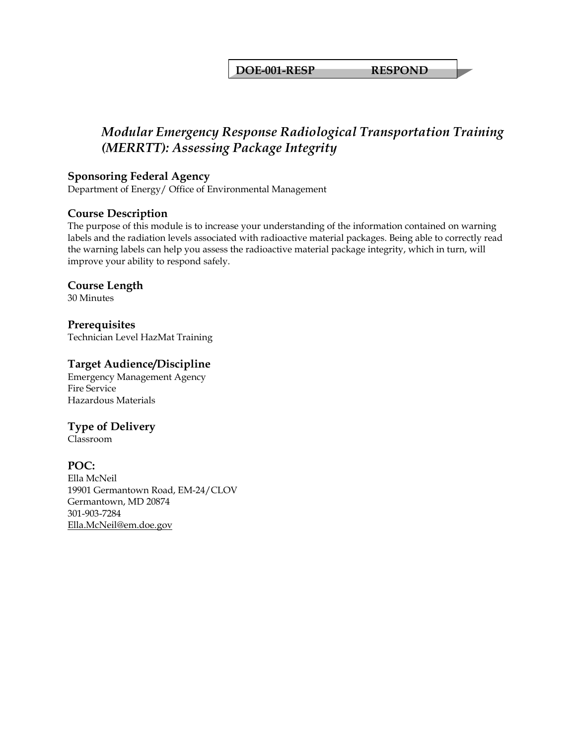**DOE-001-RESP RESPOND** 

# *Modular Emergency Response Radiological Transportation Training (MERRTT): Assessing Package Integrity*

#### **Sponsoring Federal Agency**

Department of Energy/ Office of Environmental Management

#### **Course Description**

The purpose of this module is to increase your understanding of the information contained on warning labels and the radiation levels associated with radioactive material packages. Being able to correctly read the warning labels can help you assess the radioactive material package integrity, which in turn, will improve your ability to respond safely.

#### **Course Length**

30 Minutes

**Prerequisites**  Technician Level HazMat Training

#### **Target Audience/Discipline**

Emergency Management Agency Fire Service Hazardous Materials

#### **Type of Delivery**

Classroom

#### **POC:**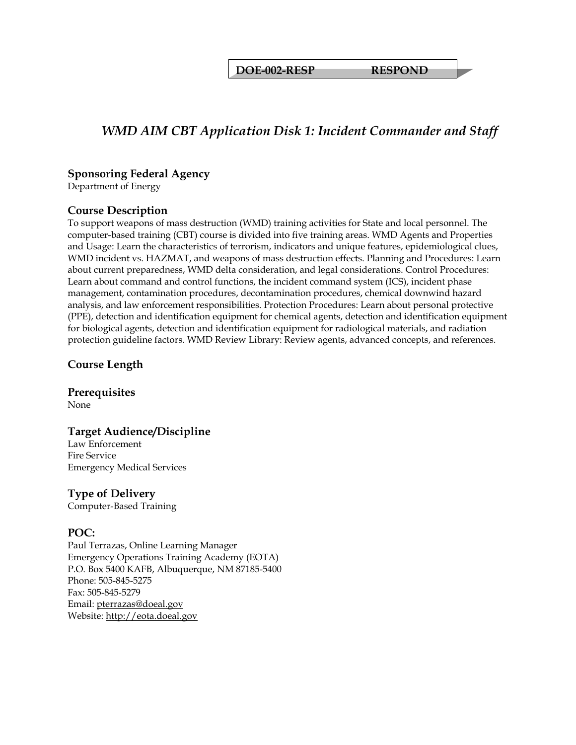**DOE-002-RESP RESPOND** 

# *WMD AIM CBT Application Disk 1: Incident Commander and Staff*

#### **Sponsoring Federal Agency**

Department of Energy

#### **Course Description**

To support weapons of mass destruction (WMD) training activities for State and local personnel. The computer-based training (CBT) course is divided into five training areas. WMD Agents and Properties and Usage: Learn the characteristics of terrorism, indicators and unique features, epidemiological clues, WMD incident vs. HAZMAT, and weapons of mass destruction effects. Planning and Procedures: Learn about current preparedness, WMD delta consideration, and legal considerations. Control Procedures: Learn about command and control functions, the incident command system (ICS), incident phase management, contamination procedures, decontamination procedures, chemical downwind hazard analysis, and law enforcement responsibilities. Protection Procedures: Learn about personal protective (PPE), detection and identification equipment for chemical agents, detection and identification equipment for biological agents, detection and identification equipment for radiological materials, and radiation protection guideline factors. WMD Review Library: Review agents, advanced concepts, and references.

#### **Course Length**

**Prerequisites**  None

**Target Audience/Discipline**  Law Enforcement Fire Service Emergency Medical Services

#### **Type of Delivery**

Computer-Based Training

#### **POC:**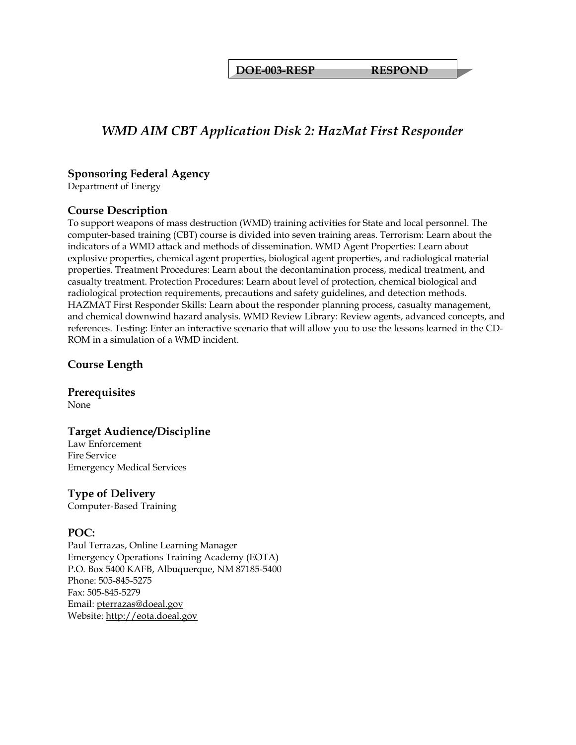**DOE-003-RESP RESPOND** 

# *WMD AIM CBT Application Disk 2: HazMat First Responder*

#### **Sponsoring Federal Agency**

Department of Energy

#### **Course Description**

To support weapons of mass destruction (WMD) training activities for State and local personnel. The computer-based training (CBT) course is divided into seven training areas. Terrorism: Learn about the indicators of a WMD attack and methods of dissemination. WMD Agent Properties: Learn about explosive properties, chemical agent properties, biological agent properties, and radiological material properties. Treatment Procedures: Learn about the decontamination process, medical treatment, and casualty treatment. Protection Procedures: Learn about level of protection, chemical biological and radiological protection requirements, precautions and safety guidelines, and detection methods. HAZMAT First Responder Skills: Learn about the responder planning process, casualty management, and chemical downwind hazard analysis. WMD Review Library: Review agents, advanced concepts, and references. Testing: Enter an interactive scenario that will allow you to use the lessons learned in the CD-ROM in a simulation of a WMD incident.

#### **Course Length**

**Prerequisites**  None

#### **Target Audience/Discipline**

Law Enforcement Fire Service Emergency Medical Services

#### **Type of Delivery**

Computer-Based Training

#### **POC:**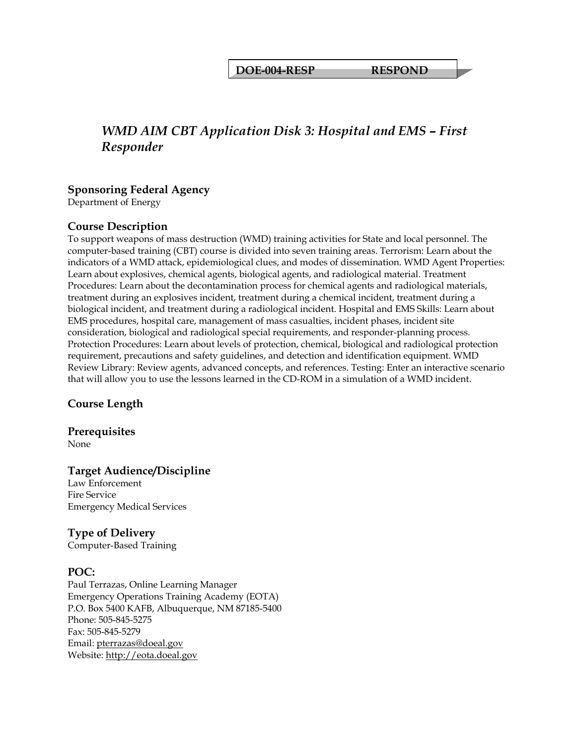**DOE-004-RESP RESPOND** 

# *WMD AIM CBT Application Disk 3: Hospital and EMS – First Responder*

#### **Sponsoring Federal Agency**

Department of Energy

#### **Course Description**

To support weapons of mass destruction (WMD) training activities for State and local personnel. The computer-based training (CBT) course is divided into seven training areas. Terrorism: Learn about the indicators of a WMD attack, epidemiological clues, and modes of dissemination. WMD Agent Properties: Learn about explosives, chemical agents, biological agents, and radiological material. Treatment Procedures: Learn about the decontamination process for chemical agents and radiological materials, treatment during an explosives incident, treatment during a chemical incident, treatment during a biological incident, and treatment during a radiological incident. Hospital and EMS Skills: Learn about EMS procedures, hospital care, management of mass casualties, incident phases, incident site consideration, biological and radiological special requirements, and responder-planning process. Protection Procedures: Learn about levels of protection, chemical, biological and radiological protection requirement, precautions and safety guidelines, and detection and identification equipment. WMD Review Library: Review agents, advanced concepts, and references. Testing: Enter an interactive scenario that will allow you to use the lessons learned in the CD-ROM in a simulation of a WMD incident.

#### **Course Length**

**Prerequisites**  None

#### **Target Audience/Discipline**

Law Enforcement Fire Service Emergency Medical Services

#### **Type of Delivery**

Computer-Based Training

#### **POC:**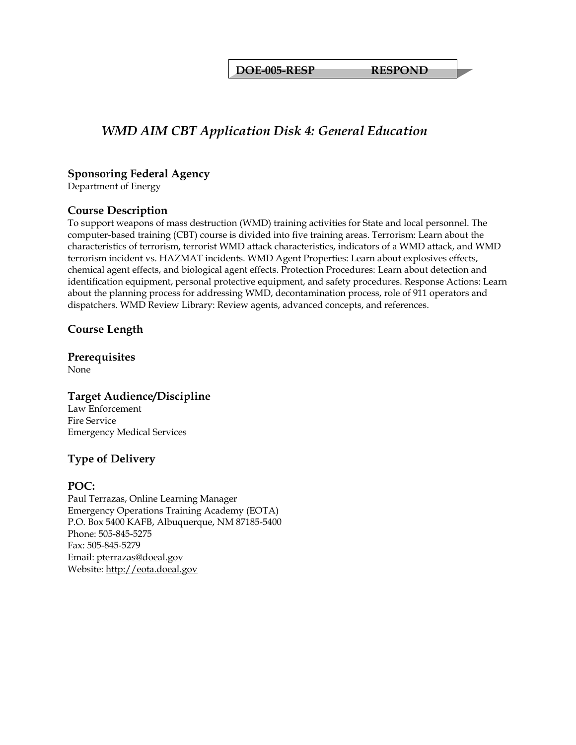**DOE-005-RESP RESPOND** 

# *WMD AIM CBT Application Disk 4: General Education*

#### **Sponsoring Federal Agency**

Department of Energy

#### **Course Description**

To support weapons of mass destruction (WMD) training activities for State and local personnel. The computer-based training (CBT) course is divided into five training areas. Terrorism: Learn about the characteristics of terrorism, terrorist WMD attack characteristics, indicators of a WMD attack, and WMD terrorism incident vs. HAZMAT incidents. WMD Agent Properties: Learn about explosives effects, chemical agent effects, and biological agent effects. Protection Procedures: Learn about detection and identification equipment, personal protective equipment, and safety procedures. Response Actions: Learn about the planning process for addressing WMD, decontamination process, role of 911 operators and dispatchers. WMD Review Library: Review agents, advanced concepts, and references.

#### **Course Length**

**Prerequisites**  None

**Target Audience/Discipline**  Law Enforcement Fire Service Emergency Medical Services

# **Type of Delivery**

#### **POC:**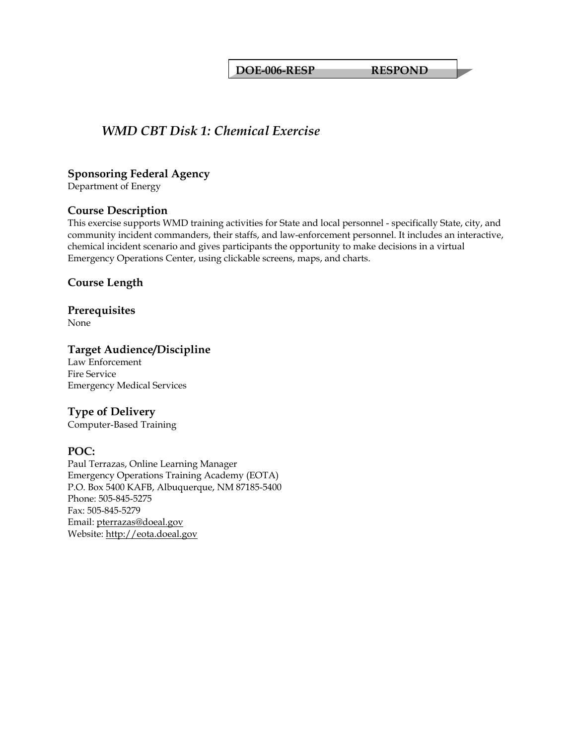**DOE-006-RESP RESPOND** 

# *WMD CBT Disk 1: Chemical Exercise*

#### **Sponsoring Federal Agency**

Department of Energy

#### **Course Description**

This exercise supports WMD training activities for State and local personnel - specifically State, city, and community incident commanders, their staffs, and law-enforcement personnel. It includes an interactive, chemical incident scenario and gives participants the opportunity to make decisions in a virtual Emergency Operations Center, using clickable screens, maps, and charts.

#### **Course Length**

# **Prerequisites**

None

#### **Target Audience/Discipline**

Law Enforcement Fire Service Emergency Medical Services

#### **Type of Delivery**

Computer-Based Training

#### **POC:**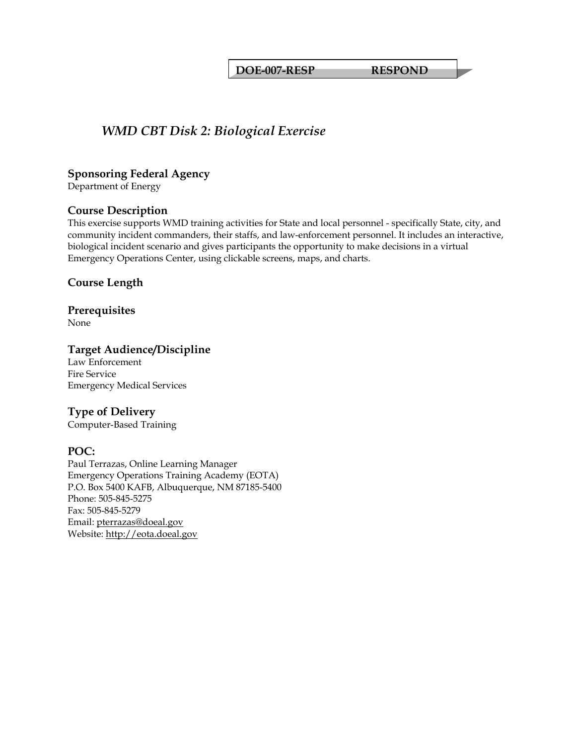**DOE-007-RESP RESPOND** 

# *WMD CBT Disk 2: Biological Exercise*

#### **Sponsoring Federal Agency**

Department of Energy

#### **Course Description**

This exercise supports WMD training activities for State and local personnel - specifically State, city, and community incident commanders, their staffs, and law-enforcement personnel. It includes an interactive, biological incident scenario and gives participants the opportunity to make decisions in a virtual Emergency Operations Center, using clickable screens, maps, and charts.

#### **Course Length**

# **Prerequisites**

None

#### **Target Audience/Discipline**

Law Enforcement Fire Service Emergency Medical Services

#### **Type of Delivery**

Computer-Based Training

#### **POC:**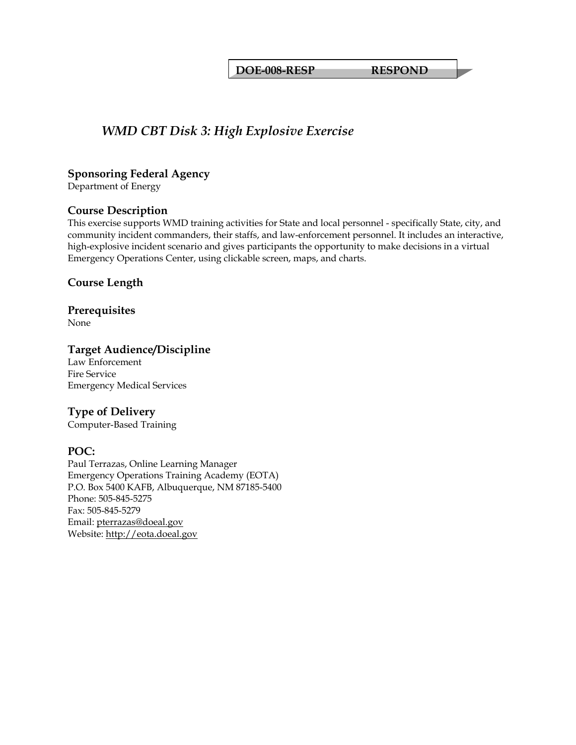**DOE-008-RESP RESPOND** 

# *WMD CBT Disk 3: High Explosive Exercise*

#### **Sponsoring Federal Agency**

Department of Energy

#### **Course Description**

This exercise supports WMD training activities for State and local personnel - specifically State, city, and community incident commanders, their staffs, and law-enforcement personnel. It includes an interactive, high-explosive incident scenario and gives participants the opportunity to make decisions in a virtual Emergency Operations Center, using clickable screen, maps, and charts.

#### **Course Length**

# **Prerequisites**

None

#### **Target Audience/Discipline**

Law Enforcement Fire Service Emergency Medical Services

#### **Type of Delivery**

Computer-Based Training

#### **POC:**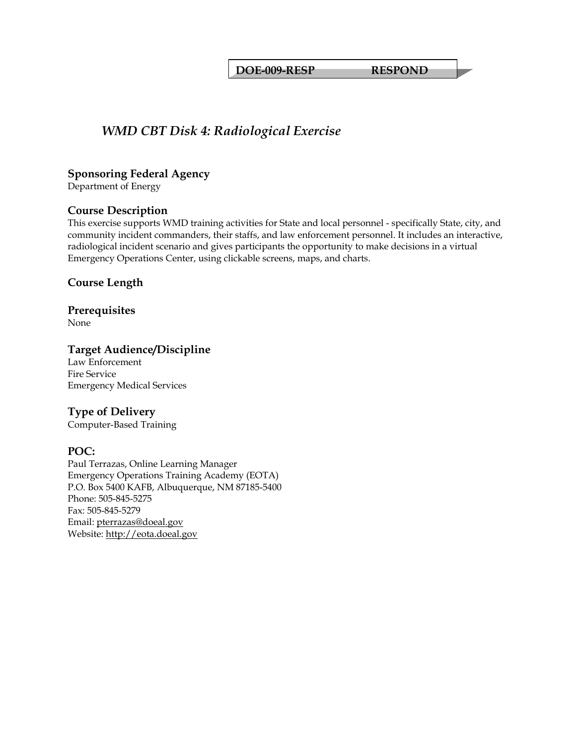**DOE-009-RESP RESPOND** 

# *WMD CBT Disk 4: Radiological Exercise*

#### **Sponsoring Federal Agency**

Department of Energy

#### **Course Description**

This exercise supports WMD training activities for State and local personnel - specifically State, city, and community incident commanders, their staffs, and law enforcement personnel. It includes an interactive, radiological incident scenario and gives participants the opportunity to make decisions in a virtual Emergency Operations Center, using clickable screens, maps, and charts.

#### **Course Length**

# **Prerequisites**

None

#### **Target Audience/Discipline**

Law Enforcement Fire Service Emergency Medical Services

#### **Type of Delivery**

Computer-Based Training

#### **POC:**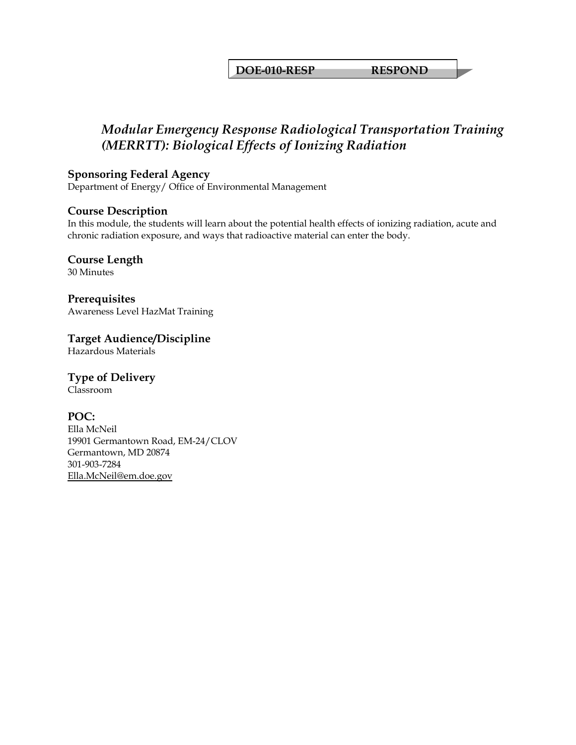**DOE-010-RESP RESPOND** 

# *Modular Emergency Response Radiological Transportation Training (MERRTT): Biological Effects of Ionizing Radiation*

#### **Sponsoring Federal Agency**

Department of Energy/ Office of Environmental Management

#### **Course Description**

In this module, the students will learn about the potential health effects of ionizing radiation, acute and chronic radiation exposure, and ways that radioactive material can enter the body.

**Course Length** 

30 Minutes

**Prerequisites**  Awareness Level HazMat Training

**Target Audience/Discipline**  Hazardous Materials

# **Type of Delivery**

Classroom

#### **POC:**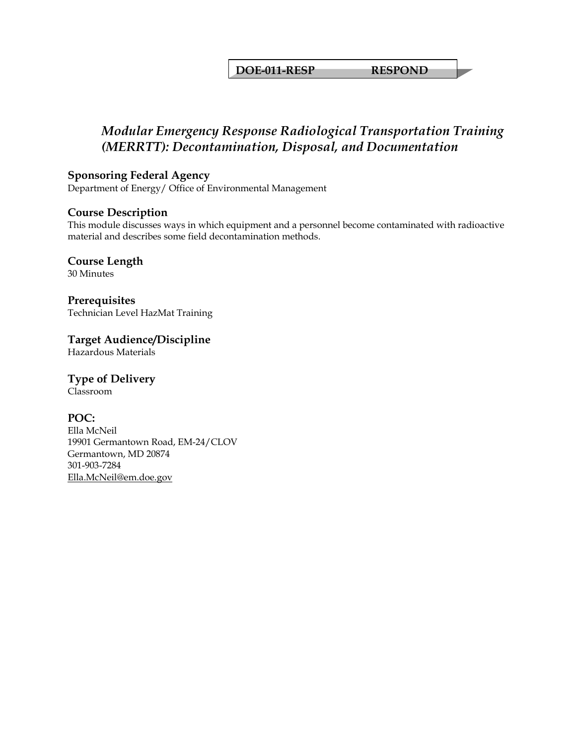**DOE-011-RESP RESPOND** 

# *Modular Emergency Response Radiological Transportation Training (MERRTT): Decontamination, Disposal, and Documentation*

#### **Sponsoring Federal Agency**

Department of Energy/ Office of Environmental Management

#### **Course Description**

This module discusses ways in which equipment and a personnel become contaminated with radioactive material and describes some field decontamination methods.

**Course Length** 

30 Minutes

**Prerequisites**  Technician Level HazMat Training

**Target Audience/Discipline** 

Hazardous Materials

# **Type of Delivery**

Classroom

#### **POC:**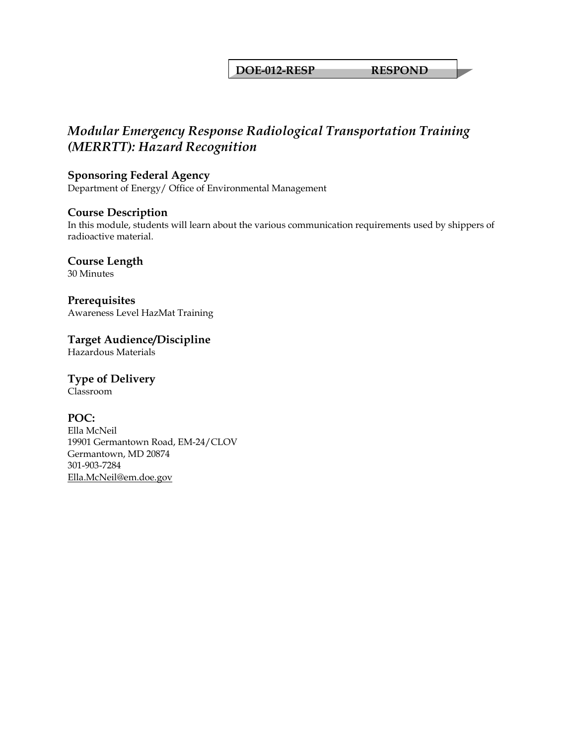#### **DOE-012-RESP RESPOND**

# *Modular Emergency Response Radiological Transportation Training (MERRTT): Hazard Recognition*

#### **Sponsoring Federal Agency**

Department of Energy/ Office of Environmental Management

#### **Course Description**

In this module, students will learn about the various communication requirements used by shippers of radioactive material.

**Course Length** 

30 Minutes

**Prerequisites**  Awareness Level HazMat Training

**Target Audience/Discipline** 

Hazardous Materials

### **Type of Delivery**

Classroom

#### **POC:**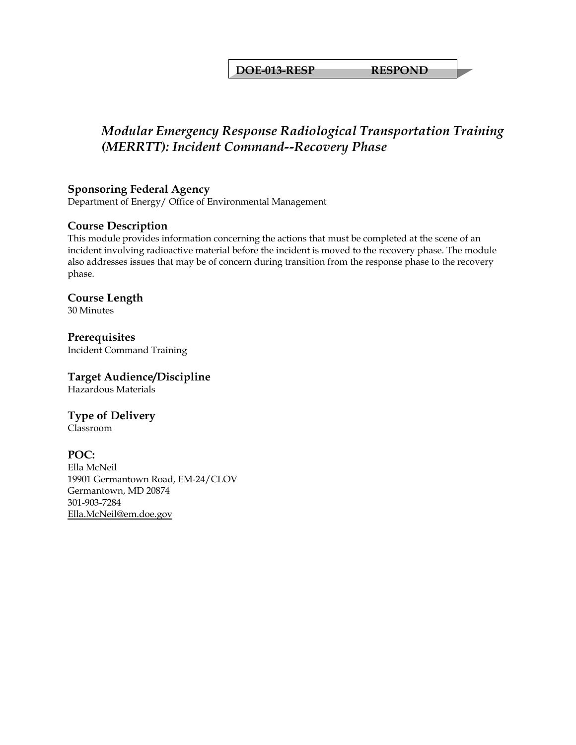**DOE-013-RESP RESPOND** 

# *Modular Emergency Response Radiological Transportation Training (MERRTT): Incident Command--Recovery Phase*

# **Sponsoring Federal Agency**

Department of Energy/ Office of Environmental Management

### **Course Description**

This module provides information concerning the actions that must be completed at the scene of an incident involving radioactive material before the incident is moved to the recovery phase. The module also addresses issues that may be of concern during transition from the response phase to the recovery phase.

# **Course Length**

30 Minutes

**Prerequisites**  Incident Command Training

### **Target Audience/Discipline**

Hazardous Materials

# **Type of Delivery**

Classroom

### **POC:**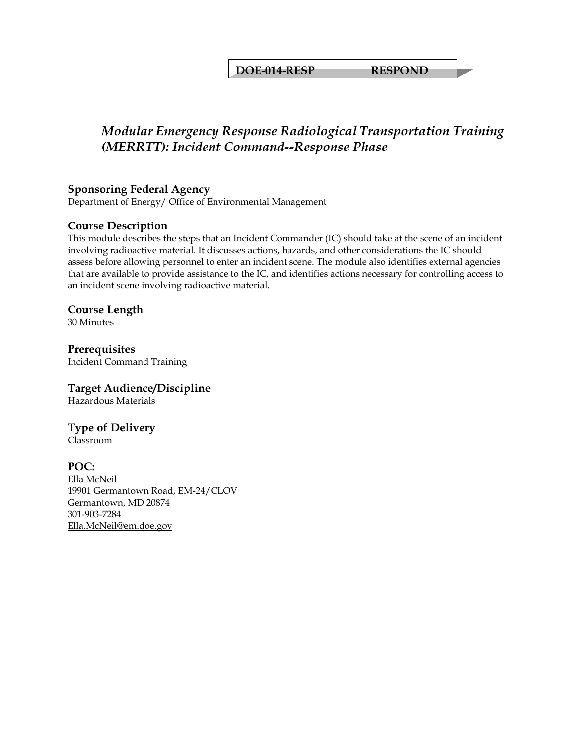**DOE-014-RESP RESPOND** 

# *Modular Emergency Response Radiological Transportation Training (MERRTT): Incident Command--Response Phase*

# **Sponsoring Federal Agency**

Department of Energy/ Office of Environmental Management

### **Course Description**

This module describes the steps that an Incident Commander (IC) should take at the scene of an incident involving radioactive material. It discusses actions, hazards, and other considerations the IC should assess before allowing personnel to enter an incident scene. The module also identifies external agencies that are available to provide assistance to the IC, and identifies actions necessary for controlling access to an incident scene involving radioactive material.

### **Course Length**

30 Minutes

**Prerequisites**  Incident Command Training

### **Target Audience/Discipline**

Hazardous Materials

# **Type of Delivery**

Classroom

### **POC:**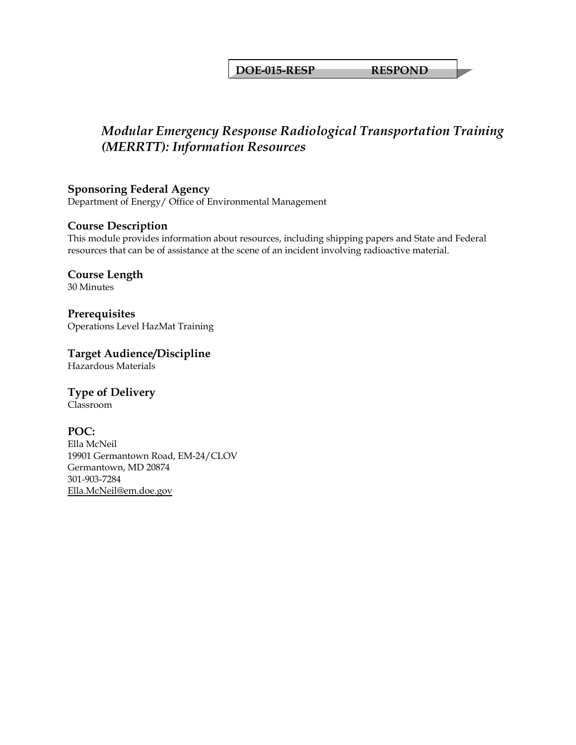#### **DOE-015-RESP RESPOND**

# *Modular Emergency Response Radiological Transportation Training (MERRTT): Information Resources*

**Sponsoring Federal Agency** 

Department of Energy/ Office of Environmental Management

### **Course Description**

This module provides information about resources, including shipping papers and State and Federal resources that can be of assistance at the scene of an incident involving radioactive material.

**Course Length**  30 Minutes

**Prerequisites**  Operations Level HazMat Training

**Target Audience/Discipline**  Hazardous Materials

**Type of Delivery**

Classroom

### **POC:**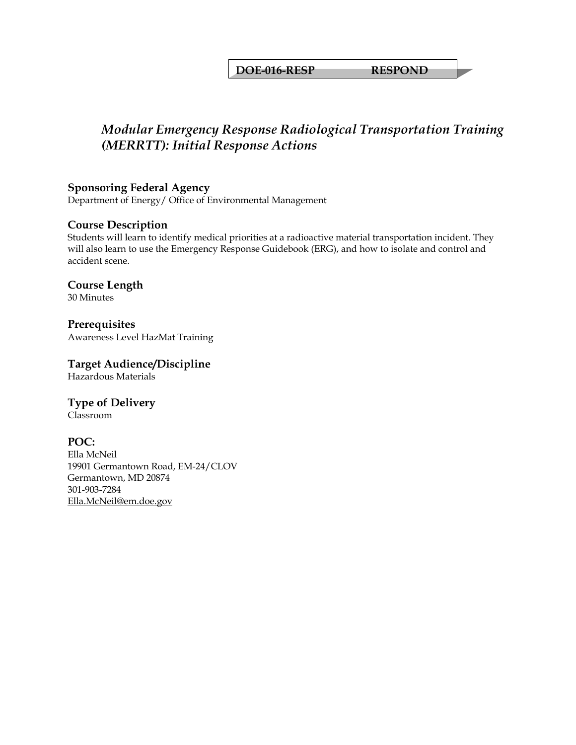### **DOE-016-RESP RESPOND**

# *Modular Emergency Response Radiological Transportation Training (MERRTT): Initial Response Actions*

#### **Sponsoring Federal Agency**

Department of Energy/ Office of Environmental Management

#### **Course Description**

Students will learn to identify medical priorities at a radioactive material transportation incident. They will also learn to use the Emergency Response Guidebook (ERG), and how to isolate and control and accident scene.

#### **Course Length**  30 Minutes

#### **Prerequisites**  Awareness Level HazMat Training

### **Target Audience/Discipline**

Hazardous Materials

# **Type of Delivery**

Classroom

### **POC:**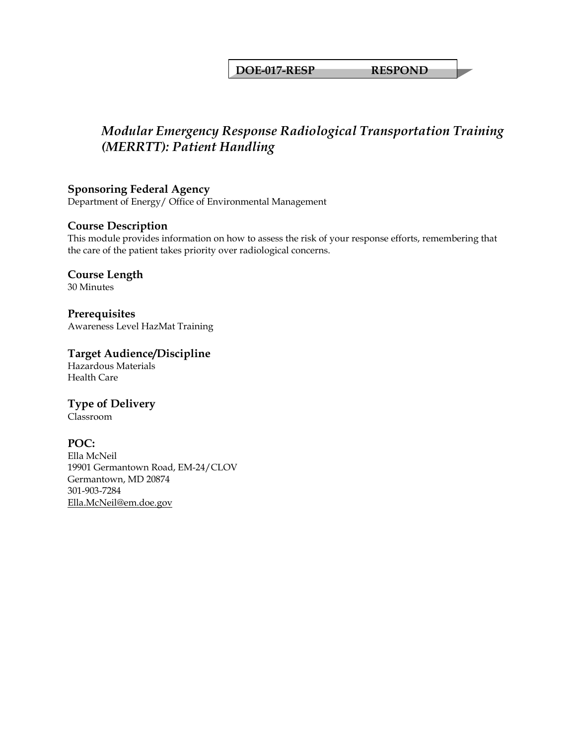### **DOE-017-RESP RESPOND**

# *Modular Emergency Response Radiological Transportation Training (MERRTT): Patient Handling*

# **Sponsoring Federal Agency**

Department of Energy/ Office of Environmental Management

### **Course Description**

This module provides information on how to assess the risk of your response efforts, remembering that the care of the patient takes priority over radiological concerns.

#### **Course Length**  30 Minutes

**Prerequisites**  Awareness Level HazMat Training

# **Target Audience/Discipline**

Hazardous Materials Health Care

### **Type of Delivery**

Classroom

### **POC:**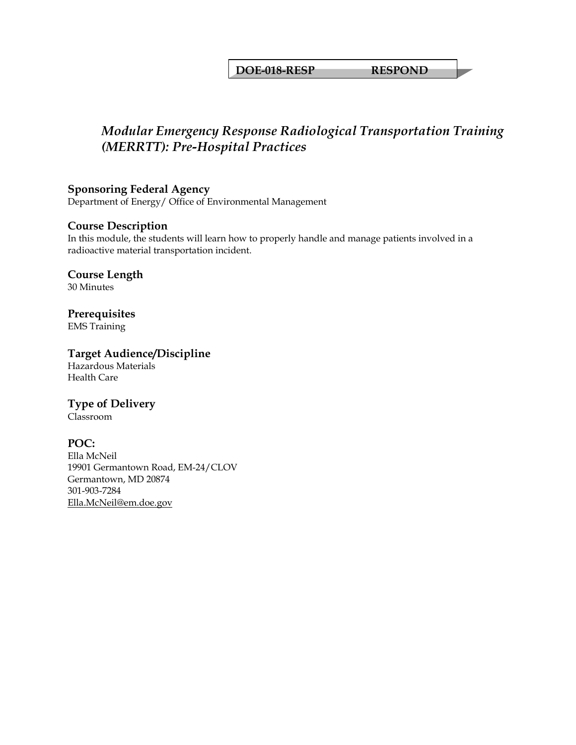### **DOE-018-RESP RESPOND**

# *Modular Emergency Response Radiological Transportation Training (MERRTT): Pre-Hospital Practices*

# **Sponsoring Federal Agency**

Department of Energy/ Office of Environmental Management

#### **Course Description**

In this module, the students will learn how to properly handle and manage patients involved in a radioactive material transportation incident.

#### **Course Length**  30 Minutes

# **Prerequisites**

EMS Training

### **Target Audience/Discipline**

Hazardous Materials Health Care

### **Type of Delivery**

Classroom

#### **POC:**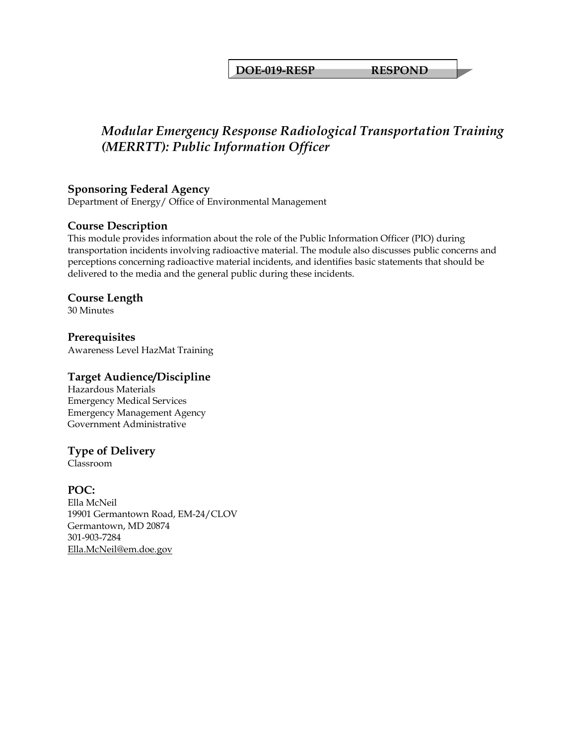### **DOE-019-RESP RESPOND**

# *Modular Emergency Response Radiological Transportation Training (MERRTT): Public Information Officer*

### **Sponsoring Federal Agency**

Department of Energy/ Office of Environmental Management

### **Course Description**

This module provides information about the role of the Public Information Officer (PIO) during transportation incidents involving radioactive material. The module also discusses public concerns and perceptions concerning radioactive material incidents, and identifies basic statements that should be delivered to the media and the general public during these incidents.

#### **Course Length**

30 Minutes

**Prerequisites**  Awareness Level HazMat Training

#### **Target Audience/Discipline**

Hazardous Materials Emergency Medical Services Emergency Management Agency Government Administrative

### **Type of Delivery**

Classroom

#### **POC:**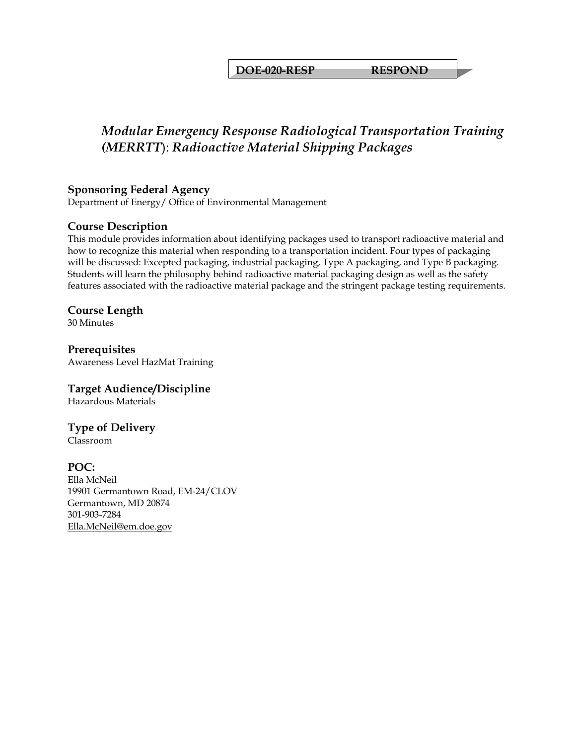**DOE-020-RESP RESPOND** 

# *Modular Emergency Response Radiological Transportation Training (MERRTT*): *Radioactive Material Shipping Packages*

# **Sponsoring Federal Agency**

Department of Energy/ Office of Environmental Management

### **Course Description**

This module provides information about identifying packages used to transport radioactive material and how to recognize this material when responding to a transportation incident. Four types of packaging will be discussed: Excepted packaging, industrial packaging, Type A packaging, and Type B packaging. Students will learn the philosophy behind radioactive material packaging design as well as the safety features associated with the radioactive material package and the stringent package testing requirements.

#### **Course Length**

30 Minutes

**Prerequisites**  Awareness Level HazMat Training

### **Target Audience/Discipline**

Hazardous Materials

# **Type of Delivery**

Classroom

### **POC:**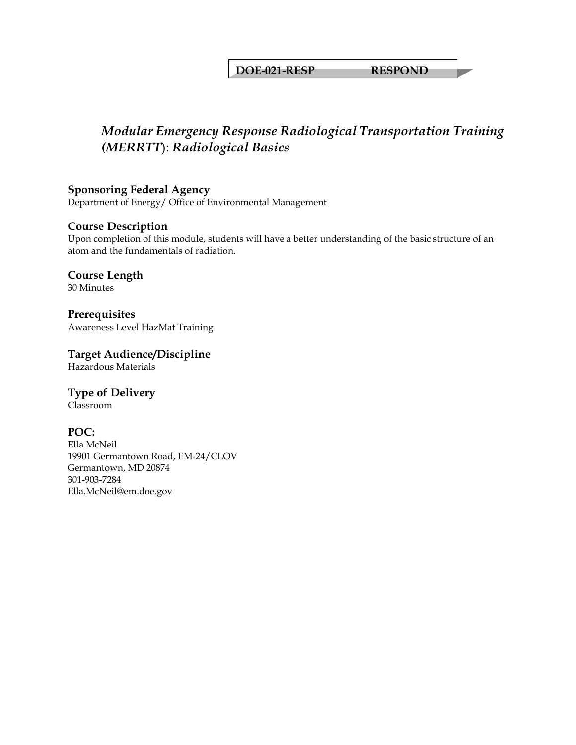### **DOE-021-RESP RESPOND**

# *Modular Emergency Response Radiological Transportation Training (MERRTT*): *Radiological Basics*

**Sponsoring Federal Agency** 

Department of Energy/ Office of Environmental Management

### **Course Description**

Upon completion of this module, students will have a better understanding of the basic structure of an atom and the fundamentals of radiation.

**Course Length**  30 Minutes

**Prerequisites**  Awareness Level HazMat Training

**Target Audience/Discipline**  Hazardous Materials

**Type of Delivery**

Classroom

### **POC:**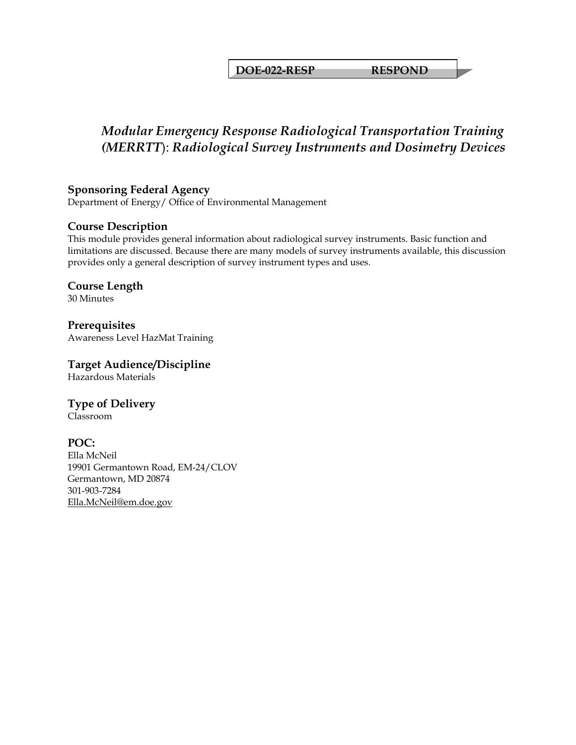**DOE-022-RESP RESPOND** 

# *Modular Emergency Response Radiological Transportation Training (MERRTT*): *Radiological Survey Instruments and Dosimetry Devices*

# **Sponsoring Federal Agency**

Department of Energy/ Office of Environmental Management

### **Course Description**

This module provides general information about radiological survey instruments. Basic function and limitations are discussed. Because there are many models of survey instruments available, this discussion provides only a general description of survey instrument types and uses.

**Course Length**  30 Minutes

**Prerequisites**  Awareness Level HazMat Training

**Target Audience/Discipline**  Hazardous Materials

**Type of Delivery** Classroom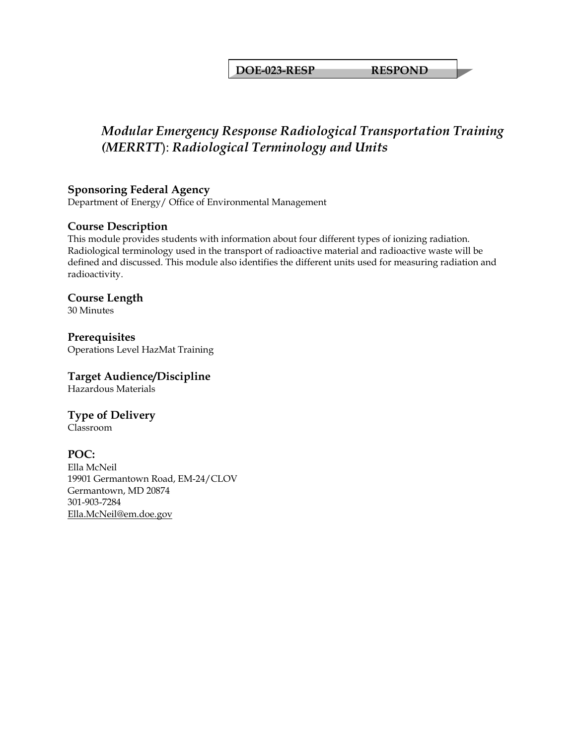**DOE-023-RESP RESPOND** 

# *Modular Emergency Response Radiological Transportation Training (MERRTT*): *Radiological Terminology and Units*

### **Sponsoring Federal Agency**

Department of Energy/ Office of Environmental Management

### **Course Description**

This module provides students with information about four different types of ionizing radiation. Radiological terminology used in the transport of radioactive material and radioactive waste will be defined and discussed. This module also identifies the different units used for measuring radiation and radioactivity.

# **Course Length**

30 Minutes

**Prerequisites**  Operations Level HazMat Training

### **Target Audience/Discipline**

Hazardous Materials

# **Type of Delivery**

Classroom

### **POC:**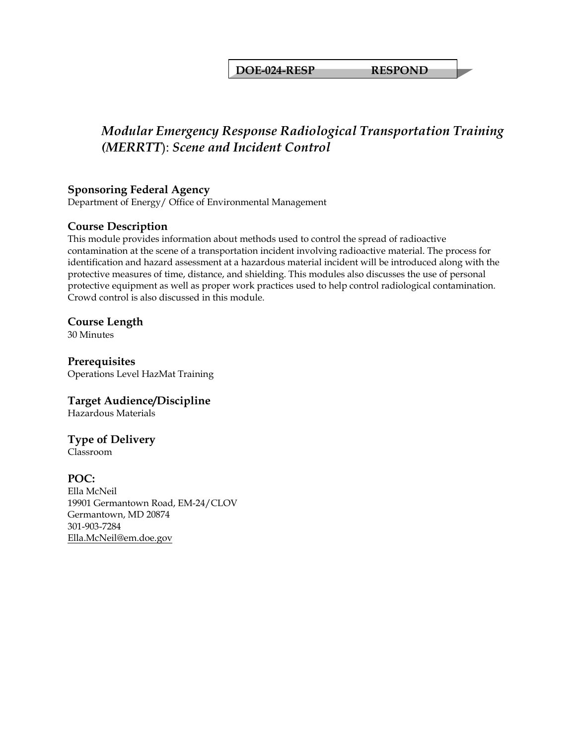#### **DOE-024-RESP RESPOND**

# *Modular Emergency Response Radiological Transportation Training (MERRTT*): *Scene and Incident Control*

### **Sponsoring Federal Agency**

Department of Energy/ Office of Environmental Management

### **Course Description**

This module provides information about methods used to control the spread of radioactive contamination at the scene of a transportation incident involving radioactive material. The process for identification and hazard assessment at a hazardous material incident will be introduced along with the protective measures of time, distance, and shielding. This modules also discusses the use of personal protective equipment as well as proper work practices used to help control radiological contamination. Crowd control is also discussed in this module.

#### **Course Length**

30 Minutes

**Prerequisites**  Operations Level HazMat Training

### **Target Audience/Discipline**

Hazardous Materials

# **Type of Delivery**

Classroom

### **POC:**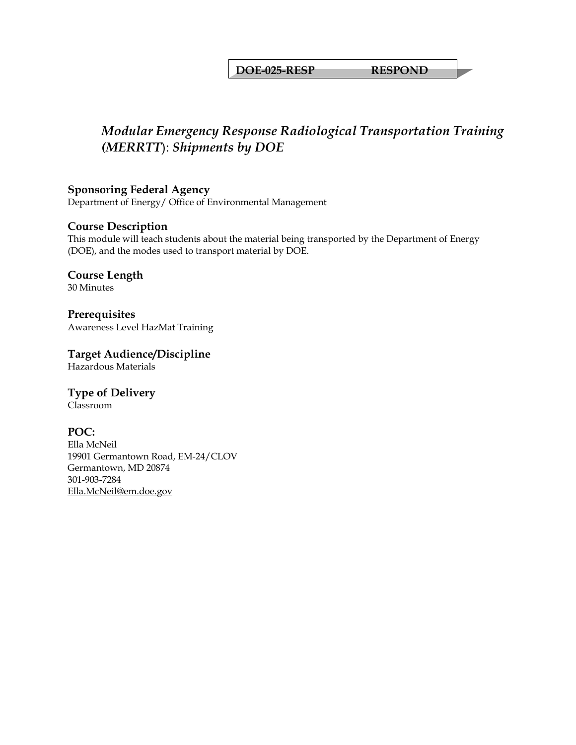#### **DOE-025-RESP RESPOND**

# *Modular Emergency Response Radiological Transportation Training (MERRTT*): *Shipments by DOE*

**Sponsoring Federal Agency**  Department of Energy/ Office of Environmental Management

### **Course Description**

This module will teach students about the material being transported by the Department of Energy (DOE), and the modes used to transport material by DOE.

**Course Length**  30 Minutes

**Prerequisites**  Awareness Level HazMat Training

**Target Audience/Discipline**  Hazardous Materials

**Type of Delivery**

Classroom

#### **POC:**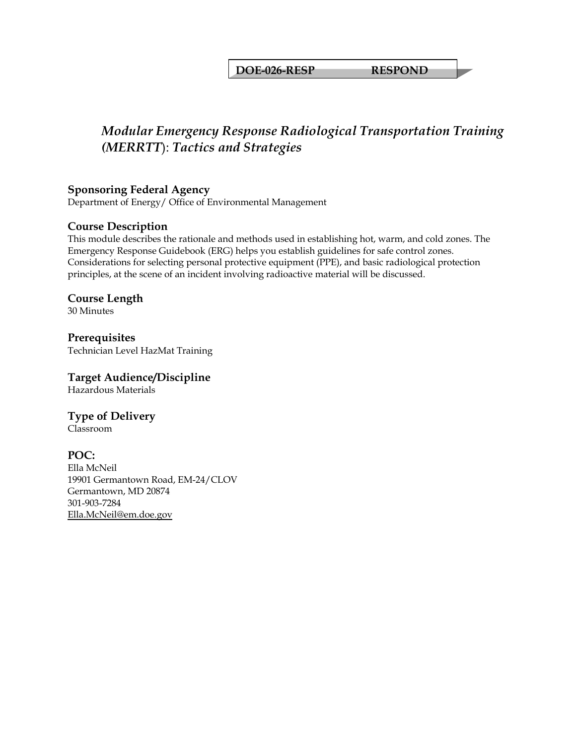#### **DOE-026-RESP RESPOND**

# *Modular Emergency Response Radiological Transportation Training (MERRTT*): *Tactics and Strategies*

### **Sponsoring Federal Agency**

Department of Energy/ Office of Environmental Management

### **Course Description**

This module describes the rationale and methods used in establishing hot, warm, and cold zones. The Emergency Response Guidebook (ERG) helps you establish guidelines for safe control zones. Considerations for selecting personal protective equipment (PPE), and basic radiological protection principles, at the scene of an incident involving radioactive material will be discussed.

# **Course Length**

30 Minutes

**Prerequisites**  Technician Level HazMat Training

### **Target Audience/Discipline**

Hazardous Materials

# **Type of Delivery**

Classroom

### **POC:**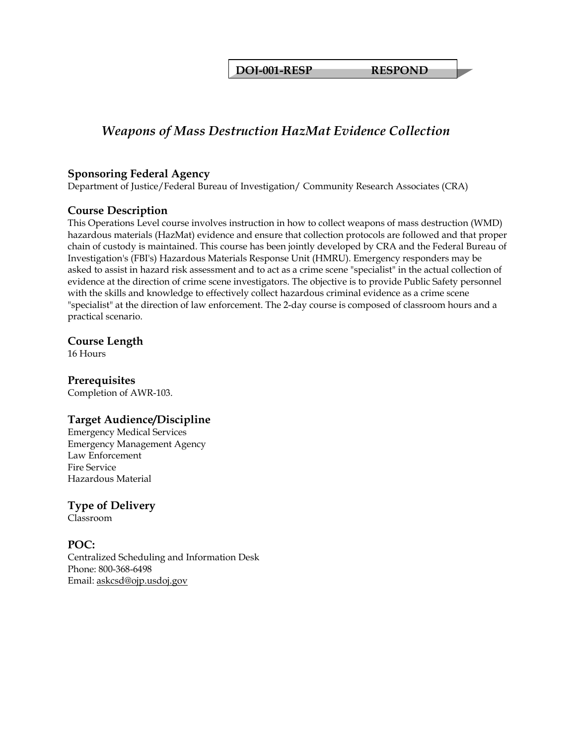**DOJ-001-RESP RESPOND** 

# *Weapons of Mass Destruction HazMat Evidence Collection*

#### **Sponsoring Federal Agency**

Department of Justice/Federal Bureau of Investigation/ Community Research Associates (CRA)

### **Course Description**

This Operations Level course involves instruction in how to collect weapons of mass destruction (WMD) hazardous materials (HazMat) evidence and ensure that collection protocols are followed and that proper chain of custody is maintained. This course has been jointly developed by CRA and the Federal Bureau of Investigation's (FBI's) Hazardous Materials Response Unit (HMRU). Emergency responders may be asked to assist in hazard risk assessment and to act as a crime scene "specialist" in the actual collection of evidence at the direction of crime scene investigators. The objective is to provide Public Safety personnel with the skills and knowledge to effectively collect hazardous criminal evidence as a crime scene "specialist" at the direction of law enforcement. The 2-day course is composed of classroom hours and a practical scenario.

### **Course Length**

16 Hours

### **Prerequisites**

Completion of AWR-103.

### **Target Audience/Discipline**

Emergency Medical Services Emergency Management Agency Law Enforcement Fire Service Hazardous Material

**Type of Delivery** Classroom

### **POC:**

Centralized Scheduling and Information Desk Phone: 800-368-6498 Email: [askcsd@ojp.usdoj.gov](mailto:askcsd@ojp.usdoj.gov)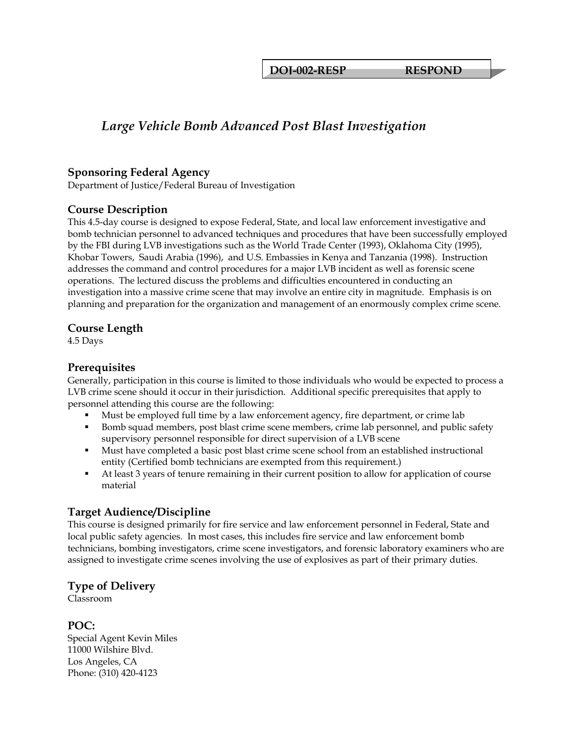**DOJ-002-RESP RESPOND** 

# *Large Vehicle Bomb Advanced Post Blast Investigation*

#### **Sponsoring Federal Agency**

Department of Justice/Federal Bureau of Investigation

### **Course Description**

This 4.5-day course is designed to expose Federal, State, and local law enforcement investigative and bomb technician personnel to advanced techniques and procedures that have been successfully employed by the FBI during LVB investigations such as the World Trade Center (1993), Oklahoma City (1995), Khobar Towers, Saudi Arabia (1996), and U.S. Embassies in Kenya and Tanzania (1998). Instruction addresses the command and control procedures for a major LVB incident as well as forensic scene operations. The lectured discuss the problems and difficulties encountered in conducting an investigation into a massive crime scene that may involve an entire city in magnitude. Emphasis is on planning and preparation for the organization and management of an enormously complex crime scene.

### **Course Length**

4.5 Days

### **Prerequisites**

Generally, participation in this course is limited to those individuals who would be expected to process a LVB crime scene should it occur in their jurisdiction. Additional specific prerequisites that apply to personnel attending this course are the following:

- Must be employed full time by a law enforcement agency, fire department, or crime lab
- Bomb squad members, post blast crime scene members, crime lab personnel, and public safety supervisory personnel responsible for direct supervision of a LVB scene
- Must have completed a basic post blast crime scene school from an established instructional entity (Certified bomb technicians are exempted from this requirement.)
- At least 3 years of tenure remaining in their current position to allow for application of course material

### **Target Audience/Discipline**

This course is designed primarily for fire service and law enforcement personnel in Federal, State and local public safety agencies. In most cases, this includes fire service and law enforcement bomb technicians, bombing investigators, crime scene investigators, and forensic laboratory examiners who are assigned to investigate crime scenes involving the use of explosives as part of their primary duties.

### **Type of Delivery**

Classroom

**POC:**  Special Agent Kevin Miles 11000 Wilshire Blvd. Los Angeles, CA Phone: (310) 420-4123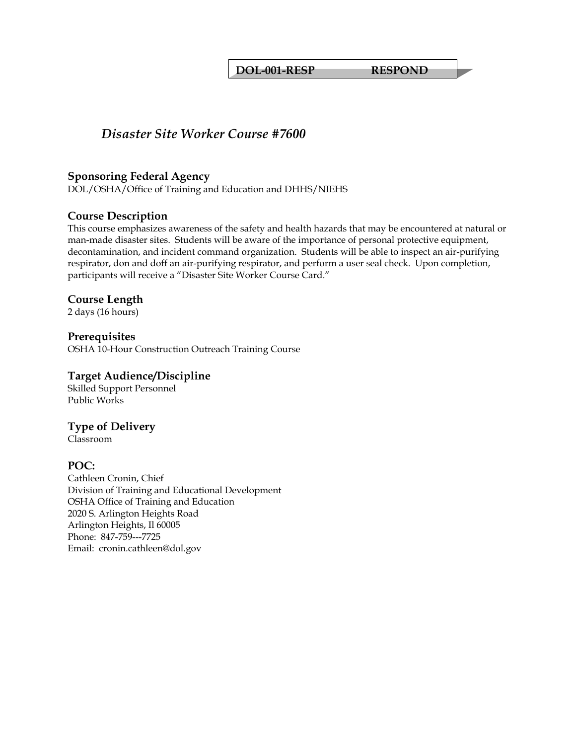**DOL-001-RESP RESPOND** 

# *Disaster Site Worker Course #7600*

#### **Sponsoring Federal Agency**

DOL/OSHA/Office of Training and Education and DHHS/NIEHS

### **Course Description**

This course emphasizes awareness of the safety and health hazards that may be encountered at natural or man-made disaster sites. Students will be aware of the importance of personal protective equipment, decontamination, and incident command organization. Students will be able to inspect an air-purifying respirator, don and doff an air-purifying respirator, and perform a user seal check. Upon completion, participants will receive a "Disaster Site Worker Course Card."

#### **Course Length**

2 days (16 hours)

# **Prerequisites**

OSHA 10-Hour Construction Outreach Training Course

#### **Target Audience/Discipline**

Skilled Support Personnel Public Works

### **Type of Delivery**

Classroom

### **POC:**

Cathleen Cronin, Chief Division of Training and Educational Development OSHA Office of Training and Education 2020 S. Arlington Heights Road Arlington Heights, Il 60005 Phone: 847-759---7725 Email: cronin.cathleen@dol.gov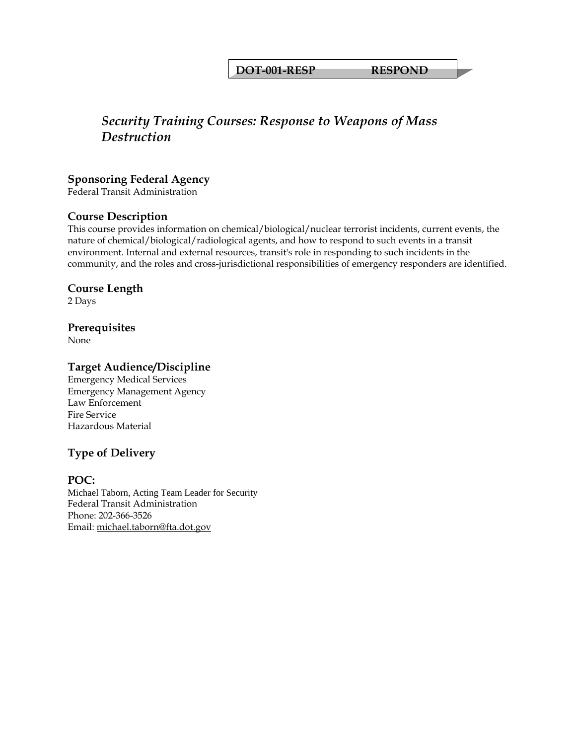#### **DOT-001-RESP RESPOND**

# *Security Training Courses: Response to Weapons of Mass Destruction*

#### **Sponsoring Federal Agency**

Federal Transit Administration

#### **Course Description**

This course provides information on chemical/biological/nuclear terrorist incidents, current events, the nature of chemical/biological/radiological agents, and how to respond to such events in a transit environment. Internal and external resources, transit's role in responding to such incidents in the community, and the roles and cross-jurisdictional responsibilities of emergency responders are identified.

#### **Course Length**

2 Days

#### **Prerequisites**

None

### **Target Audience/Discipline**

Emergency Medical Services Emergency Management Agency Law Enforcement Fire Service Hazardous Material

# **Type of Delivery**

#### **POC:**

Michael Taborn, Acting Team Leader for Security Federal Transit Administration Phone: 202-366-3526 Email: [michael.taborn@fta.dot.gov](mailto:michael.taborn@fta.dot.gov)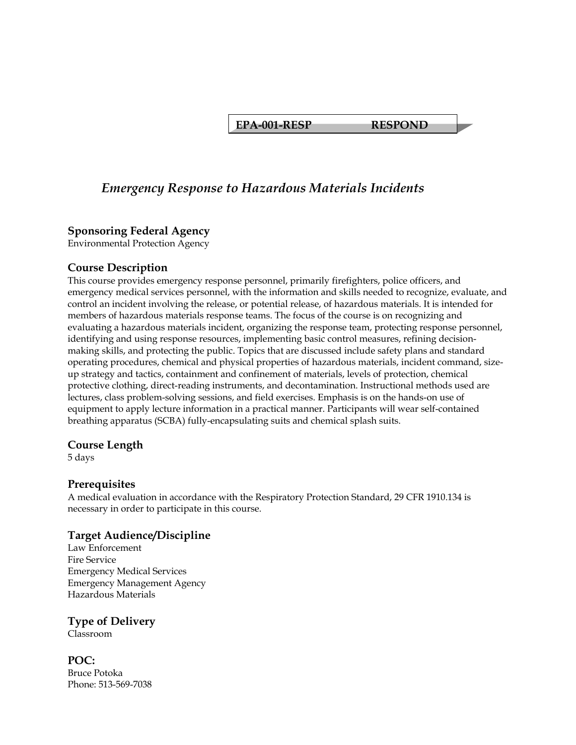**EPA-001-RESP RESPOND** 

# *Emergency Response to Hazardous Materials Incidents*

#### **Sponsoring Federal Agency**

Environmental Protection Agency

#### **Course Description**

This course provides emergency response personnel, primarily firefighters, police officers, and emergency medical services personnel, with the information and skills needed to recognize, evaluate, and control an incident involving the release, or potential release, of hazardous materials. It is intended for members of hazardous materials response teams. The focus of the course is on recognizing and evaluating a hazardous materials incident, organizing the response team, protecting response personnel, identifying and using response resources, implementing basic control measures, refining decisionmaking skills, and protecting the public. Topics that are discussed include safety plans and standard operating procedures, chemical and physical properties of hazardous materials, incident command, sizeup strategy and tactics, containment and confinement of materials, levels of protection, chemical protective clothing, direct-reading instruments, and decontamination. Instructional methods used are lectures, class problem-solving sessions, and field exercises. Emphasis is on the hands-on use of equipment to apply lecture information in a practical manner. Participants will wear self-contained breathing apparatus (SCBA) fully-encapsulating suits and chemical splash suits.

#### **Course Length**

5 days

#### **Prerequisites**

A medical evaluation in accordance with the Respiratory Protection Standard, 29 CFR 1910.134 is necessary in order to participate in this course.

### **Target Audience/Discipline**

Law Enforcement Fire Service Emergency Medical Services Emergency Management Agency Hazardous Materials

# **Type of Delivery**

Classroom

**POC:**  Bruce Potoka Phone: 513-569-7038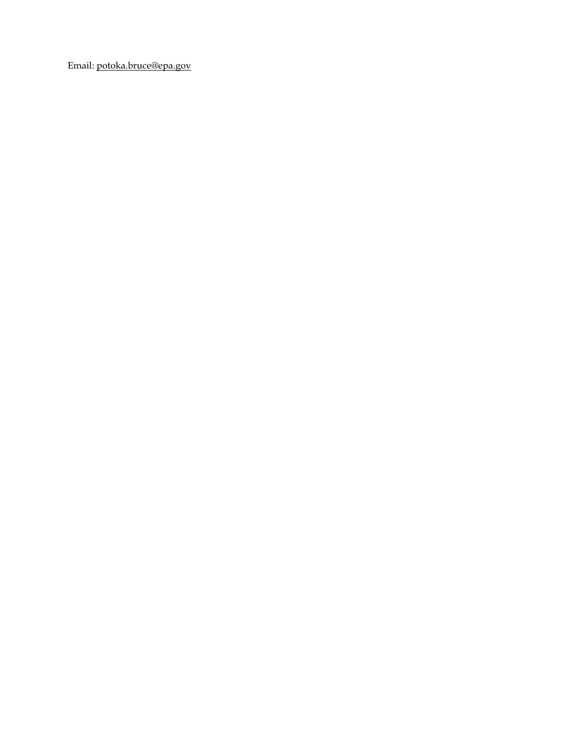Email: [potoka.bruce@epa.gov](mailto:potoka.bruce@epa.gov)